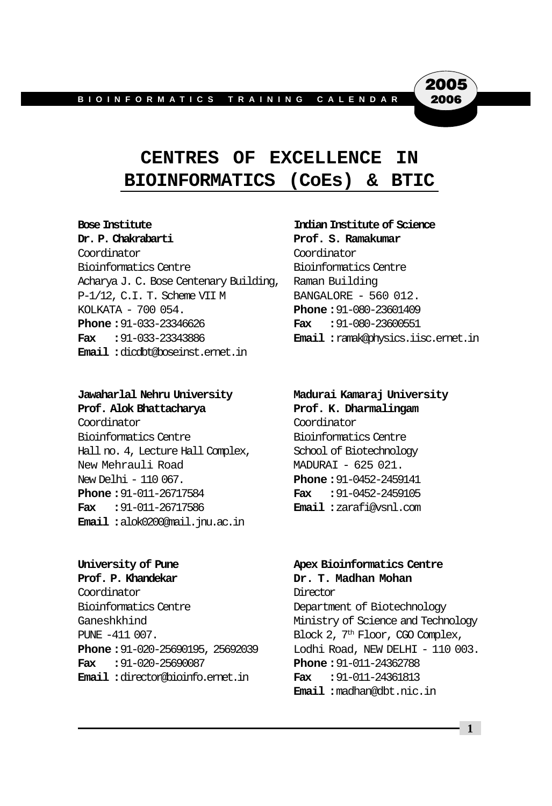## **CENTRES OF EXCELLENCE IN BIOINFORMATICS (CoEs) & BTIC**

Coordinator Coordinator Bioinformatics Centre Bioinformatics Centre Acharya J. C. Bose Centenary Building, Raman Building P-1/12, C.I. T. Scheme VII M BANGALORE - 560 012. KOLKATA - 700 054. **Phone :**91-080-23601409 **Phone :**91-033-23346626 **Fax :**91-080-23600551 **Fax :**91-033-23343886 **Email :**ramak@physics.iisc.ernet.in **Email :**dicdbt@boseinst.ernet.in

#### **Bose Institute Indian Institute of Science Dr. P. Chakrabarti Prof. S. Ramakumar**

2005 2006

#### **Jawaharlal Nehru University Madurai Kamaraj University**

Coordinator Coordinator Bioinformatics Centre Bioinformatics Centre Hall no. 4, Lecture Hall Complex, School of Biotechnology New Mehrauli Road MADURAI - 625 021. New Delhi - 110 067. **Phone :**91-0452-2459141 **Phone :**91-011-26717584 **Fax :**91-0452-2459105 **Fax :**91-011-26717586 **Email :**zarafi@vsnl.com **Email :**alok0200@mail.jnu.ac.in

Coordinator Director Bioinformatics Centre **Department** of Biotechnology PUNE  $-411\,007$ . Block 2,  $7<sup>th</sup>$  Floor, CGO Complex, **Fax :**91-020-25690087 **Phone :**91-011-24362788 **Email :**director@bioinfo.ernet.in **Fax :**91-011-24361813

**Prof. Alok Bhattacharya Prof. K. Dharmalingam**

#### **University of Pune Apex Bioinformatics Centre Prof. P. Khandekar Dr. T. Madhan Mohan**

Ganeshkhind **Ministry of Science and Technology Phone :**91-020-25690195, 25692039 Lodhi Road, NEW DELHI - 110 003. **Email :**madhan@dbt.nic.in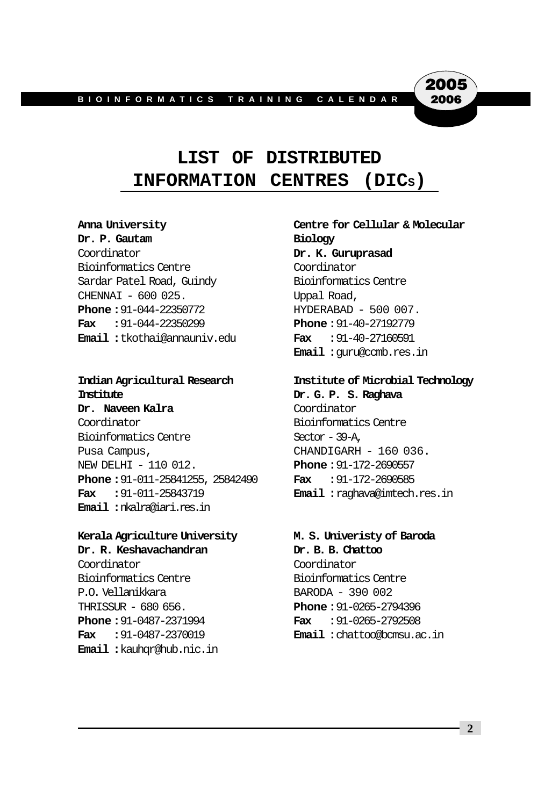## **LIST OF DISTRIBUTED INFORMATION CENTRES (DICS)**

**Dr. P. Gautam Biology** Coordinator **Dr. K. Guruprasad** Bioinformatics Centre Coordinator Sardar Patel Road, Guindy Bioinformatics Centre CHENNAI - 600 025. Uppal Road, **Phone: 91-044-22350772 HYDERABAD - 500 007. Fax :**91-044-22350299 **Phone :**91-40-27192779 **Email :**tkothai@annauniv.edu **Fax :**91-40-27160591

## **Institute Dr. G. P. S. Raghava**

**Dr. Naveen Kalra Coordinator** Coordinator Bioinformatics Centre Bioinformatics Centre Sector - 39-A, Pusa Campus, CHANDIGARH - 160 036. NEW DELHI - 110 012. **Phone :**91-172-2690557 **Phone :**91-011-25841255, 25842490 **Fax :**91-172-2690585 **Fax :**91-011-25843719 **Email :**raghava@imtech.res.in **Email :**nkalra@iari.res.in

#### **Kerala Agriculture University M. S. Univeristy of Baroda**

**Dr. R. Keshavachandran Dr. B. B. Chattoo** Coordinator Coordinator Bioinformatics Centre Bioinformatics Centre P.O. Vellanikkara BARODA - 390 002 THRISSUR - 680 656. **Phone :**91-0265-2794396 **Phone :**91-0487-2371994 **Fax :**91-0265-2792508 **Email :**kauhqr@hub.nic.in

## **Anna University Centre for Cellular & Molecular**

2005 2006

**Email :**guru@ccmb.res.in

#### **Indian Agricultural Research Institute of Microbial Technology**

**Fax :**91-0487-2370019 **Email :**chattoo@bcmsu.ac.in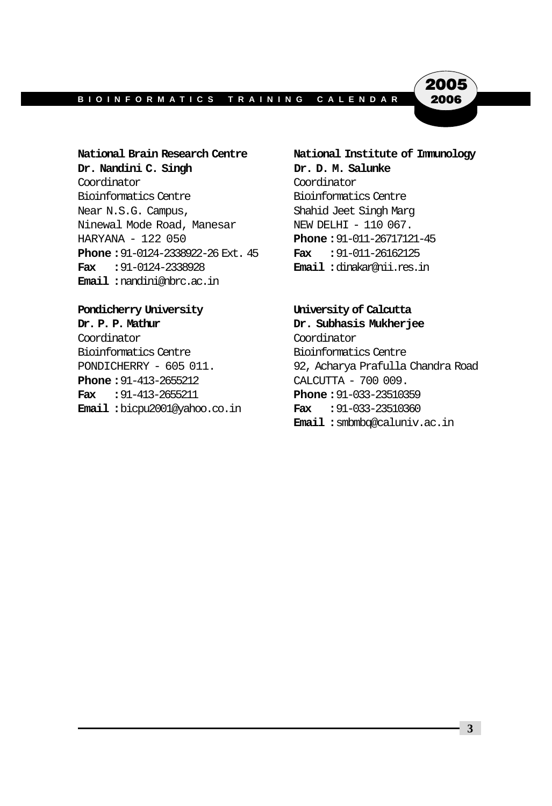2005 2006

Dr. Nandini C. Singh Dr. D. M. Salunke Coordinator Coordinator Bioinformatics Centre Bioinformatics Centre Near N.S.G. Campus, Shahid Jeet Singh Marg Ninewal Mode Road, Manesar NEW DELHI - 110 067. HARYANA - 122 050 **Phone :**91-011-26717121-45 **Phone :**91-0124-2338922-26 Ext. 45 **Fax :**91-011-26162125 **Fax :**91-0124-2338928 **Email :**dinakar@nii.res.in **Email :**nandini@nbrc.ac.in

#### **Pondicherry University University of Calcutta**

Coordinator Coordinator Bioinformatics Centre Bioinformatics Centre **Phone :** 91-413-2655212 CALCUTTA - 700 009. **Fax :**91-413-2655211 **Phone :**91-033-23510359 **Email :**bicpu2001@yahoo.co.in **Fax :**91-033-23510360

**National Brain Research Centre National Institute of Immunology**

**Dr. P. P. Mathur Dr. Subhasis Mukherjee**

PONDICHERRY - 605 011. 92, Acharya Prafulla Chandra Road **Email :**smbmbq@caluniv.ac.in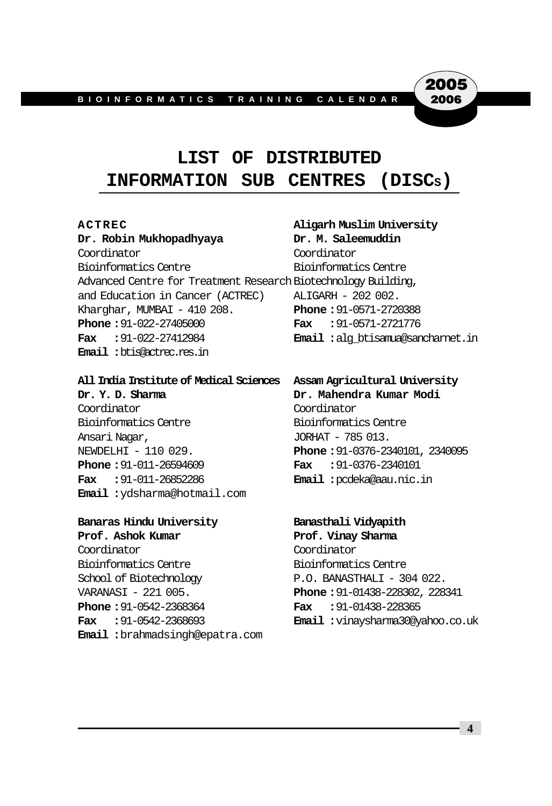## **LIST OF DISTRIBUTED INFORMATION SUB CENTRES (DISCS)**

**Dr. Robin Mukhopadhyaya Dr. M. Saleemuddin** Coordinator Coordinator Bioinformatics Centre Bioinformatics Centre Advanced Centre for Treatment Research Biotechnology Building, and Education in Cancer (ACTREC) ALIGARH - 202 002. Kharghar, MUMBAI - 410 208. **Phone :**91-0571-2720388 **Phone :**91-022-27405000 **Fax :**91-0571-2721776 **Fax :**91-022-27412984 **Email :**alg\_btisamua@sancharnet.in **Email :**btis@actrec.res.in

#### **All India Institute of Medical Sciences Assam Agricultural University**

**Dr. Y. D. Sharma Dr. Mahendra Kumar Modi** Coordinator Coordinator Bioinformatics Centre Bioinformatics Centre Ansari Nagar,  $JORHAT - 785013$ . **Phone :**91-011-26594609 **Fax :**91-0376-2340101 **Fax :**91-011-26852286 **Email :**pcdeka@aau.nic.in **Email :**ydsharma@hotmail.com

#### **Banaras Hindu University Banasthali Vidyapith**

**Prof. Ashok Kumar Prof. Vinay Sharma** Coordinator Coordinator Bioinformatics Centre Bioinformatics Centre School of Biotechnology P.O. BANASTHALI - 304 022. VARANASI - 221 005. **Phone :**91-01438-228302, 228341 **Phone :**91-0542-2368364 **Fax :**91-01438-228365 **Fax :**91-0542-2368693 **Email :**vinaysharma30@yahoo.co.uk **Email :**brahmadsingh@epatra.com

## **ACTREC Aligarh Muslim University**

2005 2006

NEWDELHI - 110 029. **Phone :**91-0376-2340101, 2340095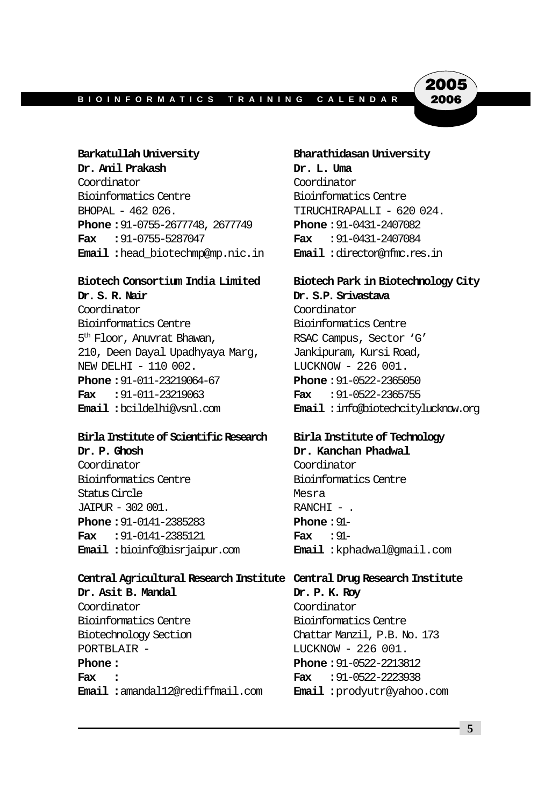2005 2006

**Dr. Anil Prakash Dr. L. Uma** Coordinator Coordinator Bioinformatics Centre Bioinformatics Centre BHOPAL - 462 026. TIRUCHIRAPALLI - 620 024. **Phone :**91-0755-2677748, 2677749 **Phone :**91-0431-2407082 **Fax :**91-0755-5287047 **Fax :**91-0431-2407084 **Email :**head\_biotechmp@mp.nic.in **Email :**director@nfmc.res.in

#### **Biotech Consortium India Limited Biotech Park in Biotechnology City**

**Dr. S. R. Nair Dr. S.P. Srivastava** Coordinator Coordinator Bioinformatics Centre Bioinformatics Centre 5<sup>th</sup> Floor, Anuvrat Bhawan, RSAC Campus, Sector 'G' 210, Deen Dayal Upadhyaya Marg, Jankipuram, Kursi Road, NEW DELHI - 110 002. LUCKNOW - 226 001. **Phone :**91-011-23219064-67 **Phone :**91-0522-2365050 **Fax :**91-011-23219063 **Fax :**91-0522-2365755

#### **Birla Institute of Scientific Research Birla Institute of Technology**

**Dr. P. Ghosh Dr. Kanchan Phadwal** Coordinator Coordinator Bioinformatics Centre Bioinformatics Centre Status Circle **Messa**  $JAIPUR - 302001.$  RANCHI - . **Phone :**91-0141-2385283 **Phone :**91- **Fax :**91-0141-2385121 **Fax :**91- **Email :**bioinfo@bisrjaipur.com **Email :**kphadwal@gmail.com

**Central Agricultural Research Institute Central Drug Research Institute**

**Dr. Asit B. Mandal Dr. P. K. Roy** Coordinator Coordinator Bioinformatics Centre Bioinformatics Centre Biotechnology Section Chattar Manzil, P.B. No. 173 PORTBLAIR - LUCKNOW - 226 001. **Phone :** Phone : 91-0522-2213812 **Fax : Fax :**91-0522-2223938 **Email :**amandal12@rediffmail.com **Email :**prodyutr@yahoo.com

**Barkatullah University Bharathidasan University**

**Email :**bcildelhi@vsnl.com **Email :**info@biotechcitylucknow.org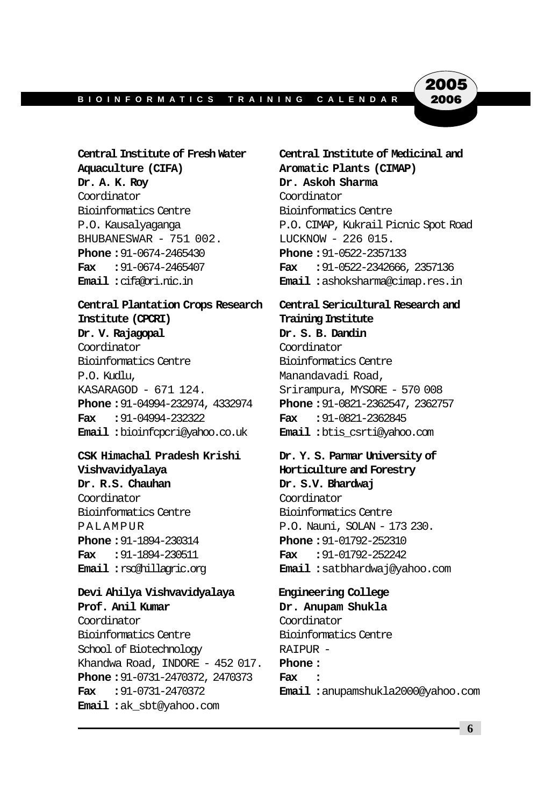2005 2006

**Aquaculture (CIFA) Aromatic Plants (CIMAP)** Dr. A. K. Roy **Dr. Askoh Sharma** Coordinator Coordinator Bioinformatics Centre Bioinformatics Centre BHUBANESWAR - 751 002. LUCKNOW - 226 015. **Phone :**91-0674-2465430 **Phone :**91-0522-2357133

## **Institute (CPCRI) Training Institute Dr. V. Rajagopal Dr. S. B. Dandin**

Coordinator Coordinator Bioinformatics Centre Bioinformatics Centre P.O. Kudlu, Manandavadi Road, KASARAGOD - 671 124. Srirampura, MYSORE - 570 008 **Phone :**91-04994-232974, 4332974 **Phone :**91-0821-2362547, 2362757 **Fax :**91-04994-232322 **Fax :**91-0821-2362845 **Email :**bioinfcpcri@yahoo.co.uk **Email :**btis\_csrti@yahoo.com

#### **CSK Himachal Pradesh Krishi Dr. Y. S. Parmar University of Vishvavidyalaya Horticulture and Forestry Dr. R.S. Chauhan Dr. S.V. Bhardwaj** Coordinator Coordinator Bioinformatics Centre Bioinformatics Centre PALAMPUR P.O. Nauni, SOLAN - 173 230. **Phone :**91-1894-230314 **Phone :**91-01792-252310 **Fax :**91-1894-230511 **Fax :**91-01792-252242

**Devi Ahilya Vishvavidyalaya Engineering College Prof. Anil Kumar Dr. Anupam Shukla** Coordinator Coordinator Bioinformatics Centre Bioinformatics Centre School of Biotechnology RAIPUR -Khandwa Road, INDORE - 452 017. **Phone : Phone :**91-0731-2470372, 2470373 **Fax : Email :**ak\_sbt@yahoo.com

**Central Institute of Fresh Water Central Institute of Medicinal and** P.O. Kausalyaganga P.O. CIMAP, Kukrail Picnic Spot Road **Fax :**91-0674-2465407 **Fax :**91-0522-2342666, 2357136 **Email :**cifa@ori.nic.in **Email :**ashoksharma@cimap.res.in

## **Central Plantation Crops Research Central Sericultural Research and**

# **Email :**rsc@hillagric.org **Email :**satbhardwaj@yahoo.com

**Fax :**91-0731-2470372 **Email :**anupamshukla2000@yahoo.com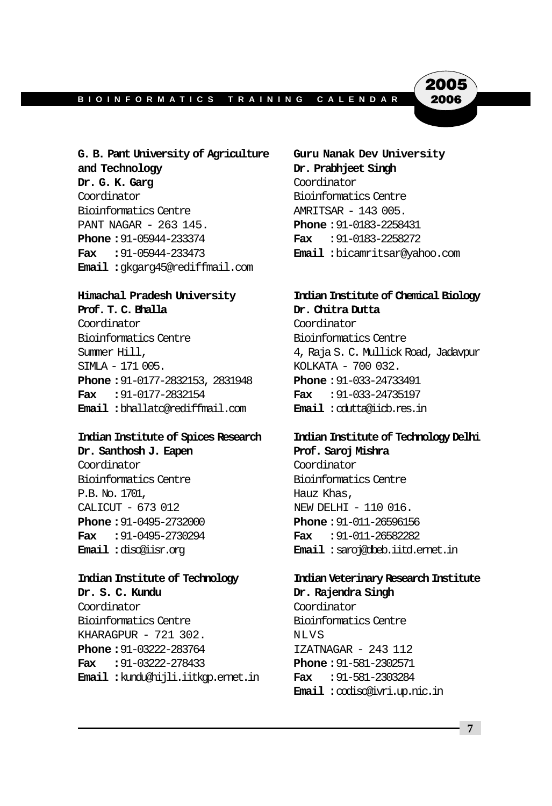2005 2006

**and Technology Dr. Prabhjeet Singh Dr. G. K. Garg** Coordinator Coordinator Bioinformatics Centre Bioinformatics Centre **AMRITSAR** - 143 005. PANT NAGAR - 263 145. **Phone :**91-0183-2258431 **Phone :**91-05944-233374 **Fax :**91-0183-2258272 **Fax :**91-05944-233473 **Email :**bicamritsar@yahoo.com **Email :**gkgarg45@rediffmail.com

Coordinator Coordinator Bioinformatics Centre Bioinformatics Centre SIMLA - 171 005. KOLKATA - 700 032. **Phone :**91-0177-2832153, 2831948 **Phone :**91-033-24733491 **Fax :**91-0177-2832154 **Fax :**91-033-24735197 **Email :**bhallatc@rediffmail.com **Email :**cdutta@iicb.res.in

#### **Indian Institute of Spices Research Indian Institute of Technology Delhi Dr. Santhosh J. Eapen Prof. Saroj Mishra**

Coordinator Coordinator Bioinformatics Centre Bioinformatics Centre P.B. No. 1701, The Contract Contract Contract Contract Contract Contract Contract Contract Contract Contract Contract Contract Contract Contract Contract Contract Contract Contract Contract Contract Contract Contract Contr CALICUT - 673 012 NEW DELHI - 110 016. **Phone :**91-0495-2732000 **Phone :**91-011-26596156 **Fax :**91-0495-2730294 **Fax :**91-011-26582282

**Dr. S. C. Kundu Dr. Rajendra Singh** Coordinator Coordinator Bioinformatics Centre Bioinformatics Centre KHARAGPUR - 721 302. NLVS **Phone :** 91-03222-283764 IZATNAGAR - 243 112 **Fax :**91-03222-278433 **Phone :**91-581-2302571 **Email :**kundu@hijli.iitkgp.ernet.in **Fax :**91-581-2303284

**G. B. Pant University of Agriculture Guru Nanak Dev University**

#### **Himachal Pradesh University Indian Institute of Chemical Biology Prof. T. C. Bhalla Dr. Chitra Dutta**

Summer Hill, 4, Raja S. C. Mullick Road, Jadavpur

**Email :**disc@iisr.org **Email :**saroj@dbeb.iitd.ernet.in

## **Indian Institute of Technology Indian Veterinary Research Institute**

**Email :**codisc@ivri.up.nic.in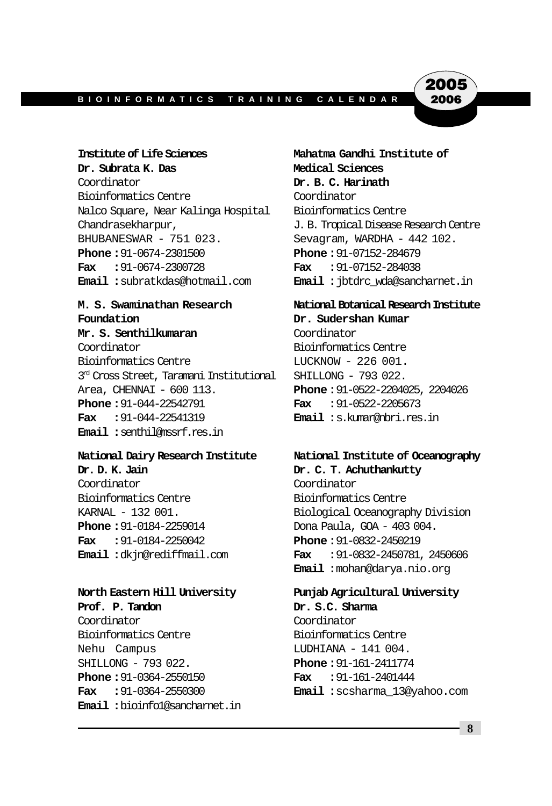2005 2006

Coordinator **Dr. B. C. Harinath** Bioinformatics Centre Coordinator Nalco Square, Near Kalinga Hospital Bioinformatics Centre Chandrasekharpur, J. B. Tropical Disease Research Centre BHUBANESWAR - 751 023. Sevagram, WARDHA - 442 102. **Phone :**91-0674-2301500 **Phone :**91-07152-284679 **Fax :**91-0674-2300728 **Fax :**91-07152-284038

## **Foundation Dr. Sudershan Kumar**

**Mr. S. Senthilkumaran** Coordinator Coordinator Bioinformatics Centre Bioinformatics Centre LUCKNOW - 226 001. 3<sup>rd</sup> Cross Street, Taramani Institutional SHILLONG - 793 022. Area, CHENNAI - 600 113. **Phone :**91-0522-2204025, 2204026 **Phone :**91-044-22542791 **Fax :**91-0522-2205673 **Fax :**91-044-22541319 **Email :**s.kumar@nbri.res.in **Email :**senthil@mssrf.res.in

**Dr. D. K. Jain Dr. C. T. Achuthankutty** Coordinator Coordinator Bioinformatics Centre **Bioinformatics** Centre **Phone :** 91-0184-2259014 Dona Paula, GOA - 403 004. **Fax :**91-0184-2250042 **Phone :**91-0832-2450219

#### **North Eastern Hill University Punjab Agricultural University**

**Prof. P. Tandon Dr. S.C. Sharma** Coordinator Coordinator Bioinformatics Centre Bioinformatics Centre Nehu Campus **LUDHIANA - 141 004.** SHILLONG - 793 022. **Phone :**91-161-2411774 **Phone :**91-0364-2550150 **Fax :**91-161-2401444 **Email :**bioinfo1@sancharnet.in

**Institute of Life Sciences Mahatma Gandhi Institute of** Dr. Subrata K. Das Medical Sciences **Email :**subratkdas@hotmail.com **Email :**jbtdrc\_wda@sancharnet.in

## **M. S. Swaminathan Research National Botanical Research Institute**

## **National Dairy Research Institute National Institute of Oceanography**

KARNAL - 132 001. Biological Oceanography Division **Email :**dkjn@rediffmail.com **Fax :**91-0832-2450781, 2450606 **Email :**mohan@darya.nio.org

**Fax :**91-0364-2550300 **Email :**scsharma\_13@yahoo.com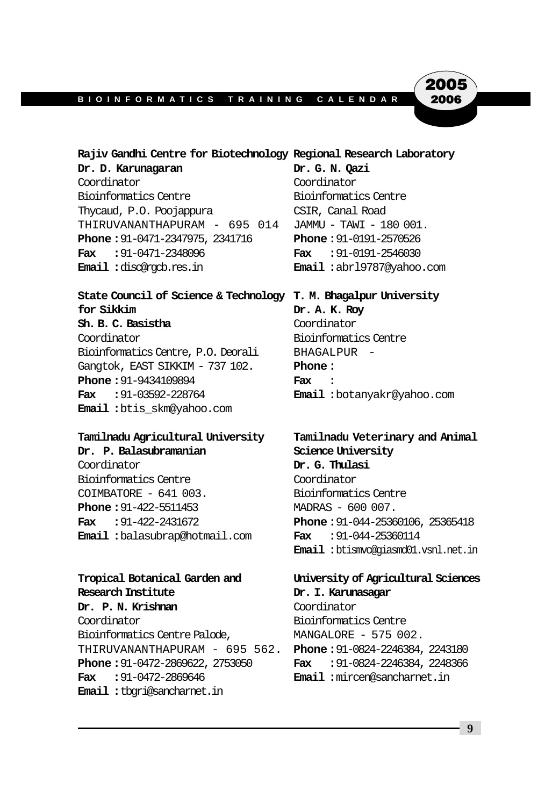2005 2006

#### **Rajiv Gandhi Centre for Biotechnology Regional Research Laboratory**

**Dr. D. Karunagaran Dr. G. N. Qazi** Coordinator Coordinator Bioinformatics Centre Bioinformatics Centre Thycaud, P.O. Poojappura CSIR, Canal Road THIRUVANANTHAPURAM - 695 014 JAMMU - TAWI - 180 001. **Phone :**91-0471-2347975, 2341716 **Phone :**91-0191-2570526 **Fax :**91-0471-2348096 **Fax :**91-0191-2546030 **Email :**disc@rgcb.res.in **Email :**abrl9787@yahoo.com

#### **State Council of Science & Technology T. M. Bhagalpur University for Sikkim Dr. A. K. Roy**

**Sh. B. C. Basistha** Coordinator Coordinator Bioinformatics Centre Bioinformatics Centre, P.O. Deorali BHAGALPUR - Gangtok, EAST SIKKIM - 737 102. **Phone: Phone :**91-9434109894 **Fax : Fax :**91-03592-228764 **Email :**botanyakr@yahoo.com **Email :**btis\_skm@yahoo.com

#### **Tamilnadu Agricultural University Tamilnadu Veterinary and Animal**

**Dr. P. Balasubramanian Science University** Coordinator **Dr. G. Thulasi** Bioinformatics Centre Coordinator COIMBATORE - 641 003. Bioinformatics Centre **Phone: 91-422-5511453** MADRAS - 600 007. **Email :**balasubrap@hotmail.com **Fax :**91-044-25360114

#### **Tropical Botanical Garden and University of Agricultural Sciences Research Institute Dr. I. Karunasagar**

**Dr. P. N. Krishnan** Coordinator Coordinator Bioinformatics Centre Bioinformatics Centre Palode, MANGALORE - 575 002. THIRUVANANTHAPURAM - 695 562. **Phone :**91-0824-2246384, 2243180 **Phone :**91-0472-2869622, 2753050 **Fax :**91-0824-2246384, 2248366 **Fax :**91-0472-2869646 **Email :**mircen@sancharnet.in **Email :**tbgri@sancharnet.in

**Fax :**91-422-2431672 **Phone :**91-044-25360106, 25365418 **Email :**btismvc@giasmd01.vsnl.net.in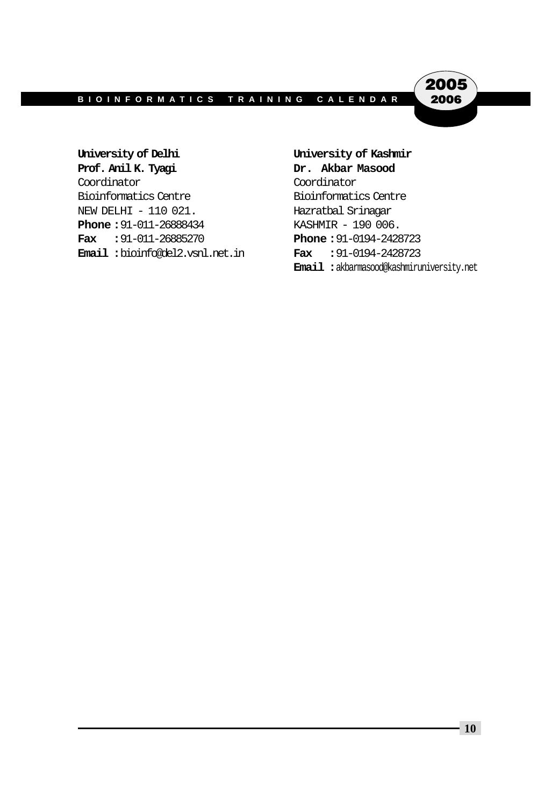$\hat{2}005$ 2006

**University of Delhi University of Kashmir Prof. Anil K. Tyagi Dr. Akbar Masood** Coordinator Coordinator Bioinformatics Centre Bioinformatics Centre NEW DELHI - 110 021. Hazratbal Srinagar **Phone :** 91-011-26888434 KASHMIR - 190 006. **Fax :**91-011-26885270 **Phone :**91-0194-2428723 **Email :**bioinfo@del2.vsnl.net.in **Fax :**91-0194-2428723

# **Email :**akbarmasood@kashmiruniversity.net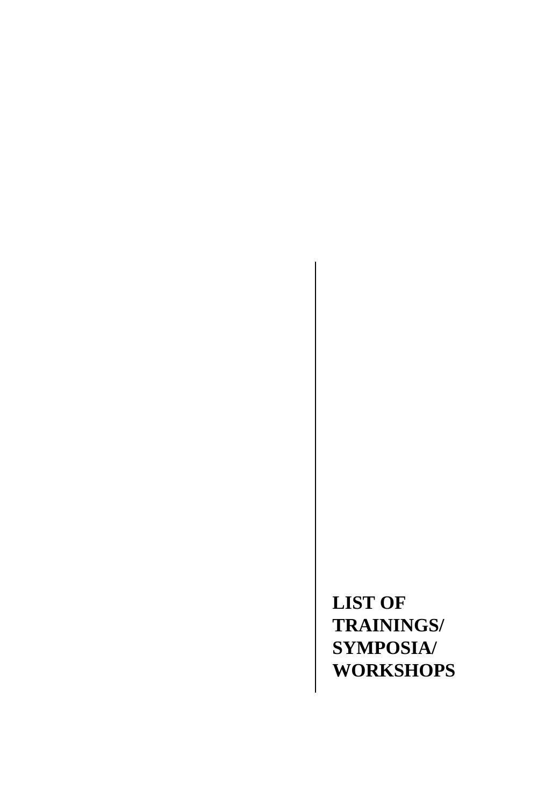**LIST OF TRAININGS/ SYMPOSIA/ WORKSHOPS**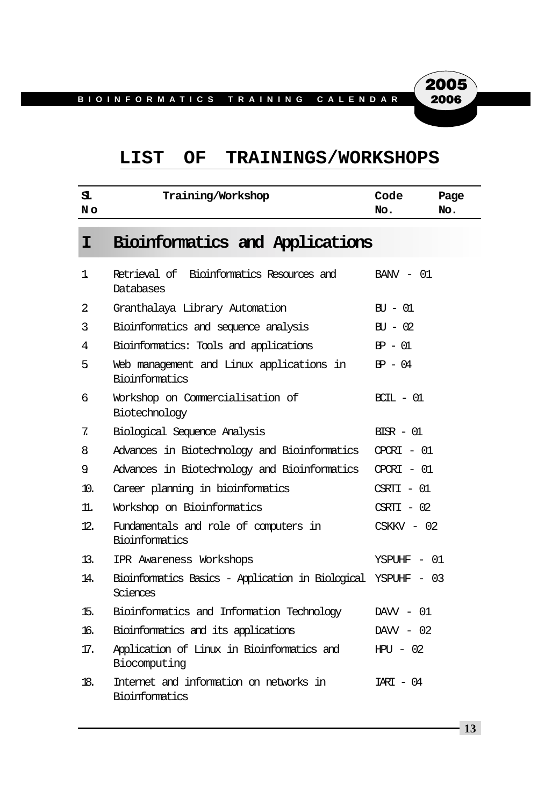#### **LIST OF TRAININGS/WORKSHOPS**

| s.<br>No. | Training/Workshop                                                         | Code<br>No.          | Page<br>No. |
|-----------|---------------------------------------------------------------------------|----------------------|-------------|
| I         | Bioinformatics and Applications                                           |                      |             |
| 1         | Retrieval of Bioinformatics Resources and<br>Databases                    | $BANV - 01$          |             |
| 2         | Granthalaya Library Automation                                            | $\text{BU} - 01$     |             |
| 3         | Bioinformatics and sequence analysis                                      | $\text{BU} - 02$     |             |
| 4         | Bioinformatics: Tools and applications                                    | $BP - 01$            |             |
| 5.        | Web management and Linux applications in<br><b>Bioinformatics</b>         | $BP - 04$            |             |
| 6         | Workshop on Commercialisation of<br>Biotechnology                         | $RTL - 01$           |             |
| 7.        | Biological Sequence Analysis                                              | $BIR - 01$           |             |
| 8         | Advances in Biotechnology and Bioinformatics                              | $CPCRI - 01$         |             |
| 9.        | Advances in Biotechnology and Bioinformatics                              | $CPCRI - 01$         |             |
| 10.       | Career planning in bioinformatics                                         | $C\!S\!R\!T\!I - 01$ |             |
| 11.       | Workshop on Bioinformatics                                                | $C\!S\!R\!T\!T - 02$ |             |
| 12.       | Fundamentals and role of computers in<br>Bioinformatics                   | $CSKKV - 02$         |             |
| 13.       | IPR Awareness Workshops                                                   | YSPUHF - 01          |             |
| 14.       | Bioinformatics Basics - Application in Biological YSPUHF - 03<br>Sciences |                      |             |
| 15.       | Bioinformatics and Information Technology                                 | $DAW - 01$           |             |
| 16.       | Bioinformatics and its applications                                       | $DAWV - 02$          |             |
| 17.       | Application of Linux in Bioinformatics and<br>Biocomputing                | $HPU - 02$           |             |
| 18.       | Internet and information on networks in<br>Bioinformatics                 | $IART - 04$          |             |

**13**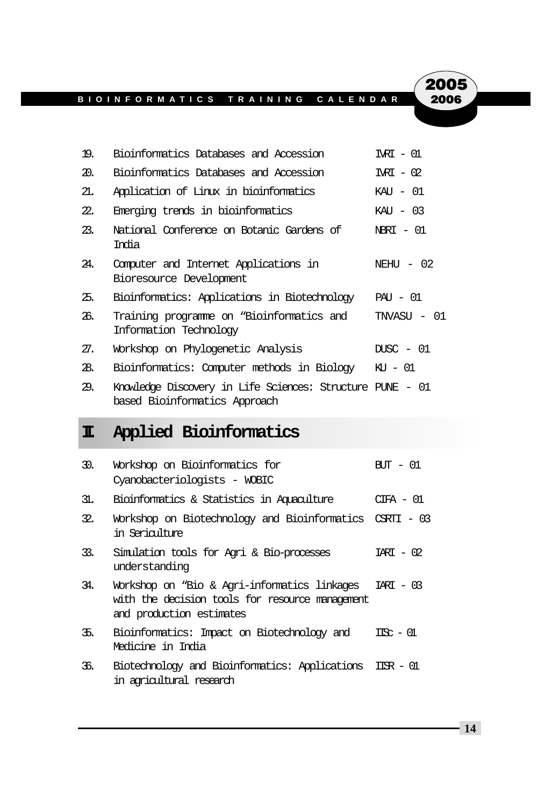**2005**<br>2006

| 19. | Bioinformatics Databases and Accession                                                     | $IRI - 01$  |
|-----|--------------------------------------------------------------------------------------------|-------------|
| 20. | Bioinformatics Databases and Accession                                                     | $IRI - 02$  |
| 21. | Application of Linux in bioinformatics                                                     | KAU - 01    |
| 22. | Emerging trends in bioinformatics                                                          | $KAI - 03$  |
| 23. | National Conference on Botanic Gardens of<br>Troia                                         | NBRT - 01   |
| 24. | Computer and Internet Applications in<br>Bioresource Development                           | NEHU $-02$  |
| 25. | Bioinformatics: Applications in Biotechnology                                              | $PAU - 01$  |
| 26. | Training programme on "Bioinformatics and<br>Information Technology                        | TNVASU - 01 |
| 27. | Workshop on Phylogenetic Analysis                                                          | $DISC - 01$ |
| 28. | Bioinformatics: Computer methods in Biology                                                | KU - 01     |
| 29. | Knowledge Discovery in Life Sciences: Structure PUNE – 01<br>based Bioinformatics Approach |             |

## **II. Applied Bioinformatics**

| 30. | Workshop on Bioinformatics for<br>Cyanobacteriologists - WOBIC                                                                        | $\text{HT} - 01$         |
|-----|---------------------------------------------------------------------------------------------------------------------------------------|--------------------------|
| 31. | Bioinformatics & Statistics in Aquaculture                                                                                            | CTFA - 01                |
| 32. | Workshop on Biotechnology and Bioinformatics CSRII - 03<br>in Serigulture                                                             |                          |
| 33. | Simulation tools for Agri & Bio-processes<br>understanding                                                                            | $TART - 02$              |
| 34. | Workshop on "Bio & Agri-informatics linkages IARI - 03<br>with the decision tools for resource management<br>and production estimates |                          |
| 35. | Bioinformatics: Impact on Biotechnology and<br>Medicine in India                                                                      | $\text{TR}$ - $\text{M}$ |
| 36. | Biotechnology and Bioinformatics: Applications ISR - 01<br>in agricultural research                                                   |                          |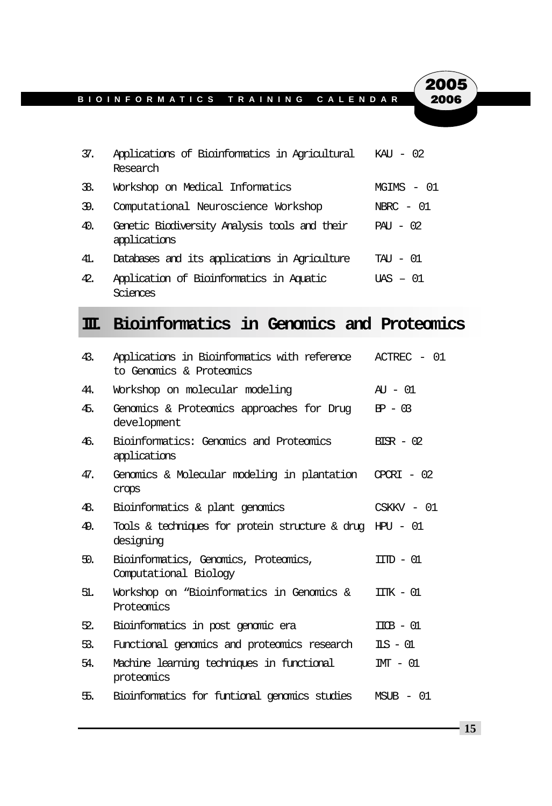2005 2006

| 37. | Applications of Bioinformatics in Agricultural<br>Research    | $KAI - 02$   |
|-----|---------------------------------------------------------------|--------------|
| 38. | Workshop on Medical Informatics                               | $MGIMS - 01$ |
| 39. | Computational Neuroscience Workshop                           | $NRRC - 01$  |
| 40. | Genetic Biodiversity Analysis tools and their<br>applications | $PAU - 02$   |
| 41. | Databases and its applications in Agriculture                 | $TAT - 01$   |
| 42. | Application of Bioinformatics in Aquatic<br>'i Ances          | $ITAS - 01$  |

## **III. Bioinformatics in Genomics and Proteomics**

| 43. | Applications in Bioinformatics with reference<br>to Genomics & Proteomics | $ACTREC - 01$             |
|-----|---------------------------------------------------------------------------|---------------------------|
| 44. | Workshop on molecular modeling                                            | $AY - 01$                 |
| 45. | Genomics & Proteomics approaches for Drug<br>development                  | $FP - 03$                 |
| 46. | Bioinformatics: Genomics and Proteomics<br>applications                   | $BIR - 02$                |
| 47. | Genomics & Molecular modeling in plantation<br>crops                      | $CPCRI - 02$              |
| 48. | Bioinformatics & plant genomics                                           | $CSKKV - 01$              |
| 49. | Tools & techniques for protein structure & drug HPU – 01<br>desioning     |                           |
| 50. | Bioinformatics, Genomics, Proteomics,<br>Computational Biology            | $TTID - 01$               |
| 51. | Workshop on "Bioinformatics in Genomics &<br>Proteomics                   | $\Pi$ K – 01              |
| 52. | Bioinformatics in post genomic era                                        | $TTR - M$                 |
| 53. | Functional genomics and proteomics research                               | $\text{II-S} - \text{OL}$ |
| 54. | Machine learning techniques in functional<br>proteomics                   | $m - 01$                  |
| 卐.  | Bioinformatics for funtional genomics studies                             | $MSTB - 01$               |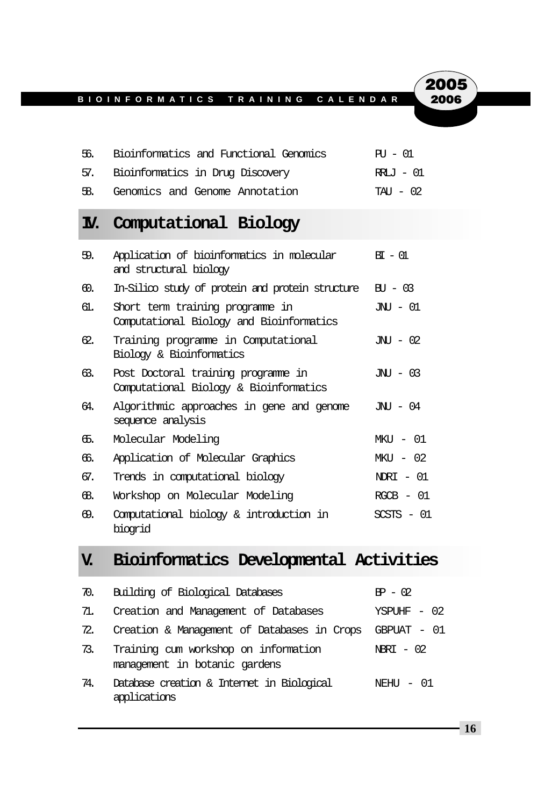| 56. | Bioinformatics and Functional Genomics | ਸਾ – 01   |
|-----|----------------------------------------|-----------|
|     | 57. Bioinformatics in Drug Discovery   | RRLJ - 01 |
|     | 58. Genomics and Genome Annotation     | TAU - 02  |

## **IV. Computational Biology**

| 59. | Application of bioinformatics in molecular<br>and structural biology          | $BT - M$             |
|-----|-------------------------------------------------------------------------------|----------------------|
| ඟ.  | In-Silico study of protein and protein structure                              | $\overline{H1} - 03$ |
| б1. | Short term training programme in<br>Computational Biology and Bioinformatics  | JNU - 01             |
| 62. | Training programme in Computational<br>Biology & Bioinformatics               | JNTI - 02            |
| 63. | Post Doctoral training programme in<br>Computational Biology & Bioinformatics | $JNI - 03$           |
| 64. | Algorithmic approaches in gene and genome<br>sequence analysis                | JNJ - 04             |
| ௧.  | Molecular Modeling                                                            | MKTI - 01            |
| 66. | Application of Molecular Graphics                                             | $MKT - 02$           |
| 67. | Trends in computational biology                                               | $N$ DRT – 01         |
| යි. | Workshop on Molecular Modeling                                                | $RCCB - 01$          |
| 69. | Computational biology & introduction in<br>biogrid                            | $SCSTS - 01$         |

## **V. Bioinformatics Developmental Activities**

| 70. | Building of Biological Databases                                      | $BP - 02$   |
|-----|-----------------------------------------------------------------------|-------------|
| 71. | Creation and Management of Databases                                  | YSPUHF - 02 |
| 72. | Creation & Management of Databases in Crops                           | GBPUAT - 01 |
| 73. | Training cum workshop on information<br>management in botanic gardens | NERT - 02   |
| 74. | Database creation & Internet in Biological<br>applications            | NEHIJ – 01  |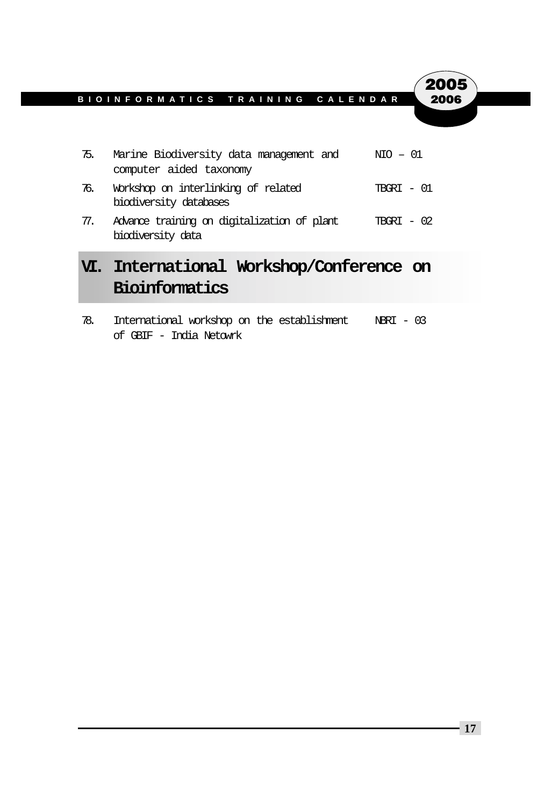|     | VI. International Workshop/Conference on<br>Bioinformatics         |              |
|-----|--------------------------------------------------------------------|--------------|
| 77. | Advance training on digitalization of plant<br>biodiversity data   | $TRART - 02$ |
| 76. | Workshop on interlinking of related<br>biodiversity databases      | $TRART - 01$ |
| 75. | Marine Biodiversity data management and<br>computer aided taxonomy | $NTO - 01$   |

78. International workshop on the establishment NBRI - 03 of GBIF - India Netowrk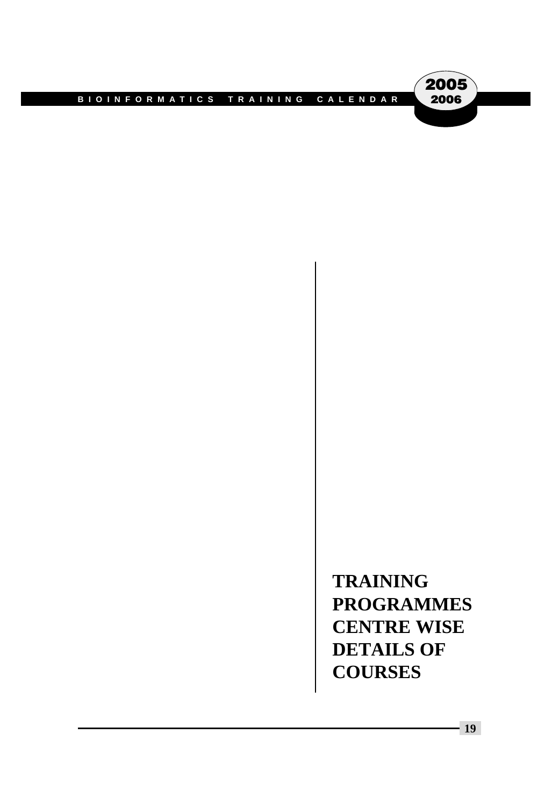

**TRAINING PROGRAMMES CENTRE WISE DETAILS OF COURSES**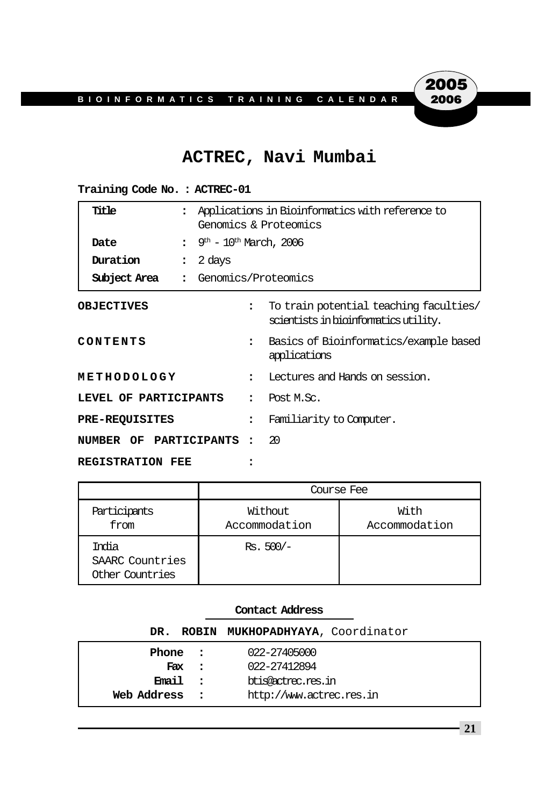## **ACTREC, Navi Mumbai**

| Title<br>$\ddot{\phantom{a}}$ |                                |                                                | Applications in Bioinformatics with reference to<br>Genomics & Proteomics       |  |
|-------------------------------|--------------------------------|------------------------------------------------|---------------------------------------------------------------------------------|--|
| Date                          | $\ddot{\cdot}$                 | $9^{\text{th}}$ – $10^{\text{th}}$ March, 2006 |                                                                                 |  |
| Duration                      | 2 days<br>$\ddot{\phantom{a}}$ |                                                |                                                                                 |  |
| Subject Area                  | : Genomics/Proteomics          |                                                |                                                                                 |  |
| <b>OBJECTIVES</b>             |                                | $\ddot{\phantom{a}}$                           | To train potential teaching faculties/<br>scientists in bioinformatics utility. |  |
| CONTENTS                      |                                | $\ddot{\phantom{a}}$                           | Basics of Bioinformatics/example based<br>applications                          |  |
| METHODOLOGY                   |                                | $\ddot{\phantom{a}}$                           | Lectures and Hands on session.                                                  |  |
| LEVEL OF PARTICIPANTS         |                                | $\ddot{\phantom{a}}$                           | Post M.Sc.                                                                      |  |
| <b>PRE-REQUISITES</b>         |                                | $\ddot{\phantom{a}}$                           | Familiarity to Computer.                                                        |  |
| NUMBER OF PARTICIPANTS        |                                |                                                | -20                                                                             |  |
| <b>REGISTRATION FEE</b>       |                                |                                                |                                                                                 |  |

| Training Code No.: ACTREC-01 |  |
|------------------------------|--|
|------------------------------|--|

|                                             | Course Fee               |                       |  |  |
|---------------------------------------------|--------------------------|-----------------------|--|--|
| Participants<br>from                        | Without<br>Accommodation | With<br>Accommodation |  |  |
| India<br>SAARC Countries<br>Other Countries | $Rs. 500/-$              |                       |  |  |

|             |            | DR. ROBIN MUKHOPADHYAYA, Coordinator |
|-------------|------------|--------------------------------------|
| Phone :     |            | 022-27405000                         |
|             | Fax :      | 022-27412894                         |
| Email :     |            | btis@ectrec.res.in                   |
| Web Address | $\sim$ 2.1 | http://www.actrec.res.in             |

**2005**<br>2006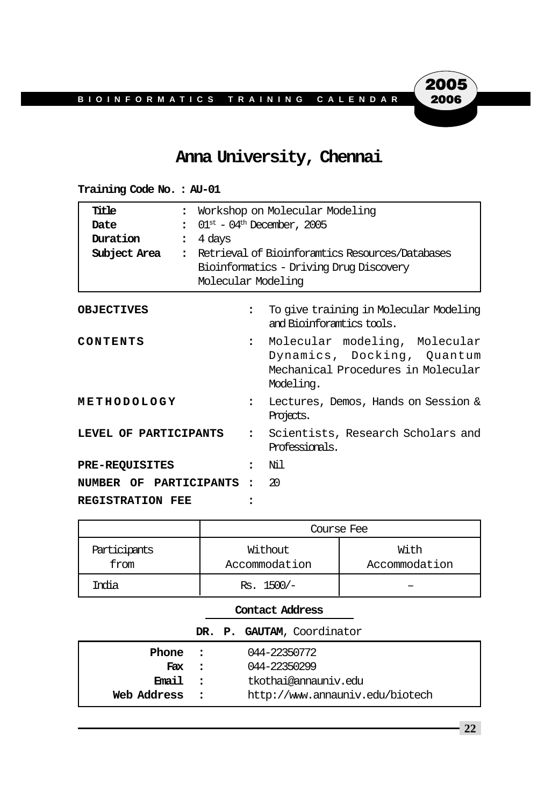#### **Anna University, Chennai**

| Title<br>$\ddot{\cdot}$<br>Date<br>Duration<br>$\ddot{\phantom{a}}$<br>Subject Area | 4 days               | Workshop on Molecular Modeling<br>$\div$ 01 <sup>st</sup> – 04 <sup>th</sup> December, 2005<br>: Retrieval of Bioinforamtics Resources/Databases<br>Bioinformatics - Driving Drug Discovery<br>Molecular Modeling |  |  |
|-------------------------------------------------------------------------------------|----------------------|-------------------------------------------------------------------------------------------------------------------------------------------------------------------------------------------------------------------|--|--|
| <b>OBJECTIVES</b>                                                                   | $\ddot{\phantom{a}}$ | To give training in Molecular Modeling<br>and Bioinforamtics tools.                                                                                                                                               |  |  |
| CONTENTS                                                                            | $\ddot{\phantom{a}}$ | Molecular modeling, Molecular<br>Dynamics, Docking, Quantum<br>Mechanical Procedures in Molecular<br>Modeling.                                                                                                    |  |  |
| METHODOLOGY                                                                         | $\ddot{\phantom{a}}$ | Lectures, Demos, Hands on Session &<br>Projects.                                                                                                                                                                  |  |  |
| LEVEL OF PARTICIPANTS                                                               |                      | Scientists, Research Scholars and<br>$\mathbf{r}$<br>Professionals.                                                                                                                                               |  |  |
| <b>PRE-REQUISITES</b>                                                               | $\ddot{\phantom{a}}$ | Ni 1                                                                                                                                                                                                              |  |  |
| NUMBER OF PARTICIPANTS                                                              |                      | 20                                                                                                                                                                                                                |  |  |
| <b>REGISTRATION FEE</b>                                                             |                      |                                                                                                                                                                                                                   |  |  |

**Training Code No. : AU-01**

|                      | Course Fee               |                       |  |
|----------------------|--------------------------|-----------------------|--|
| Participants<br>from | Without<br>Accommodation | With<br>Accommodation |  |
| Tmlia                | $Rs. 1500/-$             |                       |  |

#### **Contact Address**

|  |  | DR. P. GAUTAM, Coordinator |
|--|--|----------------------------|
|  |  |                            |

| Phone       | $\sim$ $\sim$ $\sim$ | 044-22350772                    |
|-------------|----------------------|---------------------------------|
| Fax :       |                      | 044-22350299                    |
| Email :     |                      | tkothai@annauniv.edu            |
| Web Address |                      | http://www.annauniv.edu/biotech |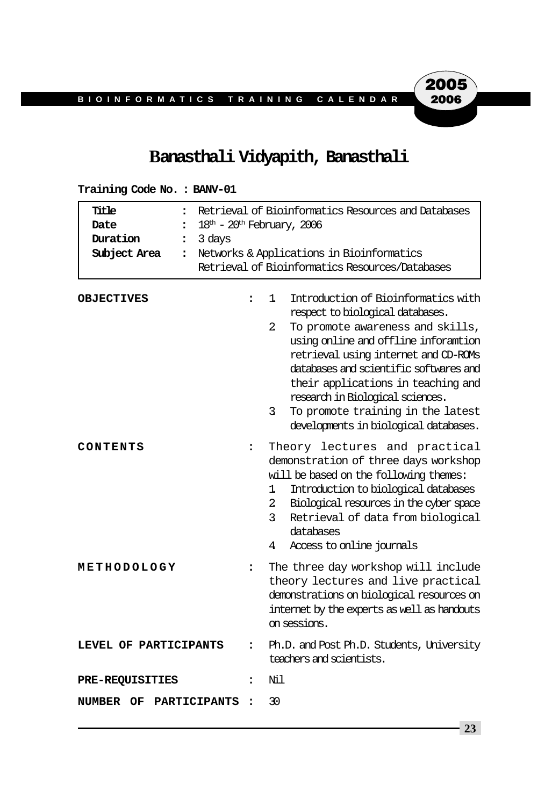#### **Banasthali Vidyapith, Banasthali**

| Title<br>$\ddot{\phantom{a}}$<br>Date<br>$\ddot{\phantom{a}}$<br>Duration<br>3 days<br>$\ddot{\phantom{a}}$<br>Subject Area<br>$\ddot{\phantom{a}}$ |                      | Retrieval of Bioinformatics Resources and Databases<br>$18th - 20th$ February, 2006<br>Networks & Applications in Bioinformatics<br>Retrieval of Bioinformatics Resources/Databases                                                                                                                                                                                                                           |
|-----------------------------------------------------------------------------------------------------------------------------------------------------|----------------------|---------------------------------------------------------------------------------------------------------------------------------------------------------------------------------------------------------------------------------------------------------------------------------------------------------------------------------------------------------------------------------------------------------------|
| <b>OBJECTIVES</b>                                                                                                                                   | $\ddot{\phantom{a}}$ | Introduction of Bioinformatics with<br>1.<br>respect to biological databases.<br>To promote awareness and skills,<br>2<br>using online and offline inforamtion<br>retrieval using internet and CD-ROMs<br>databases and scientific softwares and<br>their applications in teaching and<br>research in Biological sciences.<br>To promote training in the latest<br>3<br>developments in biological databases. |
| CONTENTS                                                                                                                                            | $\ddot{\cdot}$       | Theory lectures and practical<br>demonstration of three days workshop<br>will be based on the following themes:<br>Introduction to biological databases<br>1.<br>Biological resources in the cyber space<br>$\overline{2}$<br>3<br>Retrieval of data from biological<br>databases<br>Access to online journals<br>4                                                                                           |
| METHODOLOGY                                                                                                                                         | $\ddot{\phantom{a}}$ | The three day workshop will include<br>theory lectures and live practical<br>demonstrations on biological resources on<br>internet by the experts as well as handouts<br>on sessions.                                                                                                                                                                                                                         |
| LEVEL OF PARTICIPANTS                                                                                                                               | $\ddot{\cdot}$       | Ph.D. and Post Ph.D. Students, University<br>teachers and scientists.                                                                                                                                                                                                                                                                                                                                         |
| <b>PRE-REQUISITIES</b>                                                                                                                              | $\ddot{\phantom{a}}$ | Ni 1                                                                                                                                                                                                                                                                                                                                                                                                          |
| NUMBER OF<br>PARTICIPANTS                                                                                                                           | $\ddot{\phantom{a}}$ | 30                                                                                                                                                                                                                                                                                                                                                                                                            |

**Training Code No. : BANV-01**

**23**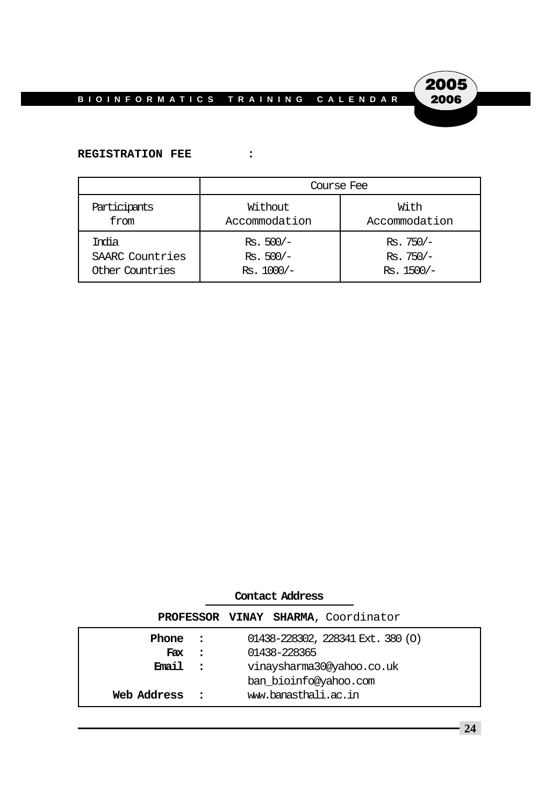

#### **REGISTRATION FEE :**

|                 | Course Fee    |               |  |
|-----------------|---------------|---------------|--|
| Participants    | Without       | With          |  |
| from            | Accommodation | Accommodation |  |
| Trolia          | $Rs. 500/-$   | $Rs.750/-$    |  |
| SAARC Countries | $Rs. 500/-$   | $Rs.750/-$    |  |
| Other Countries | $Rs. 1000/-$  | $Rs. 1500/-$  |  |

#### **Contact Address**

|             |         | PROFESSOR VINAY SHARMA, Coordinator      |
|-------------|---------|------------------------------------------|
| Phone :     |         | $01438 - 228302$ , $228341$ Ext. 380 (O) |
| Fax         | $\cdot$ | 01438-228365                             |
| Email :     |         | vinaysharma30@yahoo.co.uk                |
|             |         | ban_bioinfo@yahoo.com                    |
| Web Address |         | www.banasthali.ac.in                     |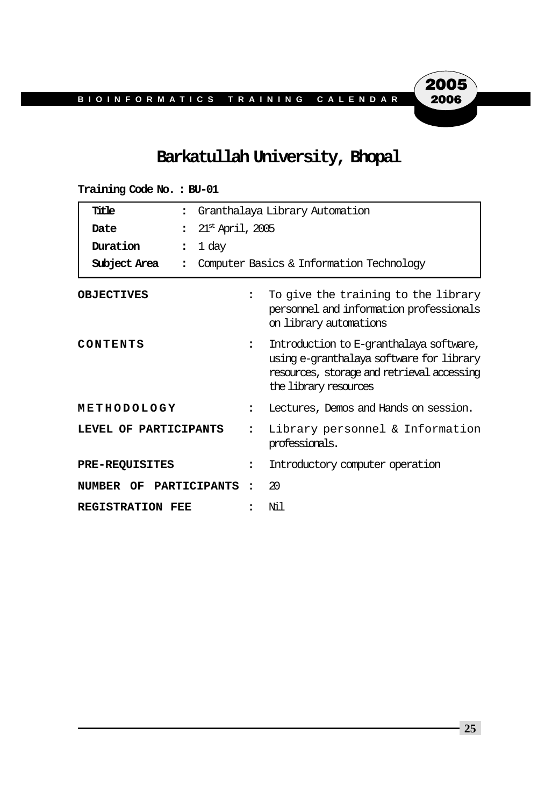### **Barkatullah University, Bhopal**

| Title<br>$\ddot{\phantom{a}}$        | Granthalaya Library Automation                                                                                                                                                     |  |  |
|--------------------------------------|------------------------------------------------------------------------------------------------------------------------------------------------------------------------------------|--|--|
| Date<br>$\ddot{\cdot}$               | $21st$ April, 2005                                                                                                                                                                 |  |  |
| Duration<br>$\ddot{\cdot}$           | 1 day                                                                                                                                                                              |  |  |
| Subject Area<br>$\ddot{\phantom{a}}$ | Computer Basics & Information Technology                                                                                                                                           |  |  |
| <b>OBJECTIVES</b>                    | To give the training to the library<br>$\ddot{\phantom{a}}$<br>personnel and information professionals<br>on library automations                                                   |  |  |
| CONTENTS                             | Introduction to E-granthalaya software,<br>$\ddot{\phantom{a}}$<br>using e-granthalaya software for library<br>resources, storage and retrieval accessing<br>the library resources |  |  |
| METHODOLOGY                          | Lectures, Demos and Hands on session.<br>$\ddot{\phantom{a}}$                                                                                                                      |  |  |
| LEVEL OF PARTICIPANTS                | Library personnel & Information<br>professionals.                                                                                                                                  |  |  |
| <b>PRE-REQUISITES</b>                | Introductory computer operation<br>$\ddot{\phantom{a}}$                                                                                                                            |  |  |
| <b>PARTICIPANTS</b><br>NUMBER<br>OF  | 20<br>$\ddot{\phantom{a}}$                                                                                                                                                         |  |  |
| <b>REGISTRATION FEE</b>              | Ni l                                                                                                                                                                               |  |  |

#### **Training Code No. : BU-01**

**25**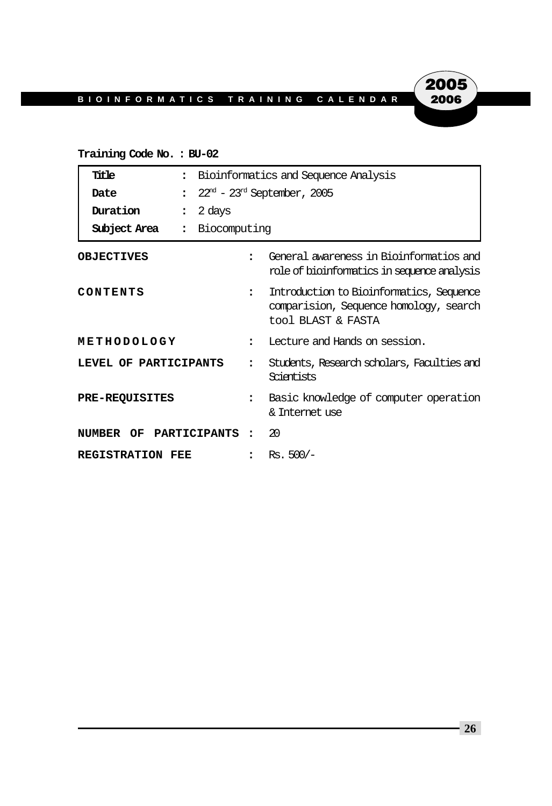## 2005 2006

#### **Training Code No. : BU-02**

| Title<br>$\ddot{\phantom{a}}$ |                      | Bioinformatics and Sequence Analysis                                                                     |  |  |
|-------------------------------|----------------------|----------------------------------------------------------------------------------------------------------|--|--|
| Date<br>$\ddot{\phantom{a}}$  |                      | $22nd$ – $23rd$ September, 2005                                                                          |  |  |
| Duration<br>$\ddot{\cdot}$    | 2 days               |                                                                                                          |  |  |
| Subject Area :                | Biocomputing         |                                                                                                          |  |  |
| <b>OBJECTIVES</b>             | $\ddot{\phantom{a}}$ | General awareness in Bioinformatios and<br>role of bioinformatics in sequence analysis                   |  |  |
| CONTENTS                      | $\ddot{\phantom{a}}$ | Introduction to Bioinformatics, Sequence<br>comparision, Sequence homology, search<br>tool BLAST & FASTA |  |  |
| METHODOLOGY                   | $\ddot{\phantom{a}}$ | Lecture and Hands on session.                                                                            |  |  |
| LEVEL OF PARTICIPANTS         |                      | Students, Research scholars, Faculties and<br>Scientists                                                 |  |  |
| <b>PRE-REQUISITES</b>         | $\ddot{\phantom{a}}$ | Basic knowledge of computer operation<br>& Internet use                                                  |  |  |
| NUMBER OF PARTICIPANTS:       |                      | 20                                                                                                       |  |  |
| REGISTRATION FEE              | $\ddot{\phantom{a}}$ | $Rs.500/-$                                                                                               |  |  |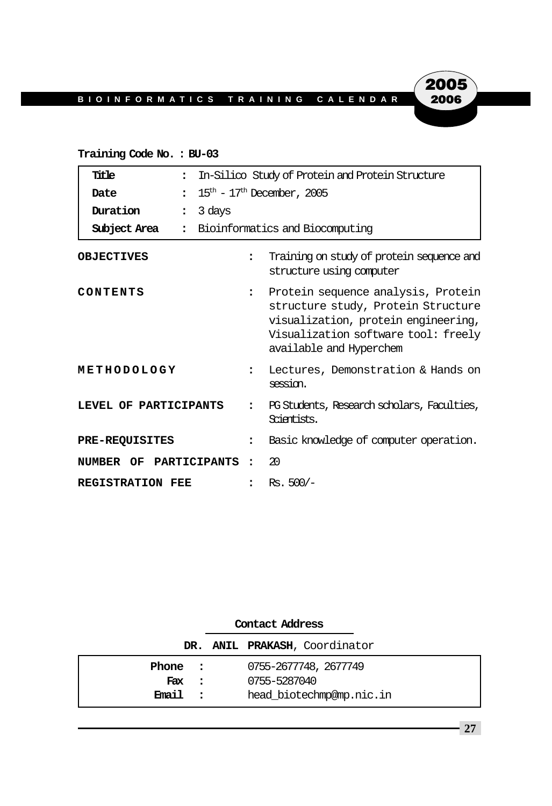## 2005 2006

#### **Training Code No. : BU-03**

| Title<br>$\ddot{\phantom{a}}$  | In-Silico Study of Protein and Protein Structure |                                                                                                                                                                                   |  |
|--------------------------------|--------------------------------------------------|-----------------------------------------------------------------------------------------------------------------------------------------------------------------------------------|--|
| $\ddot{\cdot}$<br>Date         | $15th$ – 17 <sup>th</sup> December, 2005         |                                                                                                                                                                                   |  |
| Duration<br>$\ddot{\cdot}$     | 3 days                                           |                                                                                                                                                                                   |  |
| Subject Area<br>$\ddot{\cdot}$ |                                                  | Bioinformatics and Biocomputing                                                                                                                                                   |  |
| <b>OBJECTIVES</b>              | $\ddot{\phantom{a}}$                             | Training on study of protein sequence and<br>structure using computer                                                                                                             |  |
| CONTENTS                       | $\ddot{\phantom{a}}$                             | Protein sequence analysis, Protein<br>structure study, Protein Structure<br>visualization, protein engineering,<br>Visualization software tool: freely<br>available and Hyperchem |  |
| METHODOLOGY                    | $\ddot{\phantom{a}}$                             | Lectures, Demonstration & Hands on<br>session.                                                                                                                                    |  |
| LEVEL OF PARTICIPANTS          |                                                  | PG Students, Research scholars, Faculties,<br>Scientists.                                                                                                                         |  |
| <b>PRE-REQUISITES</b>          | $\ddot{\phantom{a}}$                             | Basic knowledge of computer operation.                                                                                                                                            |  |
| PARTICIPANTS<br>NUMBER OF      | $\bullet$                                        | 20                                                                                                                                                                                |  |
| <b>REGISTRATION FEE</b>        |                                                  | $Rs. 500/-$                                                                                                                                                                       |  |

|         |          | DR. ANIL PRAKASH, Coordinator |
|---------|----------|-------------------------------|
| Phone : |          | 0755-2677748, 2677749         |
| Fax :   |          | 0755-5287040                  |
| Email   | $\sim$ 2 | head biotechmp@mp.nic.in      |

## **Contact Address**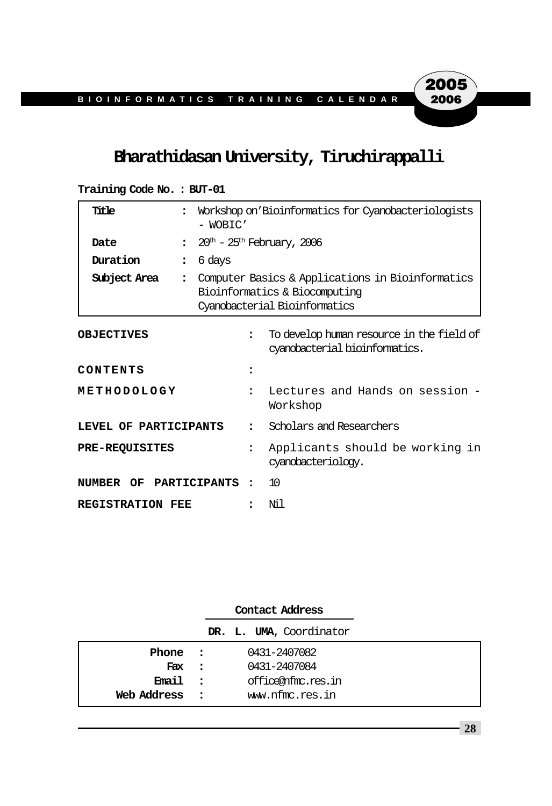#### **Bharathidasan University, Tiruchirappalli**

| Title                   |                                | Workshop on 'Bioinformatics for Cyanobacteriologists<br>- WOBIC'                                                   |                                                                             |  |
|-------------------------|--------------------------------|--------------------------------------------------------------------------------------------------------------------|-----------------------------------------------------------------------------|--|
| Date                    | $\ddot{\phantom{a}}$           |                                                                                                                    | $20th$ – $25th$ February, 2006                                              |  |
| Duration                | 6 days<br>$\ddot{\phantom{a}}$ |                                                                                                                    |                                                                             |  |
| Subject Area            | $\ddot{\phantom{a}}$           | Computer Basics & Applications in Bioinformatics<br>Bioinformatics & Biocomputing<br>Cyanobacterial Bioinformatics |                                                                             |  |
| <b>OBJECTIVES</b>       |                                | $\ddot{\phantom{a}}$                                                                                               | To develop human resource in the field of<br>cyandoacterial bioinformatics. |  |
| CONTENTS                |                                |                                                                                                                    |                                                                             |  |
| METHODOLOGY             |                                | $\ddot{\phantom{a}}$                                                                                               | Lectures and Hands on session -<br>Workshop                                 |  |
| LEVEL OF PARTICIPANTS   |                                | $\ddot{\cdot}$                                                                                                     | Scholars and Researchers                                                    |  |
| <b>PRE-REQUISITES</b>   |                                | $\ddot{\phantom{a}}$                                                                                               | Applicants should be working in<br>cyanobacteriology.                       |  |
| NUMBER OF PARTICIPANTS: |                                |                                                                                                                    | 10                                                                          |  |
| REGISTRATION FEE        |                                |                                                                                                                    | Ni 1                                                                        |  |

**Training Code No. : BUT-01**

|               | Contact Address         |  |
|---------------|-------------------------|--|
|               | DR. L. UMA, Coordinator |  |
| Phone :       | 0431-2407082            |  |
| Fax :         | 0431-2407084            |  |
| Email :       | office@nfmc.res.in      |  |
| Web Address : | www.nfmc.res.in         |  |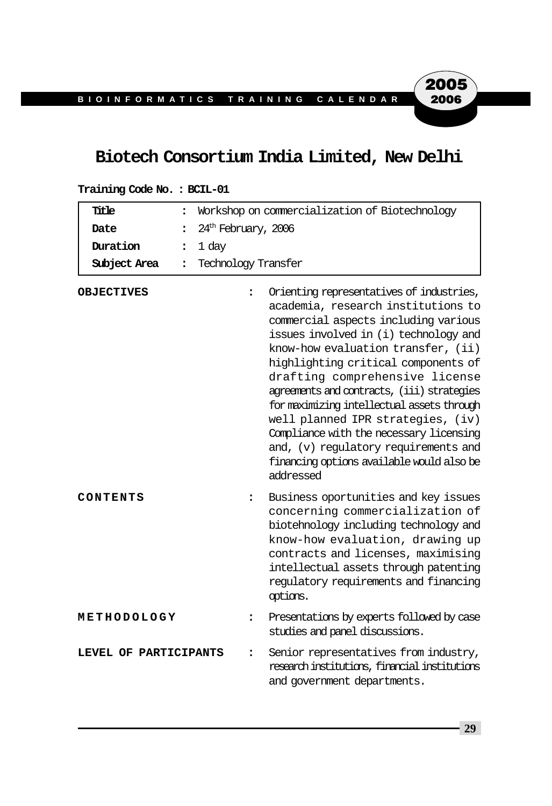#### **Biotech Consortium India Limited, New Delhi**

| Title<br>$\ddot{\phantom{a}}$        |                      | Workshop on commercialization of Biotechnology                                                                                                                                                                                                                                                                                                                                                                                                                                                                                                               |  |  |
|--------------------------------------|----------------------|--------------------------------------------------------------------------------------------------------------------------------------------------------------------------------------------------------------------------------------------------------------------------------------------------------------------------------------------------------------------------------------------------------------------------------------------------------------------------------------------------------------------------------------------------------------|--|--|
| Date<br>$\ddot{\phantom{a}}$         |                      | $24th$ February, 2006                                                                                                                                                                                                                                                                                                                                                                                                                                                                                                                                        |  |  |
| Duration<br>፡                        | 1 day                |                                                                                                                                                                                                                                                                                                                                                                                                                                                                                                                                                              |  |  |
| Subject Area<br>$\ddot{\phantom{a}}$ | Technology Transfer  |                                                                                                                                                                                                                                                                                                                                                                                                                                                                                                                                                              |  |  |
| <b>OBJECTIVES</b>                    | $\ddot{\phantom{a}}$ | Orienting representatives of industries,<br>academia, research institutions to<br>commercial aspects including various<br>issues involved in (i) technology and<br>know-how evaluation transfer, (ii)<br>highlighting critical components of<br>drafting comprehensive license<br>agreements and contracts, (iii) strategies<br>for maximizing intellectual assets through<br>well planned IPR strategies, (iv)<br>Compliance with the necessary licensing<br>and, (v) regulatory requirements and<br>financing options available would also be<br>addressed |  |  |
| CONTENTS                             | $\ddot{\cdot}$       | Business oportunities and key issues<br>concerning commercialization of<br>biotehnology including technology and<br>know-how evaluation, drawing up<br>contracts and licenses, maximising<br>intellectual assets through patenting<br>regulatory requirements and financing<br>options.                                                                                                                                                                                                                                                                      |  |  |
| METHODOLOGY                          | :                    | Presentations by experts followed by case<br>studies and panel discussions.                                                                                                                                                                                                                                                                                                                                                                                                                                                                                  |  |  |
| LEVEL OF PARTICIPANTS                | ፡                    | Senior representatives from industry,<br>research institutions, financial institutions<br>and government departments.                                                                                                                                                                                                                                                                                                                                                                                                                                        |  |  |

#### **Training Code No. : BCIL-01**

**29**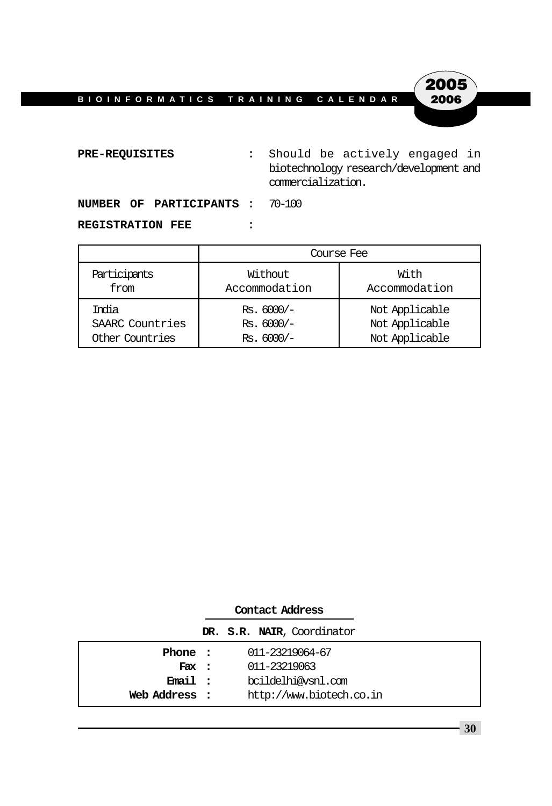

**PRE-REQUISITES :** Should be actively engaged in biotechnology research/development and commercialization.

**NUMBER OF PARTICIPANTS :** 70-100

#### **REGISTRATION FEE :**

|                 | Course Fee    |                |  |  |  |  |
|-----------------|---------------|----------------|--|--|--|--|
| Participants    | Without       | With           |  |  |  |  |
| from            | Accommodation | Accommodation  |  |  |  |  |
| Trolia          | $Rs. 6000/-$  | Not Applicable |  |  |  |  |
| SAARC Countries | $Rs. 6000/-$  | Not Applicable |  |  |  |  |
| Other Countries | $Rs. 6000/-$  | Not Applicable |  |  |  |  |

|               | Contact Address |                            |
|---------------|-----------------|----------------------------|
|               |                 | DR. S.R. NAIR, Coordinator |
| Phone :       |                 | 011-23219064-67            |
| Fix:          |                 | 011-23219063               |
| Email :       |                 | bcildelhi@vsnl.com         |
| Web Address : |                 | http://www.biotech.co.in   |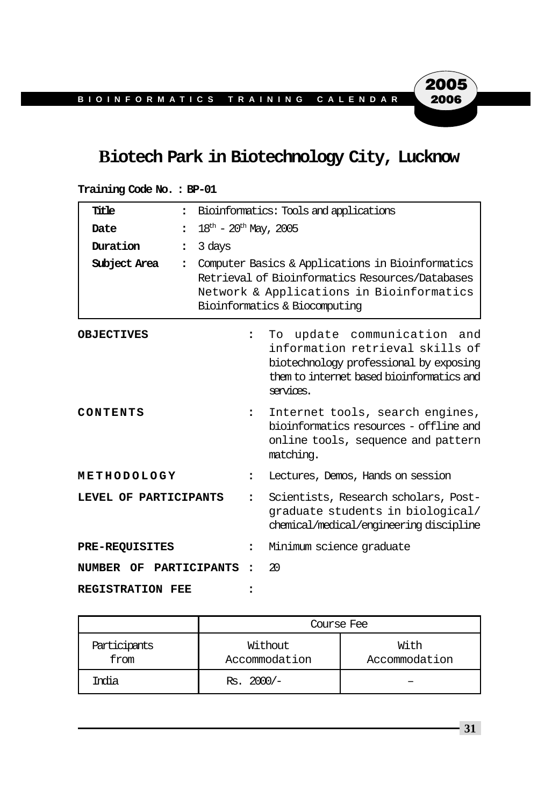### **Biotech Park in Biotechnology City, Lucknow**

#### **Training Code No. : BP-01**

| Title                   | $\ddot{\phantom{a}}$     |                                                                                                                                                                                  | Bioinformatics: Tools and applications                                                                                                                             |  |
|-------------------------|--------------------------|----------------------------------------------------------------------------------------------------------------------------------------------------------------------------------|--------------------------------------------------------------------------------------------------------------------------------------------------------------------|--|
| Date                    | $\ddot{\phantom{a}}$     | $18^{\text{th}} - 20^{\text{th}}$ May, 2005                                                                                                                                      |                                                                                                                                                                    |  |
| Duration                | 3 days<br>$\ddot{\cdot}$ |                                                                                                                                                                                  |                                                                                                                                                                    |  |
| Subject Area            | $\ddot{\phantom{a}}$     | Computer Basics & Applications in Bioinformatics<br>Retrieval of Bioinformatics Resources/Databases<br>Network & Applications in Bioinformatics<br>Bioinformatics & Biocomputing |                                                                                                                                                                    |  |
| <b>OBJECTIVES</b>       |                          | $\ddot{\phantom{a}}$                                                                                                                                                             | To update communication and<br>information retrieval skills of<br>biotechnology professional by exposing<br>them to internet based bioinformatics and<br>services. |  |
| CONTENTS                |                          | $\ddot{\phantom{a}}$                                                                                                                                                             | Internet tools, search engines,<br>bioinformatics resources - offline and<br>online tools, sequence and pattern<br>matching.                                       |  |
| METHODOLOGY             |                          | $\ddot{\phantom{a}}$                                                                                                                                                             | Lectures, Demos, Hands on session                                                                                                                                  |  |
| LEVEL OF PARTICIPANTS   |                          | $\ddot{\phantom{a}}$                                                                                                                                                             | Scientists, Research scholars, Post-<br>qraduate students in biological/<br>chemical/medical/engineering discipline                                                |  |
| <b>PRE-REQUISITES</b>   |                          | $\ddot{\phantom{a}}$                                                                                                                                                             | Minimum science graduate                                                                                                                                           |  |
| NUMBER OF PARTICIPANTS  |                          | $\ddot{\phantom{a}}$                                                                                                                                                             | 20                                                                                                                                                                 |  |
| <b>REGISTRATION FEE</b> |                          |                                                                                                                                                                                  |                                                                                                                                                                    |  |

|                      | Course Fee               |                       |  |  |  |
|----------------------|--------------------------|-----------------------|--|--|--|
| Participants<br>from | Without<br>Accommodation | With<br>Accommodation |  |  |  |
| India                | $Rs. 2000/-$             |                       |  |  |  |

**31**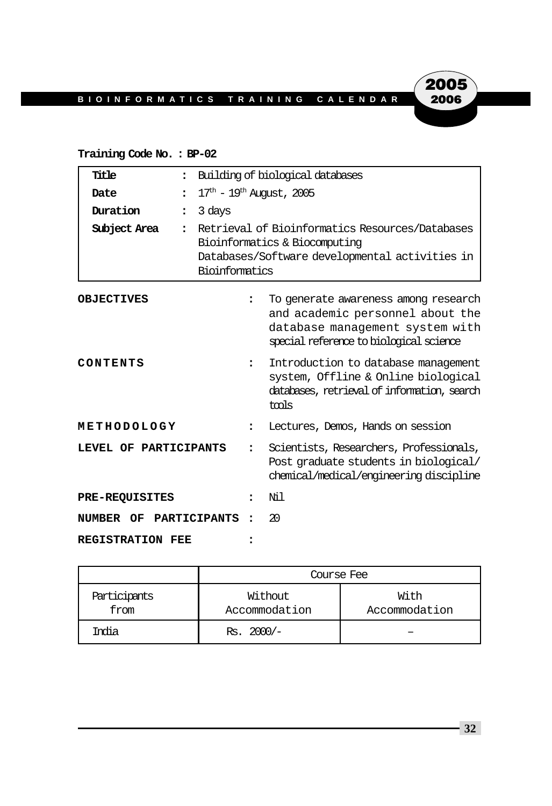#### **Training Code No. : BP-02**

| Title                   | $\ddot{\phantom{a}}$           |                                                                                                                                                      | Building of biological databases                                                                                                                       |  |
|-------------------------|--------------------------------|------------------------------------------------------------------------------------------------------------------------------------------------------|--------------------------------------------------------------------------------------------------------------------------------------------------------|--|
|                         |                                | $17^{\text{th}} - 19^{\text{th}}$ August, 2005                                                                                                       |                                                                                                                                                        |  |
| Date                    |                                |                                                                                                                                                      |                                                                                                                                                        |  |
| Duration                | 3 days<br>$\ddot{\phantom{a}}$ |                                                                                                                                                      |                                                                                                                                                        |  |
| Subject Area            | $\ddot{\phantom{a}}$           | Retrieval of Bioinformatics Resources/Databases<br>Bioinformatics & Biocomputing<br>Databases/Software developmental activities in<br>Bioinformatics |                                                                                                                                                        |  |
| <b>OBJECTIVES</b>       |                                |                                                                                                                                                      | To generate awareness among research<br>and academic personnel about the<br>database management system with<br>special reference to biological science |  |
| CONTENTS                |                                | $\ddot{\phantom{a}}$                                                                                                                                 | Introduction to database management<br>system, Offline & Online biological<br>databases, retrieval of information, search<br>tmls                      |  |
| METHODOLOGY             |                                |                                                                                                                                                      | Lectures, Demos, Hands on session                                                                                                                      |  |
| LEVEL OF PARTICIPANTS   |                                |                                                                                                                                                      | Scientists, Researchers, Professionals,<br>Post graduate students in biological/<br>chemical/medical/engineering discipline                            |  |
| PRE-REQUISITES          |                                | $\ddot{\phantom{a}}$                                                                                                                                 | Νil                                                                                                                                                    |  |
| NUMBER OF PARTICIPANTS  |                                |                                                                                                                                                      | 20                                                                                                                                                     |  |
| <b>REGISTRATION FEE</b> |                                |                                                                                                                                                      |                                                                                                                                                        |  |

|                      | Course Fee               |                       |  |  |  |
|----------------------|--------------------------|-----------------------|--|--|--|
| Participants<br>from | Without<br>Accommodation | With<br>Accommodation |  |  |  |
| India                | $Rs. 2000/-$             |                       |  |  |  |

**32**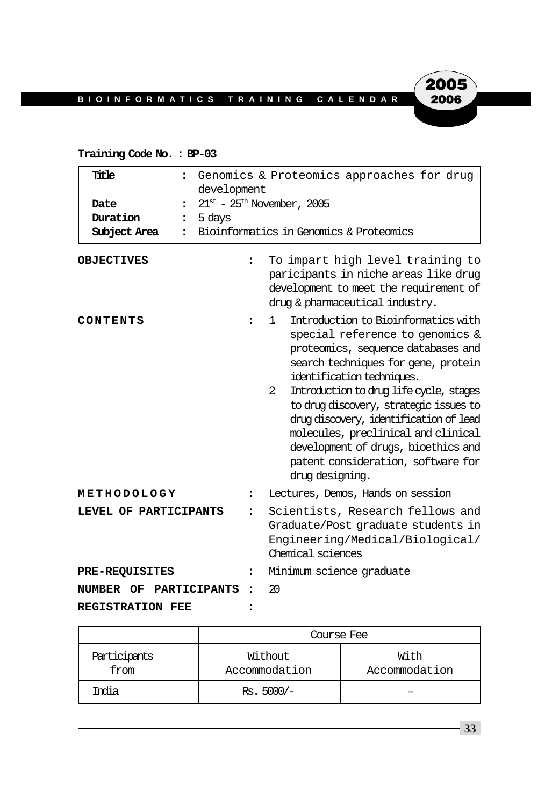#### **Training Code No. : BP-03**

| Title<br>$\ddot{\phantom{a}}$<br>Date<br>$\ddot{\cdot}$<br>Duration<br>$\ddot{\phantom{a}}$<br>Subject Area<br>$\ddot{\phantom{a}}$<br><b>OBJECTIVES</b> | development<br>$21^{\text{st}}$ - $25^{\text{th}}$ November, 2005<br>5 days<br>፡ | Genomics & Proteomics approaches for drug<br>Bioinformatics in Genomics & Proteomics<br>To impart high level training to<br>paricipants in niche areas like drug<br>development to meet the requirement of<br>drug & pharmaceutical industry.                                                                                                                                                                                                                                   |
|----------------------------------------------------------------------------------------------------------------------------------------------------------|----------------------------------------------------------------------------------|---------------------------------------------------------------------------------------------------------------------------------------------------------------------------------------------------------------------------------------------------------------------------------------------------------------------------------------------------------------------------------------------------------------------------------------------------------------------------------|
| CONTENTS                                                                                                                                                 | :                                                                                | Introduction to Bioinformatics with<br>1.<br>special reference to genomics &<br>proteomics, sequence databases and<br>search techniques for gene, protein<br>identification techniques.<br>Introduction to drug life cycle, stages<br>$\overline{2}$<br>to drug discovery, strategic issues to<br>drug discovery, identification of lead<br>molecules, preclinical and clinical<br>development of drugs, bioethics and<br>patent consideration, software for<br>drug designing. |
| METHODOLOGY                                                                                                                                              | ፡                                                                                | Lectures, Demos, Hands on session                                                                                                                                                                                                                                                                                                                                                                                                                                               |
| LEVEL OF PARTICIPANTS                                                                                                                                    | $\ddot{\phantom{a}}$                                                             | Scientists, Research fellows and<br>Graduate/Post graduate students in<br>Engineering/Medical/Biological/<br>Chemical sciences                                                                                                                                                                                                                                                                                                                                                  |
| <b>PRE-REQUISITES</b>                                                                                                                                    | ፡                                                                                | Minimum science graduate                                                                                                                                                                                                                                                                                                                                                                                                                                                        |
| PARTICIPANTS<br><b>NUMBER OF</b>                                                                                                                         | $\ddot{\phantom{a}}$                                                             | 20                                                                                                                                                                                                                                                                                                                                                                                                                                                                              |
| <b>REGISTRATION FEE</b>                                                                                                                                  |                                                                                  |                                                                                                                                                                                                                                                                                                                                                                                                                                                                                 |

|                      | Course Fee               |                       |  |  |  |
|----------------------|--------------------------|-----------------------|--|--|--|
| Participants<br>from | Without<br>Accommodation | With<br>Accommodation |  |  |  |
| India                | $Rs. 5000/-$             |                       |  |  |  |

**33**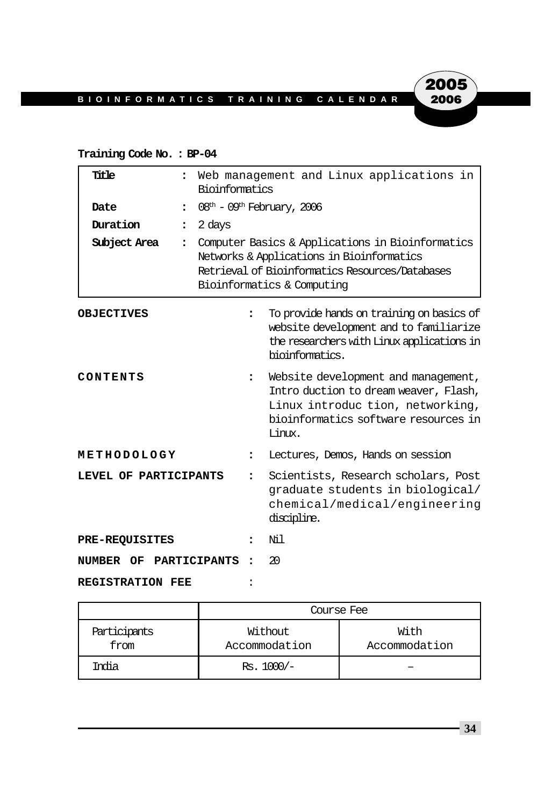#### **Training Code No. : BP-04**

| Title                   | $\ddot{\phantom{a}}$                                 | Web management and Linux applications in<br>Bioinformatics                                                                                                                     |                                                                                                                                                                   |
|-------------------------|------------------------------------------------------|--------------------------------------------------------------------------------------------------------------------------------------------------------------------------------|-------------------------------------------------------------------------------------------------------------------------------------------------------------------|
| Date                    | $08th - 09th$ February, 2006<br>$\ddot{\phantom{a}}$ |                                                                                                                                                                                |                                                                                                                                                                   |
| Duration                | 2 days<br>$\ddot{\cdot}$                             |                                                                                                                                                                                |                                                                                                                                                                   |
| Subject Area            | $\ddot{\phantom{a}}$                                 | Computer Basics & Applications in Bioinformatics<br>Networks & Applications in Bioinformatics<br>Retrieval of Bioinformatics Resources/Databases<br>Bioinformatics & Computing |                                                                                                                                                                   |
| <b>OBJECTIVES</b>       | $\ddot{\phantom{a}}$                                 |                                                                                                                                                                                | To provide hands on training on basics of<br>website development and to familiarize<br>the researchers with Linux applications in<br>bioinformatics.              |
| CONTENTS                | $\ddot{\phantom{a}}$                                 |                                                                                                                                                                                | Website development and management,<br>Intro duction to dream weaver, Flash,<br>Linux introduc tion, networking,<br>bioinformatics software resources in<br>Limx. |
| METHODOLOGY             | :                                                    |                                                                                                                                                                                | Lectures, Demos, Hands on session                                                                                                                                 |
| LEVEL OF PARTICIPANTS   | $\ddot{\phantom{a}}$                                 |                                                                                                                                                                                | Scientists, Research scholars, Post<br>graduate students in biological/<br>chemical/medical/engineering<br>discipline.                                            |
| <b>PRE-REQUISITES</b>   | $\ddot{\phantom{a}}$                                 |                                                                                                                                                                                | Νil                                                                                                                                                               |
| NUMBER OF               | PARTICIPANTS                                         |                                                                                                                                                                                | 20                                                                                                                                                                |
| <b>REGISTRATION FEE</b> |                                                      |                                                                                                                                                                                |                                                                                                                                                                   |

|                      | Course Fee               |                       |  |
|----------------------|--------------------------|-----------------------|--|
| Participants<br>from | Without<br>Accommodation | With<br>Accommodation |  |
| India                | $Rs. 1000/-$             |                       |  |

**34**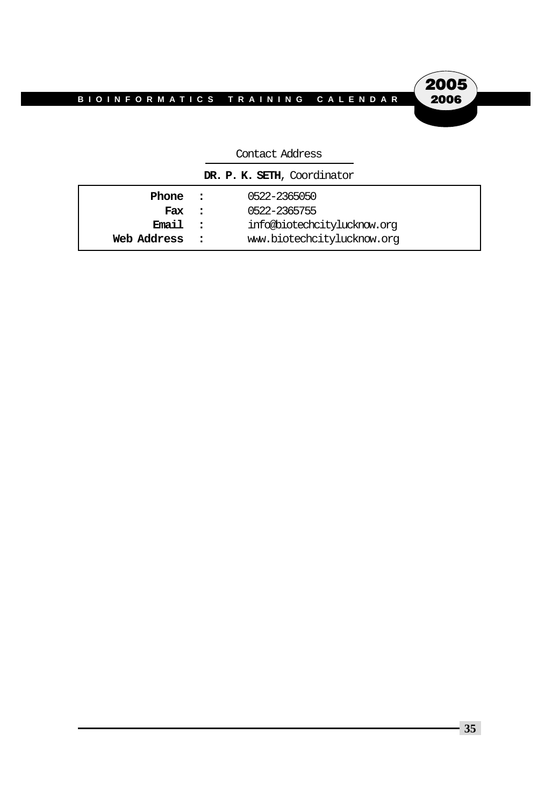2005 2006

| CONCOC AUGUSTO              |  |                             |  |  |
|-----------------------------|--|-----------------------------|--|--|
| DR. P. K. SETH, Coordinator |  |                             |  |  |
| Phone                       |  | 0522-2365050                |  |  |
| Fax                         |  | 0522-2365755                |  |  |
| Email                       |  | info@biotechcitylucknow.org |  |  |
| Web Address                 |  | www.biotechcitylucknow.org  |  |  |

#### Contact Address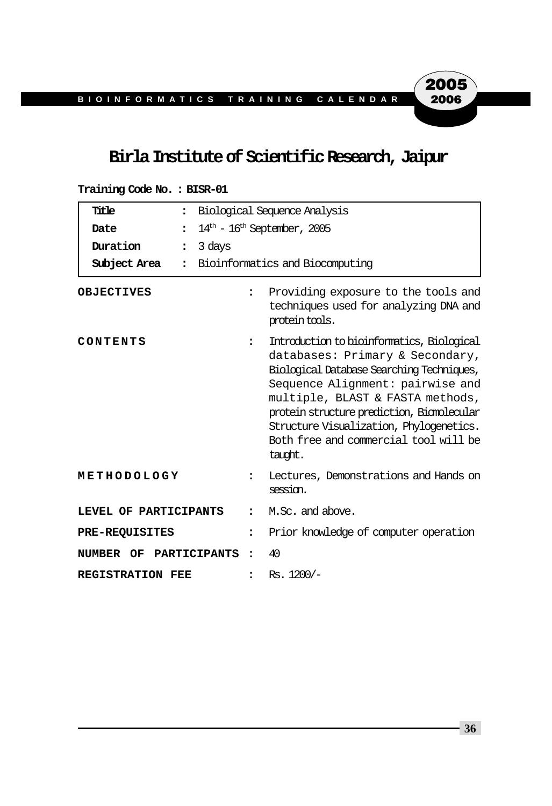#### **Birla Institute of Scientific Research, Jaipur**

#### **Training Code No. : BISR-01**

| Title<br>$\ddot{\phantom{a}}$        | Biological Sequence Analysis |                                                                                                                                                                                                                                                                                                                                                 |
|--------------------------------------|------------------------------|-------------------------------------------------------------------------------------------------------------------------------------------------------------------------------------------------------------------------------------------------------------------------------------------------------------------------------------------------|
| Date<br>$\ddot{\phantom{a}}$         |                              | $14th - 16th$ September, 2005                                                                                                                                                                                                                                                                                                                   |
| Duration<br>$\ddot{\phantom{a}}$     | 3 days                       |                                                                                                                                                                                                                                                                                                                                                 |
| Subject Area<br>$\ddot{\phantom{a}}$ |                              | Bioinformatics and Biocomputing                                                                                                                                                                                                                                                                                                                 |
| <b>OBJECTIVES</b>                    | $\ddot{\phantom{a}}$         | Providing exposure to the tools and<br>techniques used for analyzing DNA and<br>protein tools.                                                                                                                                                                                                                                                  |
| CONTENTS                             | $\ddot{\phantom{a}}$         | Introduction to bioinformatics, Biological<br>databases: Primary & Secondary,<br>Biological Database Searching Techniques,<br>Sequence Alignment: pairwise and<br>multiple, BLAST & FASTA methods,<br>protein structure prediction, Biomolecular<br>Structure Visualization, Phylogenetics.<br>Both free and commercial tool will be<br>taudnt. |
| METHODOLOGY                          | $\ddot{\phantom{a}}$         | Lectures, Demonstrations and Hands on<br>session.                                                                                                                                                                                                                                                                                               |
| LEVEL OF PARTICIPANTS                | 2                            | M.Sc. and above.                                                                                                                                                                                                                                                                                                                                |
| <b>PRE-REQUISITES</b>                | $\ddot{\phantom{a}}$         | Prior knowledge of computer operation                                                                                                                                                                                                                                                                                                           |
| PARTICIPANTS<br>NUMBER OF            | $\ddot{\phantom{a}}$         | 40                                                                                                                                                                                                                                                                                                                                              |
| <b>REGISTRATION FEE</b>              | $\ddot{\phantom{a}}$         | $Rs. 1200/-$                                                                                                                                                                                                                                                                                                                                    |

**36**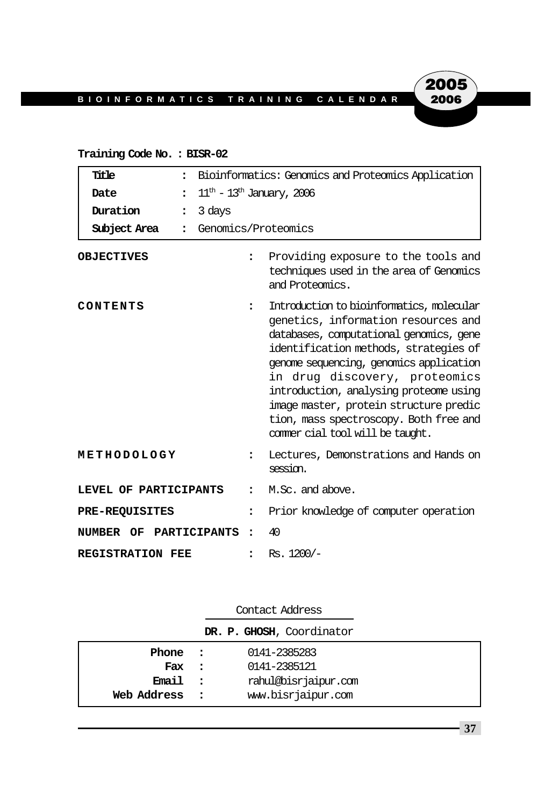#### **Training Code No. : BISR-02**

| Title<br>$\ddot{\phantom{a}}$        | Bioinformatics: Genomics and Proteomics Application |                                                                                                                                                                                                                                                                                                                                                                                                                    |
|--------------------------------------|-----------------------------------------------------|--------------------------------------------------------------------------------------------------------------------------------------------------------------------------------------------------------------------------------------------------------------------------------------------------------------------------------------------------------------------------------------------------------------------|
| Date<br>$\ddot{\cdot}$               | $11th$ – $13th$ January, 2006                       |                                                                                                                                                                                                                                                                                                                                                                                                                    |
| Duration<br>$\ddot{\phantom{a}}$     | 3 days                                              |                                                                                                                                                                                                                                                                                                                                                                                                                    |
| Subject Area<br>$\ddot{\phantom{a}}$ | Genomics/Proteomics                                 |                                                                                                                                                                                                                                                                                                                                                                                                                    |
| <b>OBJECTIVES</b>                    | $\ddot{\phantom{a}}$                                | Providing exposure to the tools and<br>techniques used in the area of Genomics<br>and Proteomics.                                                                                                                                                                                                                                                                                                                  |
| CONTENTS                             | $\ddot{\phantom{a}}$                                | Introduction to bioinformatics, molecular<br>genetics, information resources and<br>databases, computational genomics, gene<br>identification methods, strategies of<br>genome sequencing, genomics application<br>in drug discovery, proteomics<br>introduction, analysing proteome using<br>image master, protein structure predic<br>tion, mass spectroscopy. Both free and<br>commer cial tool will be taught. |
| METHODOLOGY                          | $\ddot{\phantom{a}}$                                | Lectures, Demonstrations and Hands on<br>session.                                                                                                                                                                                                                                                                                                                                                                  |
| LEVEL OF PARTICIPANTS                | 2                                                   | M.Sc. and above.                                                                                                                                                                                                                                                                                                                                                                                                   |
| <b>PRE-REQUISITES</b>                | $\ddot{\phantom{a}}$                                | Prior knowledge of computer operation                                                                                                                                                                                                                                                                                                                                                                              |
| NUMBER OF PARTICIPANTS               | $\ddot{\phantom{a}}$                                | 40                                                                                                                                                                                                                                                                                                                                                                                                                 |
| <b>REGISTRATION FEE</b>              |                                                     | $Rs. 1200/-$                                                                                                                                                                                                                                                                                                                                                                                                       |

| Contact Address           |              |                      |  |  |
|---------------------------|--------------|----------------------|--|--|
| DR. P. GHOSH, Coordinator |              |                      |  |  |
| Phone :                   |              | 0141-2385283         |  |  |
| Fax :                     |              | 0141-2385121         |  |  |
| Email                     |              | rahul@bisrjaipur.com |  |  |
| Web Address               | $\mathbf{r}$ | www.bisrjaipur.com   |  |  |

**37**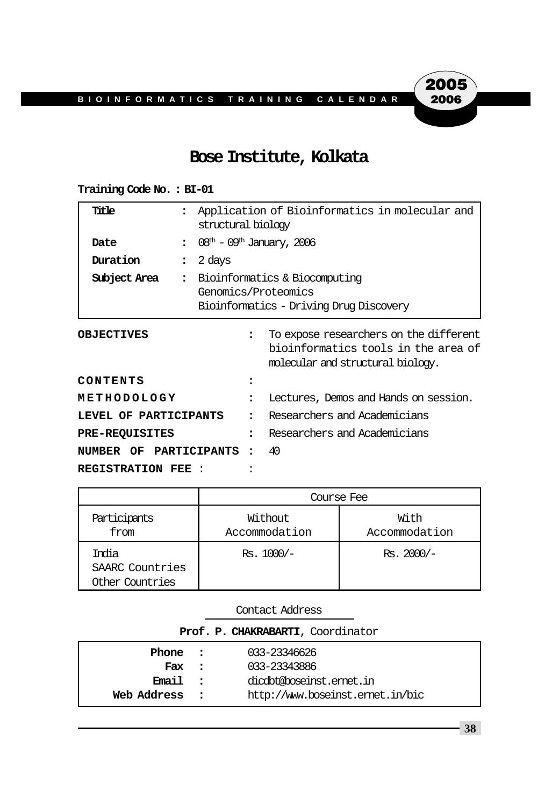#### **Bose Institute, Kolkata**

#### **Training Code No. : BI-01**

| Title                  |                      | Application of Bioinformatics in molecular and<br>structural biology                            |                                                                                                                    |  |
|------------------------|----------------------|-------------------------------------------------------------------------------------------------|--------------------------------------------------------------------------------------------------------------------|--|
| Date                   |                      |                                                                                                 | $08th$ – $09th$ January, 2006                                                                                      |  |
| Duration               | 2 days               |                                                                                                 |                                                                                                                    |  |
| Subject Area           | $\ddot{\phantom{a}}$ | Bioinformatics & Biocomputing<br>Genomics/Proteomics<br>Bioinformatics - Driving Drug Discovery |                                                                                                                    |  |
| <b>OBJECTIVES</b>      |                      | $\ddot{\phantom{a}}$                                                                            | To expose researchers on the different<br>bioinformatics tools in the area of<br>molecular and structural biology. |  |
| CONTENTS               |                      |                                                                                                 |                                                                                                                    |  |
| METHODOLOGY            |                      |                                                                                                 | Lectures, Demos and Hands on session.                                                                              |  |
| LEVEL OF PARTICIPANTS  |                      |                                                                                                 | Researchers and Academicians                                                                                       |  |
| <b>PRE-REQUISITES</b>  |                      | $\ddot{\phantom{a}}$                                                                            | Researchers and Academicians                                                                                       |  |
| NUMBER OF PARTICIPANTS |                      |                                                                                                 | 40                                                                                                                 |  |
| REGISTRATION FEE:      |                      |                                                                                                 |                                                                                                                    |  |

|                                             | Course Fee               |                       |  |
|---------------------------------------------|--------------------------|-----------------------|--|
| Participants<br>from                        | Without<br>Accommodation | With<br>Accommodation |  |
| India<br>SAARC Countries<br>Other Countries | $Rs. 1000/-$             | $Rs. 2000/-$          |  |

| CONCACL AULTOO                    |                                  |  |  |  |
|-----------------------------------|----------------------------------|--|--|--|
| Prof. P. CHAKRABARTI, Coordinator |                                  |  |  |  |
| Phone :                           | 033-23346626                     |  |  |  |
| Fax :                             | 033-23343886                     |  |  |  |
| Email<br>$\sim$ 2                 | digibt@boseinst.emet.in          |  |  |  |
| Web Address<br>$\sim$ $\sim$      | http://www.boseinst.ernet.in/bic |  |  |  |

Contact Address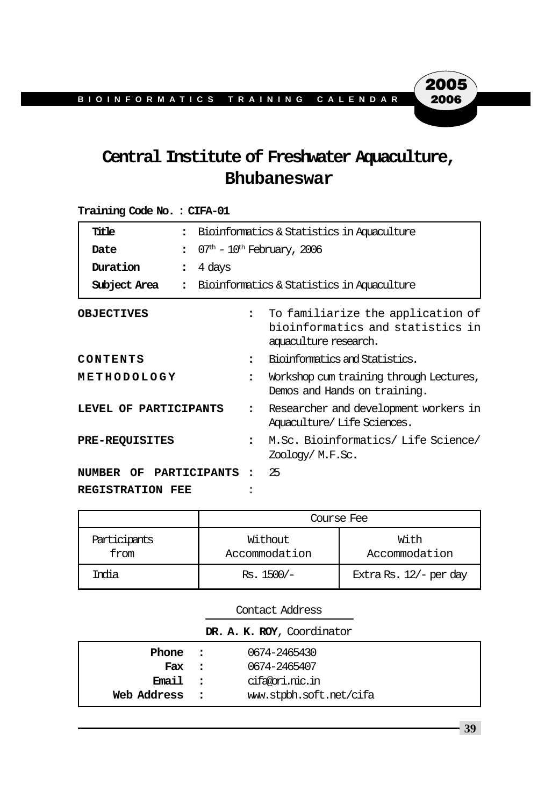## **Central Institute of Freshwater Aquaculture, Bhubaneswar**

#### **Training Code No. : CIFA-01**

| Title                          | Bioinformatics & Statistics in Aquaculture |                                                                                                |  |
|--------------------------------|--------------------------------------------|------------------------------------------------------------------------------------------------|--|
| Date<br>$\ddot{\phantom{a}}$   |                                            | $07th - 10th$ February, 2006                                                                   |  |
| Duration<br>$\ddot{\cdot}$     | 4 days                                     |                                                                                                |  |
| Subject Area<br>$\ddot{\cdot}$ |                                            | Bioinformatics & Statistics in Aquaculture                                                     |  |
| <b>OBJECTIVES</b>              |                                            | To familiarize the application of<br>bioinformatics and statistics in<br>aquaculture research. |  |
| CONTENTS                       | $\ddot{\phantom{a}}$                       | Bioinformatics and Statistics.                                                                 |  |
| METHODOLOGY                    | $\ddot{\phantom{a}}$                       | Workshop cum training through Lectures,<br>Demos and Hands on training.                        |  |
| LEVEL OF PARTICIPANTS          | $\ddot{\phantom{a}}$                       | Researcher and development workers in<br>Aquaculture/Life Sciences.                            |  |
| <b>PRE-REQUISITES</b>          | $\ddot{\cdot}$                             | M.Sc. Bioinformatics/Life Science/<br>Zoology/M.F.Sc.                                          |  |
| NUMBER OF PARTICIPANTS         |                                            | 25                                                                                             |  |
| REGISTRATION FEE               |                                            |                                                                                                |  |

|                      | Course Fee               |                        |  |
|----------------------|--------------------------|------------------------|--|
| Participants<br>from | Without<br>Accommodation | With<br>Accommodation  |  |
| India                | $Rs. 1500/-$             | Extra Rs. 12/- per day |  |

|                            | Contact Address |                         |  |  |
|----------------------------|-----------------|-------------------------|--|--|
| DR. A. K. ROY, Coordinator |                 |                         |  |  |
| Phone :                    |                 | 0674-2465430            |  |  |
| Fax :                      |                 | 0674-2465407            |  |  |
| Email :                    |                 | cifa@ori.nic.in         |  |  |
| Web Address                | $\sim$ 2        | www.stpbh.soft.net/cifa |  |  |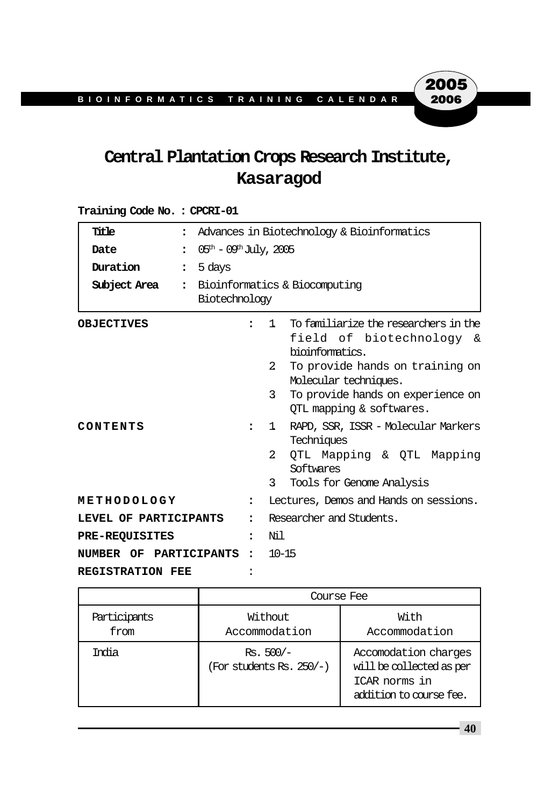# **Central Plantation Crops Research Institute, Kasaragod**

| Title<br>$\ddot{\phantom{a}}$  | Advances in Biotechnology & Bioinformatics   |                                                                                                                                                                                                                                                         |
|--------------------------------|----------------------------------------------|---------------------------------------------------------------------------------------------------------------------------------------------------------------------------------------------------------------------------------------------------------|
| Date<br>$\ddot{\cdot}$         | $05^{\text{th}} - 09^{\text{th}}$ July, 2005 |                                                                                                                                                                                                                                                         |
| Duration<br>$\ddot{\cdot}$     | 5 days                                       |                                                                                                                                                                                                                                                         |
| Subject Area<br>$\ddot{\cdot}$ | Biotechnology                                | Bioinformatics & Biocomputing                                                                                                                                                                                                                           |
| <b>OBJECTIVES</b>              | $\bullet$                                    | To familiarize the researchers in the<br>$\mathbf{1}$<br>field of biotechnology &<br>bioinformatics.<br>To provide hands on training on<br>$\mathcal{L}$<br>Molecular techniques.<br>3<br>To provide hands on experience on<br>QTL mapping & softwares. |
| CONTENTS                       | $\ddot{\phantom{a}}$                         | RAPD, SSR, ISSR - Molecular Markers<br>$\mathbf{1}$<br>Techniques<br>$\overline{2}$<br>QTL Mapping & QTL Mapping<br>Softwares<br>3<br>Tools for Genome Analysis                                                                                         |
| METHODOLOGY                    | $\ddot{\phantom{a}}$                         | Lectures, Demos and Hands on sessions.                                                                                                                                                                                                                  |
| LEVEL OF PARTICIPANTS          | $\ddot{\phantom{a}}$                         | Researcher and Students.                                                                                                                                                                                                                                |
| <b>PRE-REQUISITES</b>          | $\ddot{\phantom{a}}$                         | Ni 1                                                                                                                                                                                                                                                    |
| NUMBER OF PARTICIPANTS         | $\ddot{\cdot}$                               | $10 - 15$                                                                                                                                                                                                                                               |
| REGISTRATION FEE               |                                              |                                                                                                                                                                                                                                                         |

#### **Training Code No. : CPCRI-01**

|                      | Course Fee                                 |                                                                                              |  |
|----------------------|--------------------------------------------|----------------------------------------------------------------------------------------------|--|
| Participants<br>from | Without<br>Accommodation                   | With<br>Accommodation                                                                        |  |
| India                | $Rs. 500/-$<br>(For students Rs. $250/-$ ) | Accomodation charges<br>will be collected as per<br>ICAR norms in<br>addition to course fee. |  |

**40**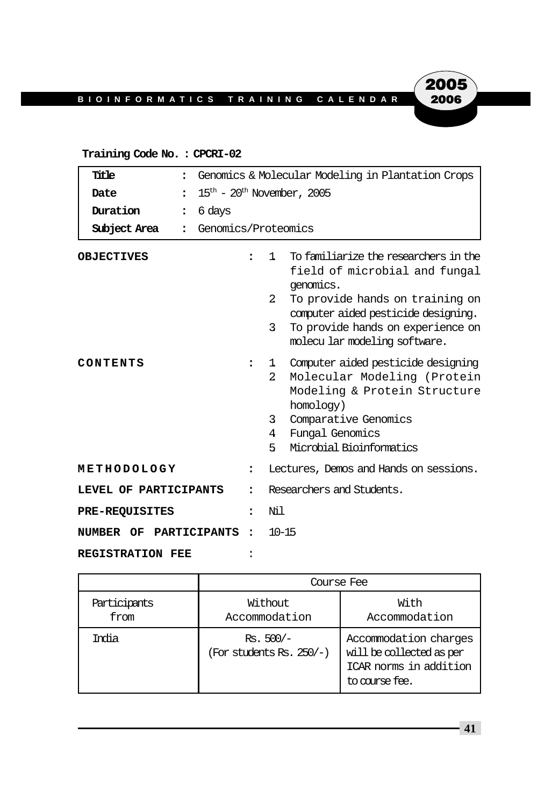### **Training Code No. : CPCRI-02**

| Title<br>$\ddot{\phantom{a}}$        | Genomics & Molecular Modeling in Plantation Crops  |                                                                                                                                                                                                                                                 |
|--------------------------------------|----------------------------------------------------|-------------------------------------------------------------------------------------------------------------------------------------------------------------------------------------------------------------------------------------------------|
| Date                                 | $15^{\text{th}}$ - $20^{\text{th}}$ November, 2005 |                                                                                                                                                                                                                                                 |
| Duration<br>$\ddot{\phantom{a}}$     | 6 days                                             |                                                                                                                                                                                                                                                 |
| Subject Area<br>$\ddot{\phantom{a}}$ | Genomics/Proteomics                                |                                                                                                                                                                                                                                                 |
| <b>OBJECTIVES</b>                    | $\ddot{\phantom{a}}$                               | To familiarize the researchers in the<br>1<br>field of microbial and fungal<br>genomics.<br>2<br>To provide hands on training on<br>computer aided pesticide designing.<br>To provide hands on experience on<br>3                               |
| CONTENTS                             | :                                                  | molecular modeling software.<br>Computer aided pesticide designing<br>ı.<br>Molecular Modeling (Protein<br>2<br>Modeling & Protein Structure<br>homology)<br>Comparative Genomics<br>3<br>Fungal Genomics<br>4<br>Microbial Bioinformatics<br>5 |
| METHODOLOGY                          | $\ddot{\phantom{a}}$                               | Lectures, Demos and Hands on sessions.                                                                                                                                                                                                          |
| LEVEL OF PARTICIPANTS                | $\ddot{\phantom{a}}$                               | Researchers and Students.                                                                                                                                                                                                                       |
| <b>PRE-REQUISITES</b>                | $\ddot{\phantom{a}}$                               | Nil                                                                                                                                                                                                                                             |
| NUMBER OF PARTICIPANTS               | $\ddot{\phantom{a}}$                               | $10 - 15$                                                                                                                                                                                                                                       |
| <b>REGISTRATION FEE</b>              |                                                    |                                                                                                                                                                                                                                                 |

|                      | Course Fee                              |                                                                                               |  |  |
|----------------------|-----------------------------------------|-----------------------------------------------------------------------------------------------|--|--|
| Participants<br>from | Without<br>Accommodation                | With<br>Accommodation                                                                         |  |  |
| India                | $Rs. 500/-$<br>(For students Rs. 250/-) | Accommodation charges<br>will be collected as per<br>ICAR norms in addition<br>to course fee. |  |  |

**41**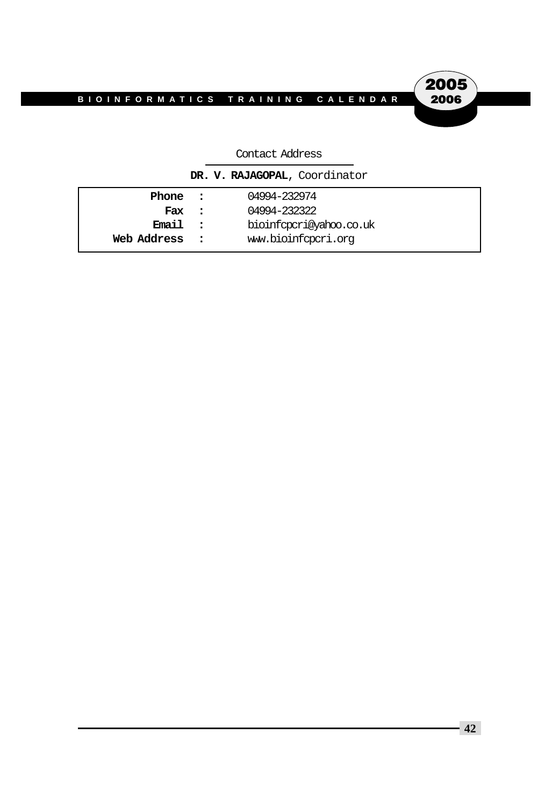

#### Contact Address

|             |            | DR. V. RAJAGOPAL, Coordinator |
|-------------|------------|-------------------------------|
| Phone :     |            | 04994-232974                  |
| Fax         | $\sim$ 2.1 | 04994-232322                  |
| Email :     |            | bioinfopori@yahoo.co.uk       |
| Web Address |            | www.bioinfopori.org           |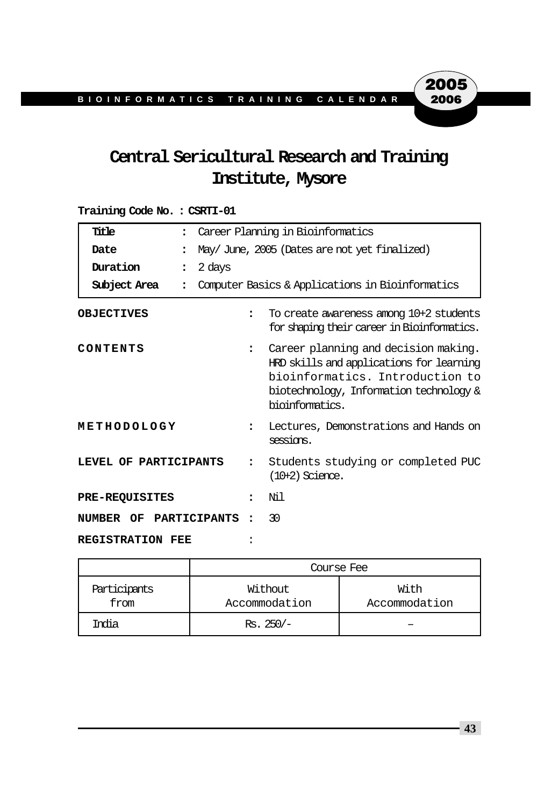# **Central Sericultural Research and Training Institute, Mysore**

#### **Training Code No. : CSRTI-01**

| Title<br>$\ddot{\phantom{a}}$    | Career Planning in Bioinformatics |                                                                                                                                                                                   |
|----------------------------------|-----------------------------------|-----------------------------------------------------------------------------------------------------------------------------------------------------------------------------------|
| Date<br>$\ddot{\phantom{a}}$     |                                   | May/June, 2005 (Dates are not yet finalized)                                                                                                                                      |
| Duration<br>$\ddot{\phantom{a}}$ | 2 days                            |                                                                                                                                                                                   |
| Subject Area                     |                                   | Computer Basics & Applications in Bioinformatics                                                                                                                                  |
| <b>OBJECTIVES</b>                | $\ddot{\phantom{a}}$              | To create awareness among 10+2 students<br>for shaping their career in Bioinformatics.                                                                                            |
| CONTENTS                         | $\ddot{\phantom{a}}$              | Career planning and decision making.<br>HRD skills and applications for learning<br>bioinformatics. Introduction to<br>biotechnology, Information technology &<br>bioinformatics. |
| METHODOLOGY                      | $\ddot{\phantom{a}}$              | Lectures, Demonstrations and Hands on<br>sessions.                                                                                                                                |
| LEVEL OF PARTICIPANTS            | $\ddot{\phantom{a}}$              | Students studying or completed PUC<br>$(10+2)$ Science.                                                                                                                           |
| <b>PRE-REQUISITES</b>            | $\overline{\phantom{a}}$          | Nil                                                                                                                                                                               |
| NUMBER OF PARTICIPANTS           |                                   | 30                                                                                                                                                                                |
| <b>REGISTRATION FEE</b>          |                                   |                                                                                                                                                                                   |

|                      | Course Fee               |                       |  |  |  |
|----------------------|--------------------------|-----------------------|--|--|--|
| Participants<br>from | Without<br>Accommodation | With<br>Accommodation |  |  |  |
| India                | $Rs.250/-$               |                       |  |  |  |

**43**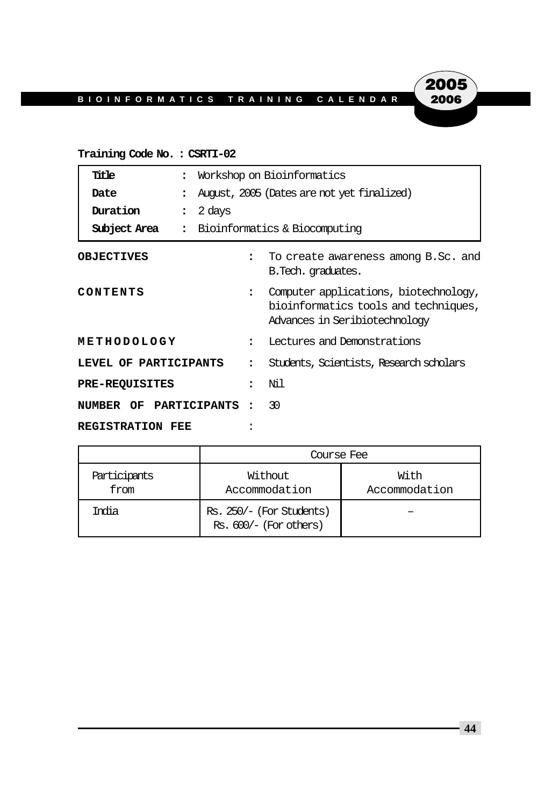### **Training Code No. : CSRTI-02**

| Title                    | $\ddot{\phantom{a}}$     | Workshop on Bioinformatics                                                                                                             |                                                            |
|--------------------------|--------------------------|----------------------------------------------------------------------------------------------------------------------------------------|------------------------------------------------------------|
| Date                     | $\ddot{\phantom{a}}$     |                                                                                                                                        | August, 2005 (Dates are not yet finalized)                 |
| Duration                 | 2 days<br>$\ddot{\cdot}$ |                                                                                                                                        |                                                            |
| Subject Area             | $\ddot{\phantom{a}}$     |                                                                                                                                        | Bioinformatics & Biocomputing                              |
| <b>OBJECTIVES</b>        |                          |                                                                                                                                        | To create awareness among B.Sc. and<br>B. Tech. graduates. |
| CONTENTS                 |                          | Computer applications, biotechnology,<br>$\ddot{\phantom{a}}$<br>bioinformatics tools and techniques,<br>Advances in Seribiotechnology |                                                            |
| METHODOLOGY              |                          | $\ddot{\phantom{a}}$                                                                                                                   | Lectures and Demonstrations                                |
| LEVEL OF PARTICIPANTS    |                          | ٠                                                                                                                                      | Students, Scientists, Research scholars                    |
| <b>PRE-REQUISITES</b>    |                          |                                                                                                                                        | Nil                                                        |
| NUMBER OF PARTICIPANTS : |                          |                                                                                                                                        | 30                                                         |
| <b>REGISTRATION FEE</b>  |                          |                                                                                                                                        |                                                            |

|                      | Course Fee                                           |                       |  |  |
|----------------------|------------------------------------------------------|-----------------------|--|--|
| Participants<br>from | Without<br>Accommodation                             | With<br>Accommodation |  |  |
| Tmia                 | Rs. 250/- (For Students)<br>$Rs. 600/- (For others)$ |                       |  |  |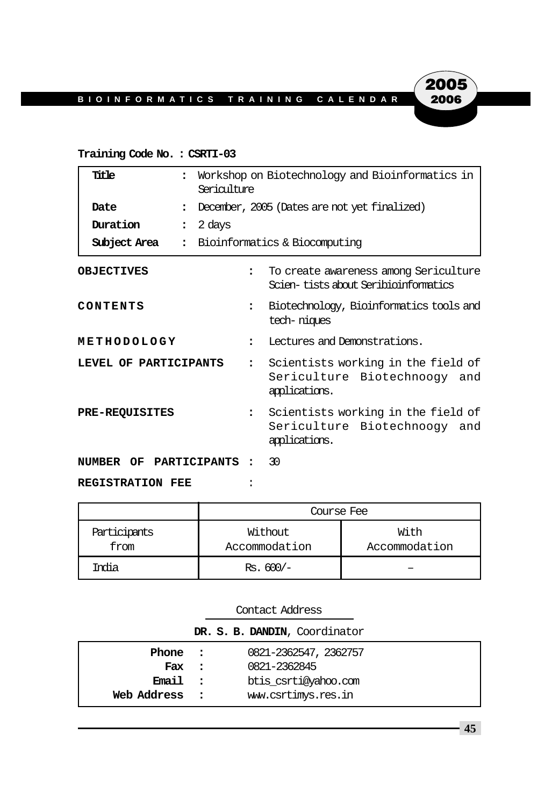#### **Training Code No. : CSRTI-03**

| Title<br>$\ddot{\phantom{a}}$        |        | Workshop on Biotechnology and Bioinformatics in<br>Sericulture |                                                                                     |  |
|--------------------------------------|--------|----------------------------------------------------------------|-------------------------------------------------------------------------------------|--|
| Date<br>$\ddot{\phantom{a}}$         |        |                                                                | December, 2005 (Dates are not yet finalized)                                        |  |
| Duration<br>$\ddot{\phantom{a}}$     | 2 days |                                                                |                                                                                     |  |
| Subject Area<br>$\ddot{\phantom{a}}$ |        |                                                                | Bioinformatics & Biocomputing                                                       |  |
| <b>OBJECTIVES</b>                    |        | $\ddot{\phantom{a}}$                                           | To create awareness among Sericulture<br>Scien-tists about Seribioinformatics       |  |
| CONTENTS                             |        | $\ddot{\phantom{a}}$                                           | Biotechnology, Bioinformatics tools and<br>tech-niques                              |  |
| METHODOLOGY                          |        | $\ddot{\phantom{a}}$                                           | Lectures and Demonstrations.                                                        |  |
| LEVEL OF PARTICIPANTS                |        | $\mathbf{r}$                                                   | Scientists working in the field of<br>Sericulture Biotechnoogy and<br>applications. |  |
| <b>PRE-REQUISITES</b>                |        | $\ddot{\phantom{a}}$                                           | Scientists working in the field of<br>Sericulture Biotechnoogy and<br>applications. |  |
| NUMBER OF PARTICIPANTS               |        |                                                                | -30                                                                                 |  |
| <b>REGISTRATION FEE</b>              |        |                                                                |                                                                                     |  |

|                      | Course Fee               |                       |  |  |  |
|----------------------|--------------------------|-----------------------|--|--|--|
| Participants<br>from | Without<br>Accommodation | With<br>Accommodation |  |  |  |
| India                | $Rs. 600/-$              |                       |  |  |  |

| Contact Address |                          |                               |
|-----------------|--------------------------|-------------------------------|
|                 |                          | DR. S. B. DANDIN, Coordinator |
| Phone :         |                          | 0821-2362547, 2362757         |
| Fax             | $\sim$ 2                 | 0821-2362845                  |
| Email           | $\overline{\phantom{a}}$ | btis csrti@yahoo.com          |
| Web Address     |                          | www.csrtimys.res.in           |

**45**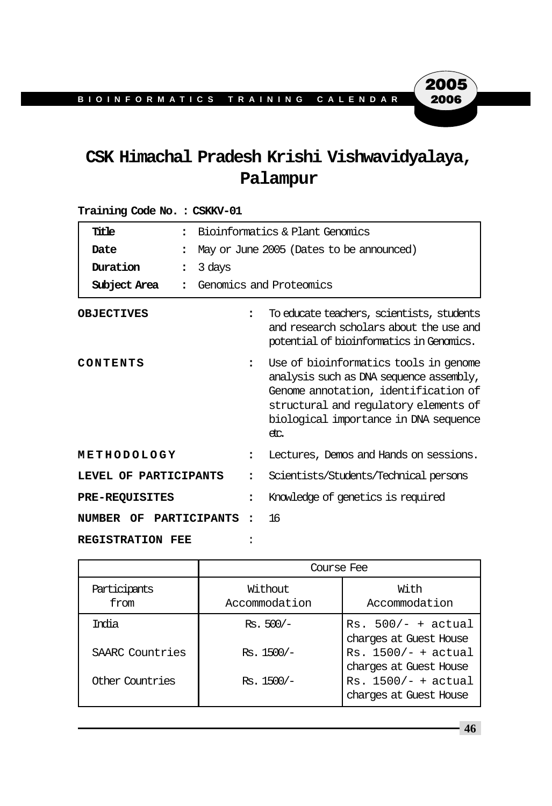# **CSK Himachal Pradesh Krishi Vishwavidyalaya, Palampur**

| Title                            |                          | Bioinformatics & Plant Genomics                                                                                                                                                                                    |  |  |
|----------------------------------|--------------------------|--------------------------------------------------------------------------------------------------------------------------------------------------------------------------------------------------------------------|--|--|
| Date<br>$\ddot{\phantom{a}}$     |                          | May or June 2005 (Dates to be announced)                                                                                                                                                                           |  |  |
| Duration<br>$\ddot{\phantom{a}}$ | 3 days                   |                                                                                                                                                                                                                    |  |  |
| Subject Area<br>$\ddot{\cdot}$   |                          | Genomics and Proteomics                                                                                                                                                                                            |  |  |
| <b>OBJECTIVES</b>                | $\ddot{\phantom{a}}$     | To educate teachers, scientists, students<br>and research scholars about the use and<br>potential of bioinformatics in Genomics.                                                                                   |  |  |
| CONTENTS                         | $\ddot{\phantom{a}}$     | Use of bioinformatics tools in genome<br>analysis such as DNA sequence assembly,<br>Genome annotation, identification of<br>structural and regulatory elements of<br>biological importance in DNA sequence<br>etc. |  |  |
| METHODOLOGY                      |                          | Lectures, Demos and Hands on sessions.                                                                                                                                                                             |  |  |
| LEVEL OF PARTICIPANTS            |                          | Scientists/Students/Technical persons                                                                                                                                                                              |  |  |
| <b>PRE-REQUISITES</b>            | $\ddot{\phantom{a}}$     | Knowledge of genetics is required                                                                                                                                                                                  |  |  |
| NUMBER OF PARTICIPANTS           | $\overline{\phantom{a}}$ | 16                                                                                                                                                                                                                 |  |  |
| REGISTRATION FEE                 |                          |                                                                                                                                                                                                                    |  |  |

| Training Code No.: CSKKV-01 |  |  |  |  |
|-----------------------------|--|--|--|--|
|-----------------------------|--|--|--|--|

|                      | Course Fee               |                                                 |  |  |
|----------------------|--------------------------|-------------------------------------------------|--|--|
| Participants<br>from | Without<br>Accommodation | With<br>Accommodation                           |  |  |
| India                | $Rs. 500/-$              | $Rs. 500/- + actual$<br>charges at Guest House  |  |  |
| SAARC Countries      | $Rs. 1500/-$             | $Rs. 1500/- + actual$<br>charges at Guest House |  |  |
| Other Countries      | Rs. 1500/-               | $Rs. 1500/- + actual$<br>charges at Guest House |  |  |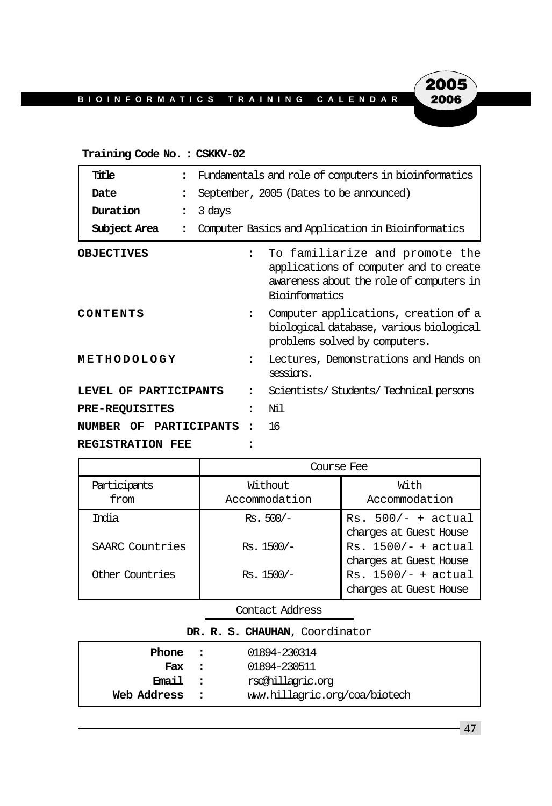#### **Training Code No. : CSKKV-02**

| Title                            | Fundamentals and role of computers in bioinformatics                                                                                   |  |  |
|----------------------------------|----------------------------------------------------------------------------------------------------------------------------------------|--|--|
| Date                             | September, 2005 (Dates to be announced)                                                                                                |  |  |
| Duration<br>$\ddot{\phantom{a}}$ | 3 days                                                                                                                                 |  |  |
| Subject Area                     | Computer Basics and Application in Bioinformatics                                                                                      |  |  |
| <b>OBJECTIVES</b>                | To familiarize and promote the<br>applications of computer and to create<br>awareness about the role of computers in<br>Bioinformatics |  |  |
| CONTENTS                         | Computer applications, creation of a<br>biological database, various biological<br>problems solved by computers.                       |  |  |
| METHODOLOGY                      | Lectures, Demonstrations and Hands on<br>sessions.                                                                                     |  |  |
| LEVEL OF PARTICIPANTS            | Scientists/Students/Technical persons                                                                                                  |  |  |
| <b>PRE-REQUISITES</b>            | Nil                                                                                                                                    |  |  |
| PARTICIPANTS<br>NUMBER OF        | 16<br>٠                                                                                                                                |  |  |
| <b>REGISTRATION FEE</b>          |                                                                                                                                        |  |  |

|                 | Course Fee    |                        |  |  |
|-----------------|---------------|------------------------|--|--|
| Participants    | Without       | With                   |  |  |
| from            | Accommodation | Accommodation          |  |  |
| Trolia          | $Rs. 500/-$   | $Rs. 500/- + actual$   |  |  |
|                 |               | charges at Guest House |  |  |
| SAARC Countries | $Rs. 1500/-$  | $Rs. 1500/- + actual$  |  |  |
|                 |               | charges at Guest House |  |  |
| Other Countries | $Rs.1500/-$   | $Rs. 1500/- + actual$  |  |  |
|                 |               | charges at Guest House |  |  |

Contact Address

#### **DR. R. S. CHAUHAN**, Coordinator

| Phone       | $\sim$ 2.1   | 01894-230314                  |
|-------------|--------------|-------------------------------|
| Fax         | $\mathbf{r}$ | 01894-230511                  |
| Email       | $\mathbf{r}$ | rsochillagric.org             |
| Web Address |              | www.hillagric.org/coa/biotech |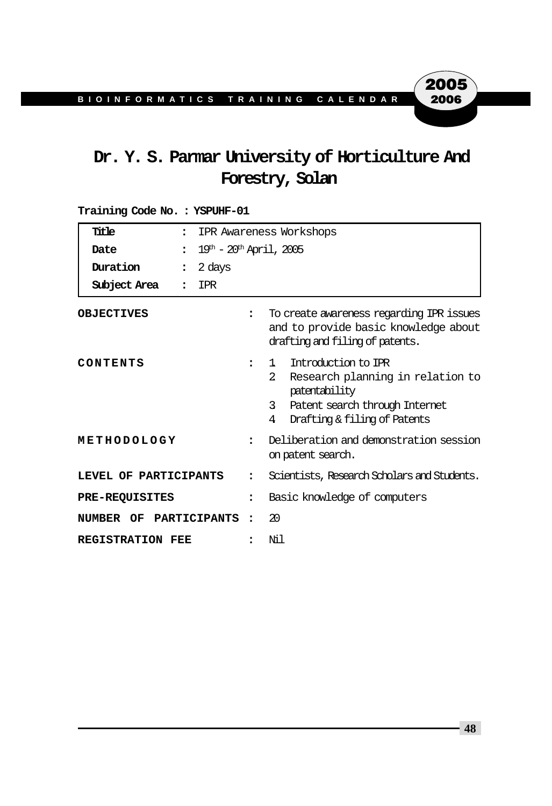# **Dr. Y. S. Parmar University of Horticulture And Forestry, Solan**

| Title<br>$\ddot{\phantom{a}}$  |                                               | IPR Awareness Workshops |                                                                                                                                                                           |  |  |
|--------------------------------|-----------------------------------------------|-------------------------|---------------------------------------------------------------------------------------------------------------------------------------------------------------------------|--|--|
| Date<br>$\ddot{\phantom{a}}$   | $19^{\text{th}} - 20^{\text{th}}$ April, 2005 |                         |                                                                                                                                                                           |  |  |
| Duration<br>$\ddot{\cdot}$     | 2 days                                        |                         |                                                                                                                                                                           |  |  |
| Subject Area<br>$\ddot{\cdot}$ | IPR                                           |                         |                                                                                                                                                                           |  |  |
| <b>OBJECTIVES</b>              |                                               | $\ddot{\phantom{a}}$    | To create awareness regarding IPR issues<br>and to provide basic knowledge about<br>drafting and filing of patents.                                                       |  |  |
| CONTENTS                       |                                               |                         | Introduction to IPR<br>1.<br>$2^{\circ}$<br>Research planning in relation to<br>patentability<br>3<br>Patent search through Internet<br>4<br>Drafting & filing of Patents |  |  |
| METHODOLOGY                    |                                               | $\ddot{\phantom{a}}$    | Deliberation and demonstration session<br>on patent search.                                                                                                               |  |  |
| LEVEL OF PARTICIPANTS          |                                               | $\ddot{\phantom{a}}$    | Scientists, Research Scholars and Students.                                                                                                                               |  |  |
| <b>PRE-REOUISITES</b>          |                                               | $\ddot{\phantom{a}}$    | Basic knowledge of computers                                                                                                                                              |  |  |
| NUMBER OF PARTICIPANTS :       |                                               |                         | 20                                                                                                                                                                        |  |  |
| <b>REGISTRATION FEE</b>        |                                               |                         | Νil                                                                                                                                                                       |  |  |

**Training Code No. : YSPUHF-01**

**48**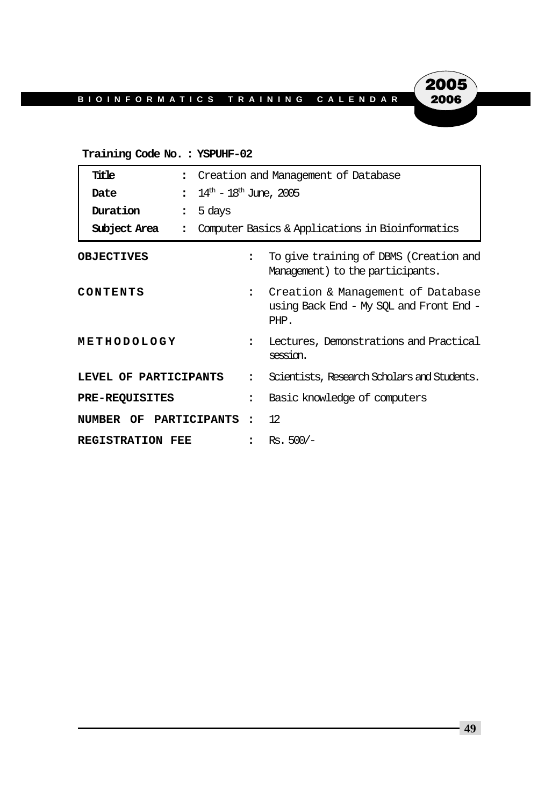## 2005 2006

#### **Training Code No. : YSPUHF-02**

| Title                                      | Creation and Management of Database                                                                          |  |  |
|--------------------------------------------|--------------------------------------------------------------------------------------------------------------|--|--|
| Date<br>$\ddot{\cdot}$                     | $14^{\text{th}}$ – $18^{\text{th}}$ June, 2005                                                               |  |  |
| Duration<br>5 days<br>$\ddot{\phantom{a}}$ |                                                                                                              |  |  |
| Subject Area<br>$\ddot{\cdot}$             | Computer Basics & Applications in Bioinformatics                                                             |  |  |
| <b>OBJECTIVES</b>                          | To give training of DBMS (Creation and<br>$\ddot{\phantom{a}}$<br>Management) to the participants.           |  |  |
| CONTENTS                                   | Creation & Management of Database<br>$\ddot{\phantom{a}}$<br>using Back End - My SQL and Front End -<br>PHP. |  |  |
| METHODOLOGY                                | Lectures, Demonstrations and Practical<br>$\ddot{\phantom{a}}$<br>session.                                   |  |  |
| LEVEL OF PARTICIPANTS                      | Scientists, Research Scholars and Students.<br>$\ddot{\phantom{a}}$                                          |  |  |
| <b>PRE-REQUISITES</b>                      | Basic knowledge of computers<br>$\overline{\phantom{a}}$                                                     |  |  |
| NUMBER OF PARTICIPANTS                     | 12<br>$\ddot{\cdot}$                                                                                         |  |  |
| <b>REGISTRATION FEE</b>                    | : Rs. $500/-$                                                                                                |  |  |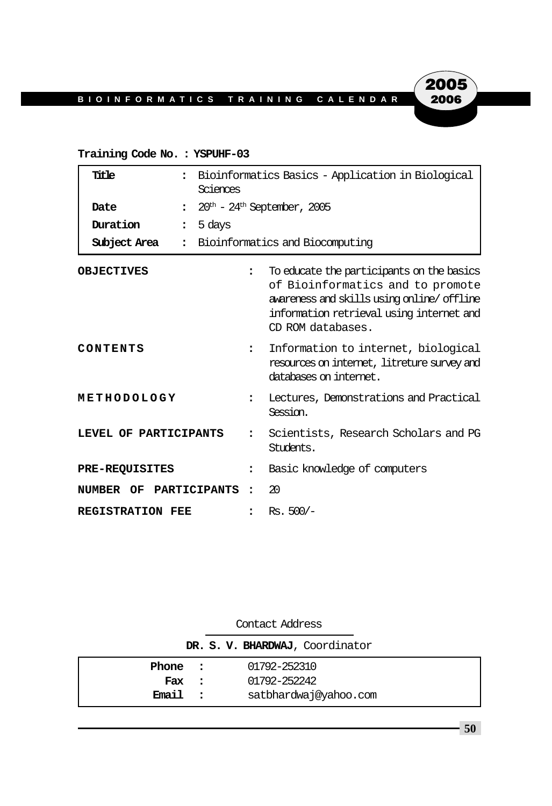**Training Code No. : YSPUHF-03**

| Title                                | Bioinformatics Basics - Application in Biological<br>Sciences |                                                                                                                                                                                             |  |  |
|--------------------------------------|---------------------------------------------------------------|---------------------------------------------------------------------------------------------------------------------------------------------------------------------------------------------|--|--|
| Date<br>$\ddot{\phantom{a}}$         |                                                               | $20th$ - $24th$ September, 2005                                                                                                                                                             |  |  |
| Duration<br>$\ddot{\cdot}$           | 5 days                                                        |                                                                                                                                                                                             |  |  |
| Subject Area<br>$\ddot{\phantom{a}}$ | Bioinformatics and Biocomputing                               |                                                                                                                                                                                             |  |  |
| <b>OBJECTIVES</b>                    | $\ddot{\phantom{a}}$                                          | To educate the participants on the basics<br>of Bioinformatics and to promote<br>awareness and skills using online/offline<br>information retrieval using internet and<br>CD ROM databases. |  |  |
| CONTENTS                             | $\ddot{\phantom{a}}$                                          | Information to internet, biological<br>resources on internet, litreture survey and<br>databases on internet.                                                                                |  |  |
| METHODOLOGY                          | $\ddot{\phantom{a}}$                                          | Lectures, Demonstrations and Practical<br>Session.                                                                                                                                          |  |  |
| LEVEL OF PARTICIPANTS                | $\ddot{\phantom{a}}$                                          | Scientists, Research Scholars and PG<br>Students.                                                                                                                                           |  |  |
| <b>PRE-REQUISITES</b>                | $\ddot{\phantom{a}}$                                          | Basic knowledge of computers                                                                                                                                                                |  |  |
| NUMBER OF PARTICIPANTS               | $\ddot{\phantom{a}}$                                          | 20                                                                                                                                                                                          |  |  |
| <b>REGISTRATION FEE</b>              | $\bullet$                                                     | $Rs. 500/-$                                                                                                                                                                                 |  |  |

|         | CONCACL AULTOR           |                                 |
|---------|--------------------------|---------------------------------|
|         |                          | DR. S. V. BHARDWAJ, Coordinator |
| Phone : |                          | 01792-252310                    |
| Fax     | $\overline{\phantom{a}}$ | 01792-252242                    |
| Email   |                          | satbhardwaj@yahoo.com           |

Contact Address

**50**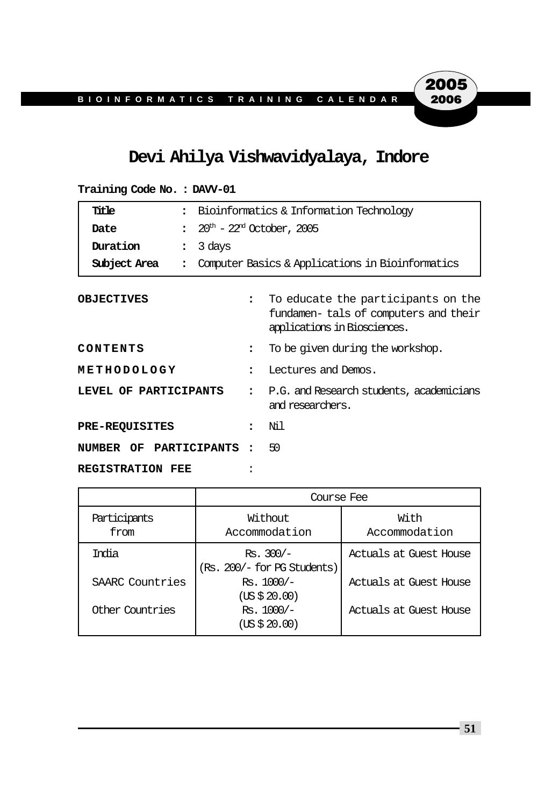## **Devi Ahilya Vishwavidyalaya, Indore**

| Title<br>$\ddot{\cdot}$          |        | Bioinformatics & Information Technology           |                                                                                                            |  |
|----------------------------------|--------|---------------------------------------------------|------------------------------------------------------------------------------------------------------------|--|
| Date<br>$\ddot{\cdot}$           |        | $20^{\text{th}}$ - $22^{\text{nd}}$ October, 2005 |                                                                                                            |  |
| Duration<br>$\ddot{\phantom{a}}$ | 3 days |                                                   |                                                                                                            |  |
| Subject Area<br>$\ddot{\cdot}$   |        |                                                   | Computer Basics & Applications in Bioinformatics                                                           |  |
| <b>OBJECTIVES</b>                |        | $\ddot{\phantom{a}}$                              | To educate the participants on the<br>fundamen-tals of computers and their<br>applications in Biosciences. |  |
| CONTENTS                         |        | $\ddot{\phantom{a}}$                              | To be given during the workshop.                                                                           |  |
| METHODOLOGY                      |        | $\ddot{\phantom{a}}$                              | Lectures and Demos.                                                                                        |  |
| LEVEL OF PARTICIPANTS            |        | $\ddot{\cdot}$                                    | P.G. and Research students, academicians<br>and researchers.                                               |  |
| <b>PRE-REQUISITES</b>            |        |                                                   | Nil                                                                                                        |  |
| NUMBER OF PARTICIPANTS           |        | $\cdot$                                           | 50                                                                                                         |  |
| <b>REGISTRATION FEE</b>          |        |                                                   |                                                                                                            |  |

**Training Code No. : DAVV-01**

|                      | Course Fee                                 |                        |
|----------------------|--------------------------------------------|------------------------|
| Participants<br>from | Without<br>Accommodation                   | With<br>Accommodation  |
| India                | $Rs. 300/-$<br>(Rs. 200/- for PG Students) | Actuals at Guest House |
| SAARC Countries      | $Rs. 1000/-$<br>(US \$ 20.00)              | Actuals at Guest House |
| Other Countries      | $Rs. 1000/-$<br>(US \$ 20.00)              | Actuals at Guest House |

**51**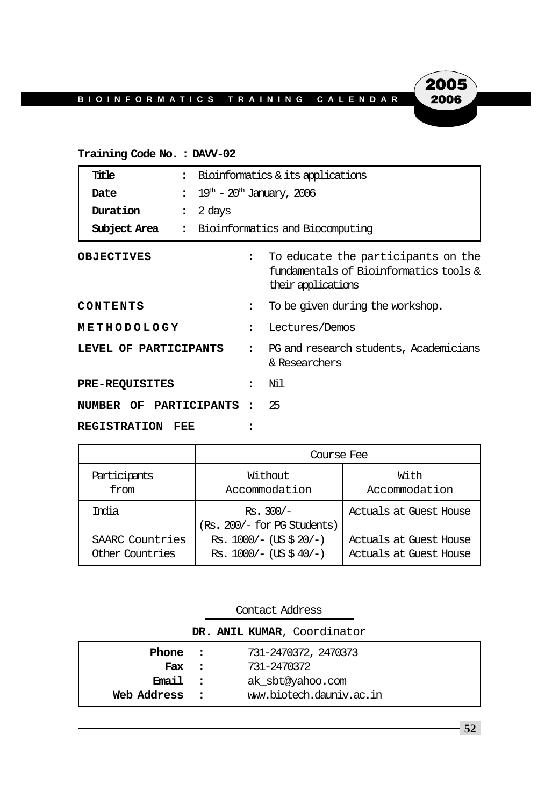#### **Training Code No. : DAVV-02**

|                            | Title                  | $\ddot{\phantom{a}}$ | Bioinformatics & its applications                                                                  |                      |                                  |  |
|----------------------------|------------------------|----------------------|----------------------------------------------------------------------------------------------------|----------------------|----------------------------------|--|
|                            | Date                   | $\ddot{\cdot}$       | $19^{\text{th}}$ – $20^{\text{th}}$ January, 2006                                                  |                      |                                  |  |
|                            | Duration               | $\ddot{\phantom{a}}$ | 2 days<br>Bioinformatics and Biocomputing                                                          |                      |                                  |  |
|                            | Subject Area           | $\ddot{\phantom{a}}$ |                                                                                                    |                      |                                  |  |
| <b>OBJECTIVES</b>          |                        | $\ddot{\phantom{a}}$ | To educate the participants on the<br>fundamentals of Bioinformatics tools &<br>their applications |                      |                                  |  |
| CONTENTS                   |                        |                      |                                                                                                    | $\ddot{\phantom{a}}$ | To be given during the workshop. |  |
| METHODOLOGY                |                        |                      |                                                                                                    | $\ddot{\phantom{a}}$ | Lectures/Demos                   |  |
| LEVEL OF PARTICIPANTS      |                        |                      | PG and research students, Academicians<br>& Researchers                                            |                      |                                  |  |
|                            | <b>PRE-REQUISITES</b>  |                      |                                                                                                    |                      | Νil                              |  |
|                            | NUMBER OF PARTICIPANTS |                      |                                                                                                    |                      | 25                               |  |
| <b>REGISTRATION</b><br>FEE |                        |                      |                                                                                                    |                      |                                  |  |

|                 | Course Fee                                 |                        |  |  |
|-----------------|--------------------------------------------|------------------------|--|--|
| Participants    | Without                                    | With                   |  |  |
| from            | Accommodation                              | Accommodation          |  |  |
| India           | $Rs. 300/-$<br>(Rs. 200/- for PG Students) | Actuals at Guest House |  |  |
| SAARC Countries | Rs. $1000/-$ (US \$ 20/-)                  | Actuals at Guest House |  |  |
| Other Countries | Rs. $1000/-$ (US \$ 40/-)                  | Actuals at Guest House |  |  |

|             | Contact Address |                             |
|-------------|-----------------|-----------------------------|
|             |                 | DR. ANIL KUMAR, Coordinator |
| Phone :     |                 | 731-2470372, 2470373        |
| Fax :       |                 | 731-2470372                 |
| Email :     |                 | ak sbt@yahoo.com            |
| Web Address | $\sim$ 2        | ww.biotech.dauniv.ac.in     |

**52**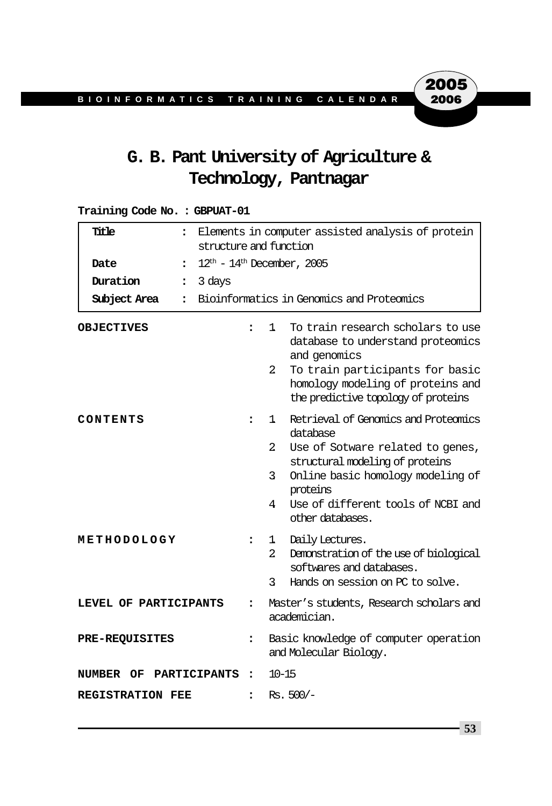# **G. B. Pant University of Agriculture & Technology, Pantnagar**

#### **Training Code No. : GBPUAT-01**

| Title<br>$\ddot{\phantom{a}}$        | Elements in computer assisted analysis of protein<br>structure and function |                                                                 |                                                                                                                                                                                                                                    |  |  |  |
|--------------------------------------|-----------------------------------------------------------------------------|-----------------------------------------------------------------|------------------------------------------------------------------------------------------------------------------------------------------------------------------------------------------------------------------------------------|--|--|--|
| Date<br>$\ddot{\phantom{a}}$         | $12^{\text{th}}$ - $14^{\text{th}}$ December, 2005                          |                                                                 |                                                                                                                                                                                                                                    |  |  |  |
| Duration<br>$\ddot{\cdot}$           | 3 days                                                                      |                                                                 |                                                                                                                                                                                                                                    |  |  |  |
| Subject Area<br>$\ddot{\phantom{a}}$ | Bioinformatics in Genomics and Proteomics                                   |                                                                 |                                                                                                                                                                                                                                    |  |  |  |
| <b>OBJECTIVES</b>                    | $\ddot{\phantom{a}}$                                                        | 1.<br>2                                                         | To train research scholars to use<br>database to understand proteomics<br>and genomics<br>To train participants for basic<br>homology modeling of proteins and<br>the predictive topology of proteins                              |  |  |  |
| CONTENTS                             | $\ddot{\phantom{a}}$                                                        | 1<br>2<br>3.<br>4                                               | Retrieval of Genomics and Proteomics<br>database<br>Use of Sotware related to genes,<br>structural modeling of proteins<br>Online basic homology modeling of<br>proteins<br>Use of different tools of NCBI and<br>other databases. |  |  |  |
| METHODOLOGY                          | $\ddot{\phantom{a}}$                                                        | 1<br>2.<br>3                                                    | Daily Lectures.<br>Demonstration of the use of biological<br>softwares and databases.<br>Hands on session on PC to solve.                                                                                                          |  |  |  |
| LEVEL OF PARTICIPANTS                | $\ddot{\phantom{a}}$                                                        |                                                                 | Master's students, Research scholars and<br>academician.                                                                                                                                                                           |  |  |  |
| <b>PRE-REQUISITES</b>                | $\ddot{\phantom{a}}$                                                        | Basic knowledge of computer operation<br>and Molecular Biology. |                                                                                                                                                                                                                                    |  |  |  |
| NUMBER<br>OF                         | <b>PARTICIPANTS</b><br>$\ddot{\phantom{a}}$                                 | $10 - 15$                                                       |                                                                                                                                                                                                                                    |  |  |  |
| <b>REGISTRATION FEE</b>              | $\ddot{\phantom{a}}$                                                        | $Rs. 500/-$                                                     |                                                                                                                                                                                                                                    |  |  |  |

**53**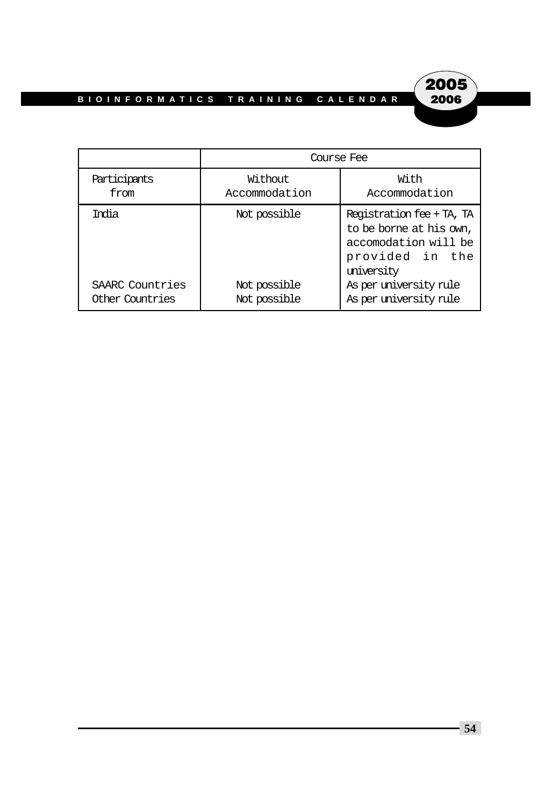

|                 | Course Fee    |                                                                                                               |  |  |  |
|-----------------|---------------|---------------------------------------------------------------------------------------------------------------|--|--|--|
| Participants    | Without       | With                                                                                                          |  |  |  |
| from            | Accommodation | Accommodation                                                                                                 |  |  |  |
| Trolia          | Not possible  | Registration fee + TA, TA<br>to be borne at his own,<br>accomodation will be<br>provided in the<br>university |  |  |  |
| SAARC Countries | Not possible  | As per university rule                                                                                        |  |  |  |
| Other Countries | Not possible  | As per university rule                                                                                        |  |  |  |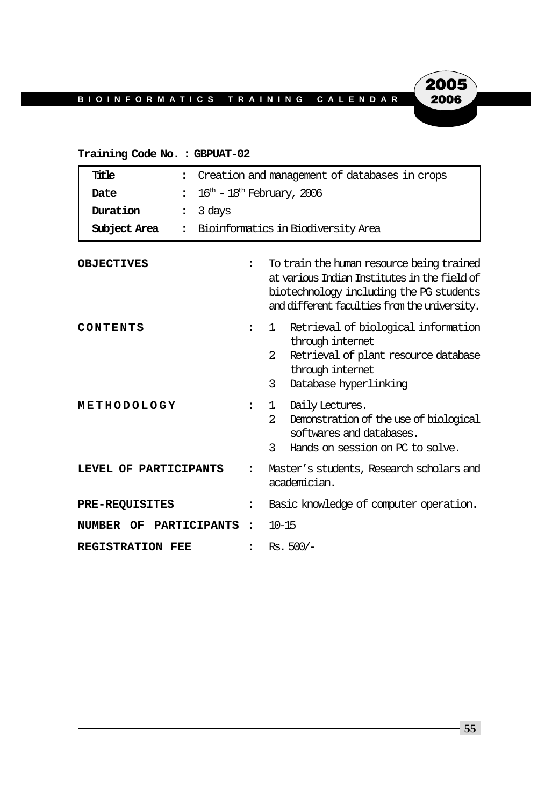#### **Training Code No. : GBPUAT-02**

| Title<br>$\ddot{\phantom{a}}$    | Creation and management of databases in crops      |                                                                                                                                                                                      |  |  |  |
|----------------------------------|----------------------------------------------------|--------------------------------------------------------------------------------------------------------------------------------------------------------------------------------------|--|--|--|
| Date<br>$\ddot{\cdot}$           | $16^{\text{th}}$ - $18^{\text{th}}$ February, 2006 |                                                                                                                                                                                      |  |  |  |
| Duration<br>$\ddot{\phantom{a}}$ | 3 days                                             |                                                                                                                                                                                      |  |  |  |
| Subject Area<br>$\ddot{\cdot}$   | Bioinformatics in Biodiversity Area                |                                                                                                                                                                                      |  |  |  |
| <b>OBJECTIVES</b>                | $\ddot{\phantom{a}}$                               | To train the human resource being trained<br>at various Indian Institutes in the field of<br>biotechnology including the PG students<br>and different faculties from the university. |  |  |  |
| CONTENTS                         | $\ddot{\phantom{a}}$                               | Retrieval of biological information<br>1.<br>through internet<br>$\mathfrak{D}$<br>Retrieval of plant resource database<br>through internet<br>3<br>Database hyperlinking            |  |  |  |
| METHODOLOGY                      | $\ddot{\phantom{a}}$                               | Daily Lectures.<br>1<br>$\overline{a}$<br>Demonstration of the use of biological<br>softwares and databases.<br>3<br>Hands on session on PC to solve.                                |  |  |  |
| LEVEL OF PARTICIPANTS            | $\ddot{\phantom{a}}$                               | Master's students, Research scholars and<br>academician.                                                                                                                             |  |  |  |
| <b>PRE-REQUISITES</b>            | $\ddot{\phantom{a}}$                               | Basic knowledge of computer operation.                                                                                                                                               |  |  |  |
| PARTICIPANTS<br>NUMBER OF        | $\ddot{\phantom{a}}$                               | $10 - 15$                                                                                                                                                                            |  |  |  |
| <b>REGISTRATION FEE</b>          | $\ddot{\phantom{a}}$                               | $Rs. 500/-$                                                                                                                                                                          |  |  |  |

**55**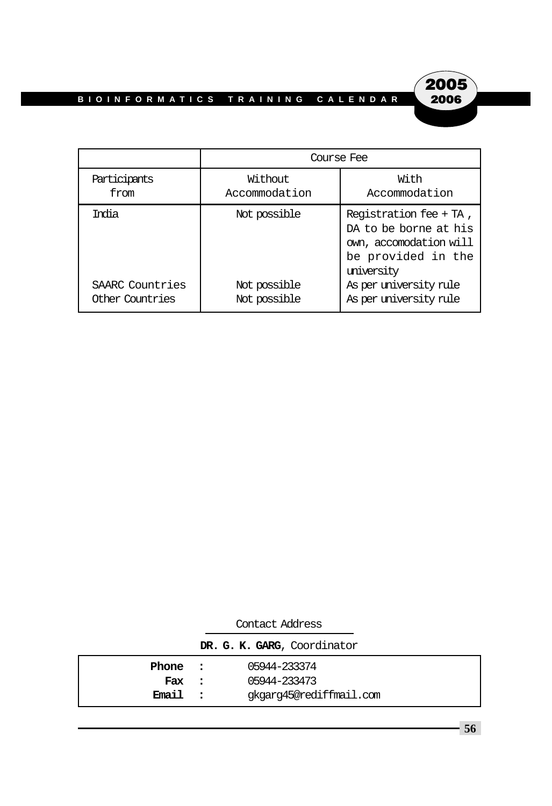

|                 | Course Fee    |                                                                                                               |  |  |  |
|-----------------|---------------|---------------------------------------------------------------------------------------------------------------|--|--|--|
| Participants    | Without       | With                                                                                                          |  |  |  |
| from            | Accommodation | Accommodation                                                                                                 |  |  |  |
| Trolia          | Not possible  | Registration fee + TA,<br>DA to be borne at his<br>own, accomodation will<br>be provided in the<br>university |  |  |  |
| SAARC Countries | Not possible  | As per university rule                                                                                        |  |  |  |
| Other Countries | Not possible  | As per university rule                                                                                        |  |  |  |

|         | Contact Address             |
|---------|-----------------------------|
|         | DR. G. K. GARG, Coordinator |
| Phone : | 05944-233374                |
| Fax :   | 05944-233473                |
| Email : | qkqarq45@rediffmail.com     |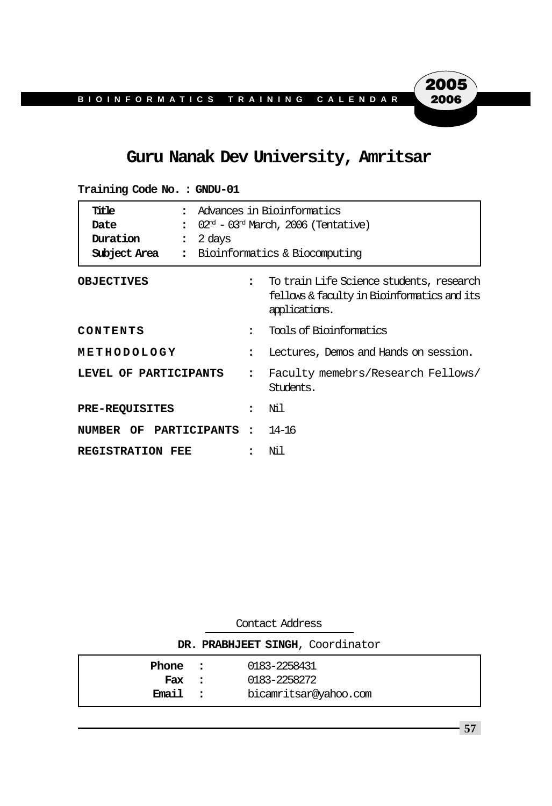## **Guru Nanak Dev University, Amritsar**

| Title<br>$\bullet$<br>Date<br>$\ddot{\phantom{a}}$<br>Duration<br>2 days<br>$\ddot{\cdot}$<br>Subject Area<br>$\ddot{\phantom{a}}$ | Advances in Bioinformatics<br>$02nd$ – $03nd$ March, 2006 (Tentative)<br>Bioinformatics & Biocomputing |                                                                                                          |  |  |
|------------------------------------------------------------------------------------------------------------------------------------|--------------------------------------------------------------------------------------------------------|----------------------------------------------------------------------------------------------------------|--|--|
| <b>OBJECTIVES</b>                                                                                                                  |                                                                                                        | To train Life Science students, research<br>fellows & faculty in Bioinformatics and its<br>applications. |  |  |
| CONTENTS                                                                                                                           | $\bullet$                                                                                              | Tools of Bioinformatics                                                                                  |  |  |
| METHODOLOGY                                                                                                                        | 2                                                                                                      | Lectures, Demos and Hands on session.                                                                    |  |  |
| LEVEL OF PARTICIPANTS                                                                                                              |                                                                                                        | Faculty memebrs/Research Fellows/<br>Students.                                                           |  |  |
| <b>PRE-REQUISITES</b>                                                                                                              |                                                                                                        | Νil                                                                                                      |  |  |
| NUMBER OF PARTICIPANTS:                                                                                                            |                                                                                                        | 14–16                                                                                                    |  |  |
| <b>REGISTRATION FEE</b>                                                                                                            |                                                                                                        | Ni 1                                                                                                     |  |  |

**Training Code No. : GNDU-01**

|                                  | Contact Address |                       |  |  |  |  |  |
|----------------------------------|-----------------|-----------------------|--|--|--|--|--|
| DR. PRABHJEET SINGH, Coordinator |                 |                       |  |  |  |  |  |
| 0183-2258431<br>Phone :          |                 |                       |  |  |  |  |  |
| Fax :                            |                 | 0183-2258272          |  |  |  |  |  |
| <b>Email</b>                     | $\sim$ $\sim$   | bicamritsar@yahoo.com |  |  |  |  |  |

**57**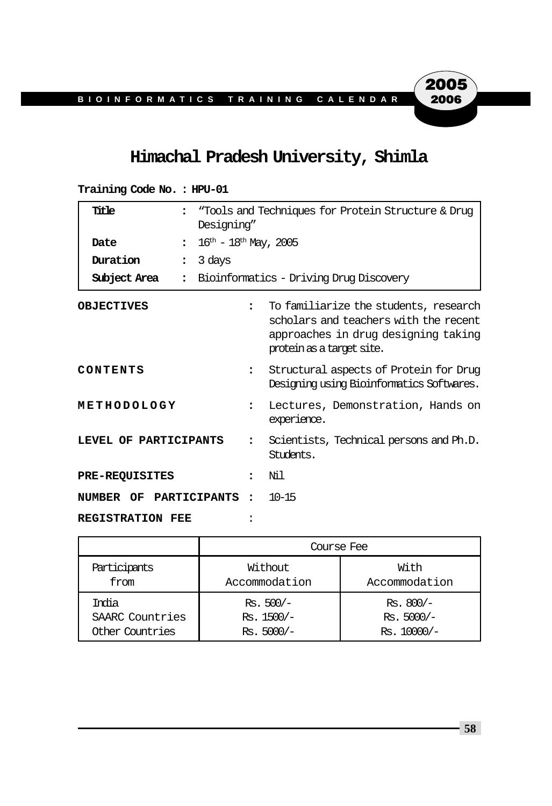## **Himachal Pradesh University, Shimla**

| Title                            | "Tools and Techniques for Protein Structure & Drug<br>Designing"<br>$16^{\text{th}} - 18^{\text{th}}$ May, 2005 |                                                                                                                                                    |  |  |  |
|----------------------------------|-----------------------------------------------------------------------------------------------------------------|----------------------------------------------------------------------------------------------------------------------------------------------------|--|--|--|
| Date<br>$\ddot{\phantom{a}}$     |                                                                                                                 |                                                                                                                                                    |  |  |  |
| Duration<br>$\ddot{\phantom{a}}$ | 3 days                                                                                                          |                                                                                                                                                    |  |  |  |
| Subject Area<br>$\ddot{\cdot}$   |                                                                                                                 | Bioinformatics - Driving Drug Discovery                                                                                                            |  |  |  |
| <b>OBJECTIVES</b>                | $\ddot{\phantom{a}}$                                                                                            | To familiarize the students, research<br>scholars and teachers with the recent<br>approaches in drug designing taking<br>protein as a target site. |  |  |  |
| CONTENTS                         | $\ddot{\phantom{a}}$                                                                                            | Structural aspects of Protein for Drug<br>Designing using Bioinformatics Softwares.                                                                |  |  |  |
| METHODOLOGY                      | $\ddot{\phantom{a}}$                                                                                            | Lectures, Demonstration, Hands on<br>experience.                                                                                                   |  |  |  |
| LEVEL OF PARTICIPANTS            |                                                                                                                 | Scientists, Technical persons and Ph.D.<br>Students.                                                                                               |  |  |  |
| <b>PRE-REQUISITES</b>            | $\overline{\phantom{a}}$                                                                                        | Ni 1                                                                                                                                               |  |  |  |
| NUMBER OF PARTICIPANTS           | $\bullet$                                                                                                       | $10 - 15$                                                                                                                                          |  |  |  |
| <b>REGISTRATION FEE</b>          |                                                                                                                 |                                                                                                                                                    |  |  |  |

|  | Training Code No.: HPU-01 |  |  |
|--|---------------------------|--|--|
|--|---------------------------|--|--|

|                 | Course Fee    |               |  |  |
|-----------------|---------------|---------------|--|--|
| Participants    | Without       | With          |  |  |
| from            | Accommodation | Accommodation |  |  |
| India           | $Rs. 500/-$   | $Rs. 800/-$   |  |  |
| SAARC Countries | $Rs. 1500/-$  | $Rs. 5000/-$  |  |  |
| Other Countries | $Rs. 5000/-$  | $Rs. 10000/-$ |  |  |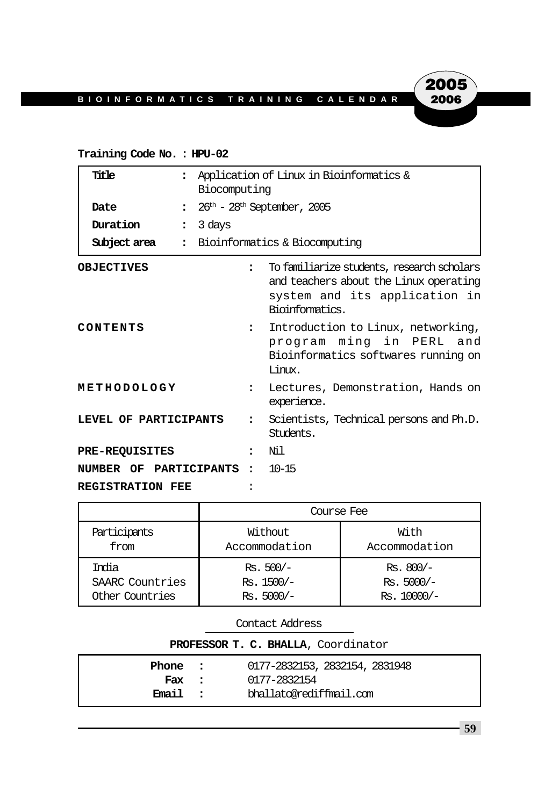#### **Training Code No. : HPU-02**

| Title                   |                          | Application of Linux in Bioinformatics &<br>Biocomputing |                                                                                                                                          |  |
|-------------------------|--------------------------|----------------------------------------------------------|------------------------------------------------------------------------------------------------------------------------------------------|--|
| Date                    | $\ddot{\phantom{a}}$     | $26th$ - $28th$ September, 2005                          |                                                                                                                                          |  |
| Duration                | 3 days<br>$\ddot{\cdot}$ |                                                          |                                                                                                                                          |  |
| Subject area            |                          |                                                          | : Bioinformatics & Biocomputing                                                                                                          |  |
| <b>OBJECTIVES</b>       |                          | $\ddot{\phantom{a}}$                                     | To familiarize students, research scholars<br>and teachers about the Linux operating<br>system and its application in<br>Bioinformatics. |  |
| CONTENTS                |                          | $\ddot{\phantom{a}}$                                     | Introduction to Linux, networking,<br>program ming in PERL and<br>Bioinformatics softwares running on<br>Timnx.                          |  |
| METHODOLOGY             |                          | $\ddot{\phantom{a}}$                                     | Lectures, Demonstration, Hands on<br>experience.                                                                                         |  |
| LEVEL OF PARTICIPANTS   |                          | $\mathbf{r}$                                             | Scientists, Technical persons and Ph.D.<br>Students.                                                                                     |  |
| <b>PRE-REQUISITES</b>   |                          | $\overline{\phantom{a}}$                                 | Ni 1                                                                                                                                     |  |
| NUMBER OF PARTICIPANTS  |                          | $\bullet$ .                                              | $10 - 15$                                                                                                                                |  |
| <b>REGISTRATION FEE</b> |                          |                                                          |                                                                                                                                          |  |

|                 | Course Fee    |               |  |  |  |
|-----------------|---------------|---------------|--|--|--|
| Participants    | Without       | With          |  |  |  |
| from            | Accommodation | Accommodation |  |  |  |
| India           | $Rs. 500/-$   | $Rs. 800/-$   |  |  |  |
| SAARC Countries | $Rs. 1500/-$  | $Rs. 5000/-$  |  |  |  |
| Other Countries | $Rs. 5000/-$  | $Rs. 10000/-$ |  |  |  |

| PROFESSOR T. C. BHALLA, Coordinator |  |                                |  |  |
|-------------------------------------|--|--------------------------------|--|--|
| Phone :                             |  | 0177-2832153, 2832154, 2831948 |  |  |
| Fax :                               |  | 0177-2832154                   |  |  |
| Email :                             |  | bhallato@rediffmail.com        |  |  |

**2005**<br>2006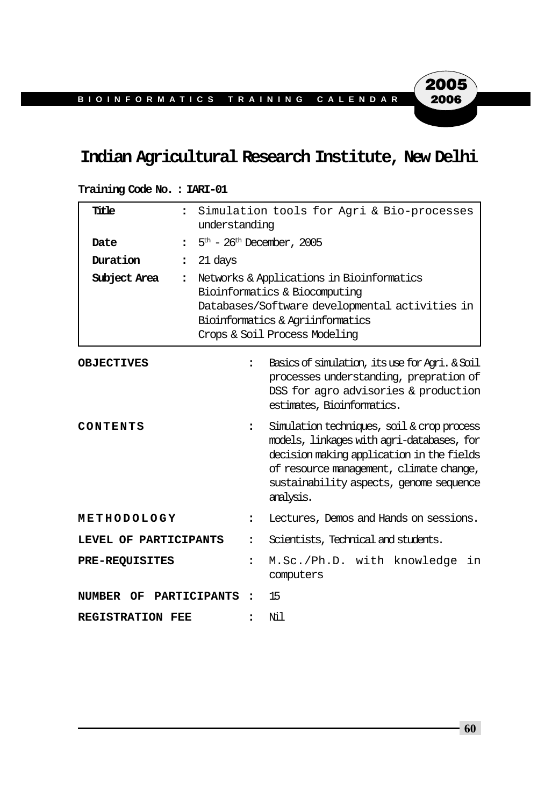## **Indian Agricultural Research Institute, New Delhi**

#### **Training Code No. : IARI-01**

| Title                                         | $\ddot{\phantom{a}}$                                                                                                                                                                                                                                            | Simulation tools for Agri & Bio-processes<br>understanding                                                                                                                                        |                                                                                                                                                                |  |  |  |
|-----------------------------------------------|-----------------------------------------------------------------------------------------------------------------------------------------------------------------------------------------------------------------------------------------------------------------|---------------------------------------------------------------------------------------------------------------------------------------------------------------------------------------------------|----------------------------------------------------------------------------------------------------------------------------------------------------------------|--|--|--|
| Date                                          | $\ddot{\phantom{a}}$                                                                                                                                                                                                                                            | $5th$ – 26 <sup>th</sup> December, 2005                                                                                                                                                           |                                                                                                                                                                |  |  |  |
| Duration                                      | 21 days<br>$\ddot{\phantom{a}}$                                                                                                                                                                                                                                 |                                                                                                                                                                                                   |                                                                                                                                                                |  |  |  |
| Subject Area                                  | $\ddot{\phantom{a}}$                                                                                                                                                                                                                                            | Networks & Applications in Bioinformatics<br>Bioinformatics & Biocomputing<br>Databases/Software developmental activities in<br>Bioinformatics & Agriinformatics<br>Crops & Soil Process Modeling |                                                                                                                                                                |  |  |  |
| <b>OBJECTIVES</b>                             |                                                                                                                                                                                                                                                                 | $\ddot{\phantom{a}}$                                                                                                                                                                              | Basics of simulation, its use for Agri. & Soil<br>processes understanding, prepration of<br>DSS for agro advisories & production<br>estimates, Bioinformatics. |  |  |  |
| CONTENTS                                      | Simulation techniques, soil & crop process<br>$\ddot{\phantom{a}}$<br>models, linkages with agri-databases, for<br>decision making application in the fields<br>of resource management, climate change,<br>sustainability aspects, genome sequence<br>analysis. |                                                                                                                                                                                                   |                                                                                                                                                                |  |  |  |
| METHODOLOGY                                   |                                                                                                                                                                                                                                                                 | $\ddot{\phantom{a}}$                                                                                                                                                                              | Lectures, Demos and Hands on sessions.                                                                                                                         |  |  |  |
| LEVEL OF PARTICIPANTS<br>$\ddot{\phantom{a}}$ |                                                                                                                                                                                                                                                                 |                                                                                                                                                                                                   | Scientists, Technical and students.                                                                                                                            |  |  |  |
| <b>PRE-REQUISITES</b>                         |                                                                                                                                                                                                                                                                 | $\ddot{\phantom{a}}$                                                                                                                                                                              | M.Sc./Ph.D. with knowledge<br>in<br>computers                                                                                                                  |  |  |  |
| NUMBER OF PARTICIPANTS                        |                                                                                                                                                                                                                                                                 |                                                                                                                                                                                                   | 15                                                                                                                                                             |  |  |  |
| <b>REGISTRATION FEE</b>                       |                                                                                                                                                                                                                                                                 | $\ddot{\phantom{a}}$                                                                                                                                                                              | Νil                                                                                                                                                            |  |  |  |

**60**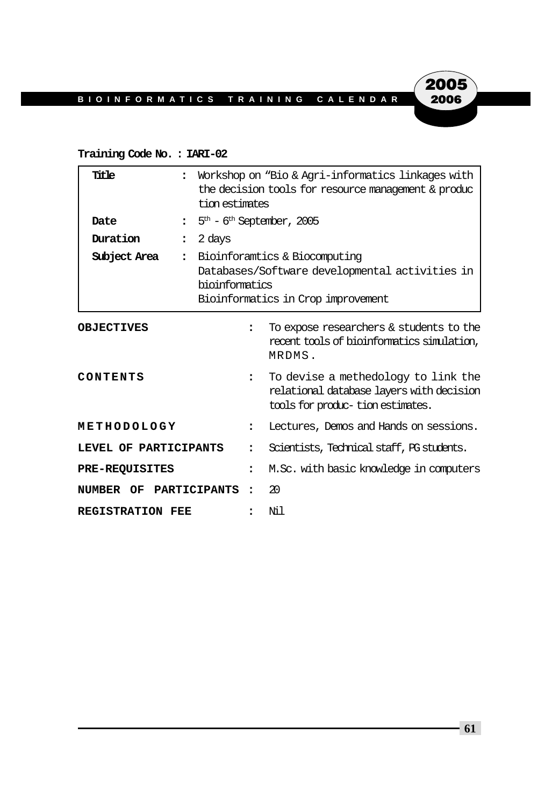#### **Training Code No. : IARI-02**

| Title                            |              | Workshop on "Bio & Agri-informatics linkages with<br>the decision tools for resource management & produc<br>tion estimates              |                                                                                                                     |  |
|----------------------------------|--------------|-----------------------------------------------------------------------------------------------------------------------------------------|---------------------------------------------------------------------------------------------------------------------|--|
| Date<br>$\ddot{\phantom{a}}$     |              |                                                                                                                                         | $5th - 6th$ September, 2005                                                                                         |  |
| Duration<br>$\ddot{\phantom{a}}$ | 2 days       |                                                                                                                                         |                                                                                                                     |  |
| Subject Area<br>$\ddot{\cdot}$   |              | Bioinforamtics & Biocomputing<br>Databases/Software developmental activities in<br>bioinformatics<br>Bioinformatics in Crop improvement |                                                                                                                     |  |
| <b>OBJECTIVES</b>                |              | $\ddot{\phantom{a}}$                                                                                                                    | To expose researchers & students to the<br>recent tools of bioinformatics simulation,<br>MRDMS.                     |  |
| CONTENTS                         |              | $\ddot{\phantom{a}}$                                                                                                                    | To devise a methedology to link the<br>relational database layers with decision<br>tools for produc-tion estimates. |  |
| METHODOLOGY                      |              |                                                                                                                                         | Lectures, Demos and Hands on sessions.                                                                              |  |
| LEVEL OF PARTICIPANTS            |              |                                                                                                                                         | Scientists, Technical staff, PG students.                                                                           |  |
| <b>PRE-REQUISITES</b>            |              | ፡                                                                                                                                       | M.Sc. with basic knowledge in computers                                                                             |  |
| NUMBER OF                        | PARTICIPANTS |                                                                                                                                         | 20                                                                                                                  |  |
| <b>REGISTRATION FEE</b>          |              |                                                                                                                                         | Ni1                                                                                                                 |  |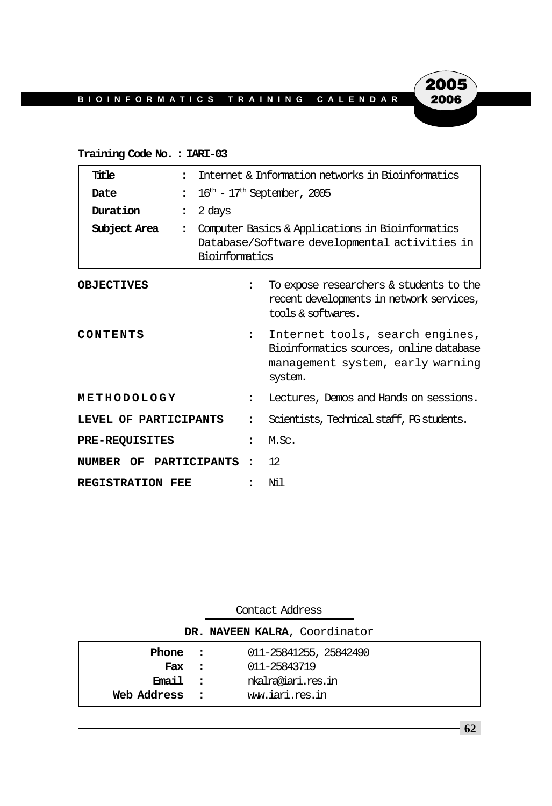#### **Training Code No. : IARI-03**

| Title                   |                          | Internet & Information networks in Bioinformatics                                                                   |                                                                                                                           |  |
|-------------------------|--------------------------|---------------------------------------------------------------------------------------------------------------------|---------------------------------------------------------------------------------------------------------------------------|--|
| Date                    | $\ddot{\phantom{a}}$     | $16^{\text{th}}$ - $17^{\text{th}}$ September, 2005                                                                 |                                                                                                                           |  |
| Duration                | 2 days<br>$\ddot{\cdot}$ |                                                                                                                     |                                                                                                                           |  |
| Subject Area            | $\ddot{\phantom{a}}$     | Computer Basics & Applications in Bioinformatics<br>Database/Software developmental activities in<br>Bioinformatics |                                                                                                                           |  |
| <b>OBJECTIVES</b>       |                          | $\ddot{\phantom{a}}$                                                                                                | To expose researchers & students to the<br>recent developments in network services,<br>tools & softwares.                 |  |
| CONTENTS                |                          | $\ddot{\phantom{a}}$                                                                                                | Internet tools, search engines,<br>Bioinformatics sources, online database<br>management system, early warning<br>system. |  |
| METHODOLOGY             |                          | $\ddot{\phantom{a}}$                                                                                                | Lectures, Demos and Hands on sessions.                                                                                    |  |
| LEVEL OF PARTICIPANTS   |                          |                                                                                                                     | Scientists, Technical staff, PG students.                                                                                 |  |
| <b>PRE-REQUISITES</b>   |                          | $\overline{\phantom{a}}$                                                                                            | M.Sc.                                                                                                                     |  |
| NUMBER OF PARTICIPANTS  |                          | $\ddot{\phantom{a}}$                                                                                                | 12                                                                                                                        |  |
| <b>REGISTRATION FEE</b> |                          |                                                                                                                     | Nil                                                                                                                       |  |

| Contact Address               |  |                        |  |  |  |
|-------------------------------|--|------------------------|--|--|--|
| DR. NAVEEN KALRA, Coordinator |  |                        |  |  |  |
| Phone :                       |  | 011-25841255, 25842490 |  |  |  |
| Fax :                         |  | 011-25843719           |  |  |  |
| Email :                       |  | nkalma@iari.res.in     |  |  |  |
| Web Address<br>$\mathbf{r}$   |  | ww.iari.res.in         |  |  |  |

**62**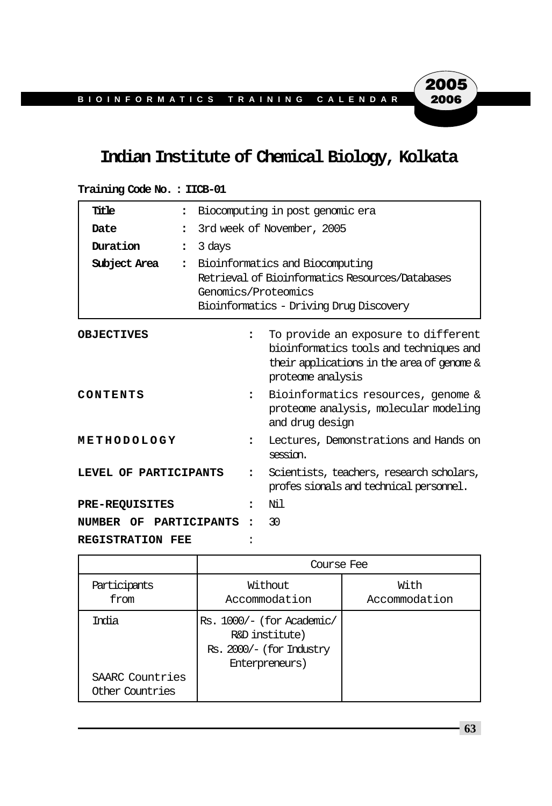## **Indian Institute of Chemical Biology, Kolkata**

| Title<br>$\ddot{\phantom{a}}$    |                                                                                                                                                      | Biocomputing in post genomic era                                                                                                                  |  |  |
|----------------------------------|------------------------------------------------------------------------------------------------------------------------------------------------------|---------------------------------------------------------------------------------------------------------------------------------------------------|--|--|
| Date<br>$\ddot{\phantom{a}}$     |                                                                                                                                                      | 3rd week of November, 2005                                                                                                                        |  |  |
| Duration<br>$\ddot{\phantom{a}}$ | 3 days                                                                                                                                               |                                                                                                                                                   |  |  |
| Subject Area<br>$\ddot{\cdot}$   | Bioinformatics and Biocomputing<br>Retrieval of Bioinformatics Resources/Databases<br>Genomics/Proteomics<br>Bioinformatics - Driving Drug Discovery |                                                                                                                                                   |  |  |
| <b>OBJECTIVES</b>                | $\overline{\phantom{a}}$                                                                                                                             | To provide an exposure to different<br>bioinformatics tools and techniques and<br>their applications in the area of genome &<br>proteome analysis |  |  |
| CONTENTS                         | $\ddot{\phantom{a}}$                                                                                                                                 | Bioinformatics resources, genome &<br>proteome analysis, molecular modeling<br>and drug design                                                    |  |  |
| METHODOLOGY                      | $\ddot{\phantom{a}}$                                                                                                                                 | Lectures, Demonstrations and Hands on<br>session.                                                                                                 |  |  |
| LEVEL OF PARTICIPANTS            | $\ddot{\phantom{a}}$                                                                                                                                 | Scientists, teachers, research scholars,<br>profes sionals and technical personnel.                                                               |  |  |
| <b>PRE-REQUISITES</b>            | ٠                                                                                                                                                    | Ni 1                                                                                                                                              |  |  |
| NUMBER OF PARTICIPANTS           |                                                                                                                                                      | 30                                                                                                                                                |  |  |
| <b>REGISTRATION FEE</b>          |                                                                                                                                                      |                                                                                                                                                   |  |  |

| Training Code No.: IICB-01 |  |  |  |  |
|----------------------------|--|--|--|--|
|----------------------------|--|--|--|--|

|                                              | Course Fee                                                                                |                       |  |  |  |
|----------------------------------------------|-------------------------------------------------------------------------------------------|-----------------------|--|--|--|
| Participants<br>from                         | Without<br>Accommodation                                                                  | With<br>Accommodation |  |  |  |
| Trolia<br>SAARC Countries<br>Other Countries | Rs. 1000/- (for Academic/<br>R&D institute)<br>Rs. 2000/- (for Industry<br>Enterpreneurs) |                       |  |  |  |

**63**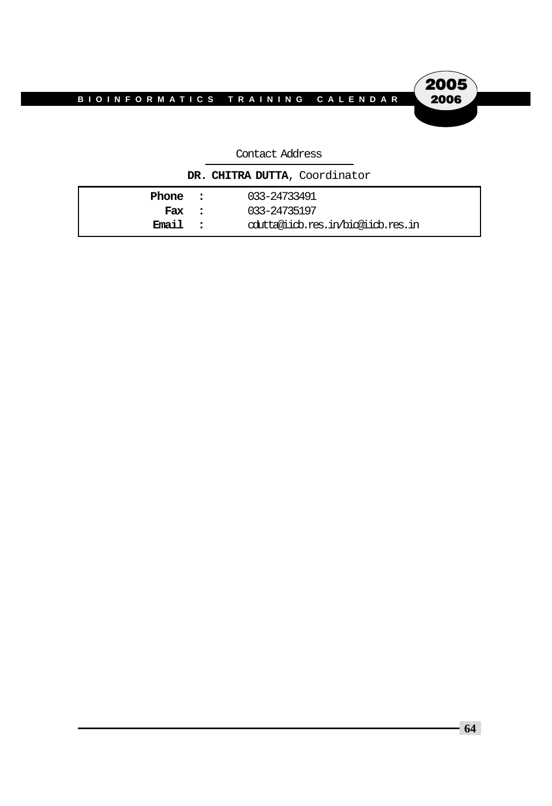# 2005 2006

#### Contact Address

**DR. CHITRA DUTTA**, Coordinator

| Phone : | 033-24733491                        |
|---------|-------------------------------------|
| Fax :   | 033-24735197                        |
| Email : | colutta@iicb.res.in/bio@iicb.res.in |
|         |                                     |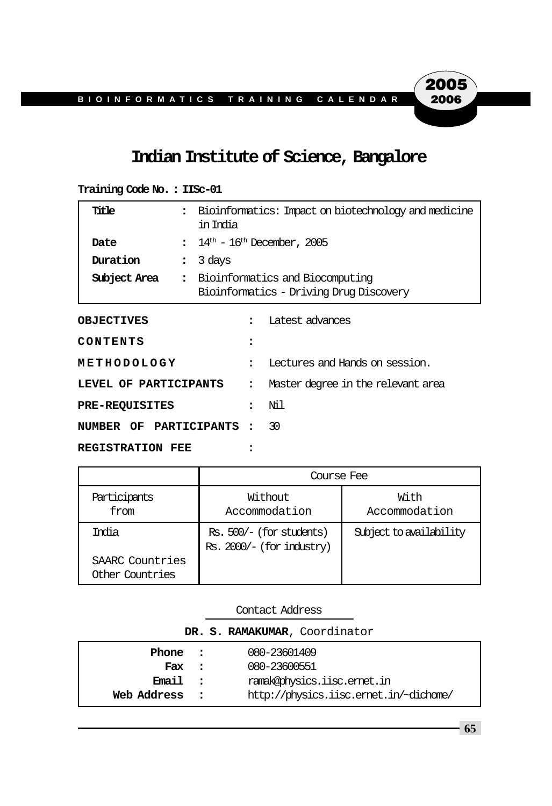## **Indian Institute of Science, Bangalore**

| Title                   | $\ddot{\phantom{a}}$<br>in India | Bioinformatics: Impact on biotechnology and medicine                       |                                    |  |
|-------------------------|----------------------------------|----------------------------------------------------------------------------|------------------------------------|--|
| Date                    | $\ddot{\phantom{a}}$             | $14^{\rm th}$ – $16^{\rm th}$ December, 2005                               |                                    |  |
| Duration                | 3 days<br>$\ddot{\phantom{a}}$   |                                                                            |                                    |  |
| Subject Area            | $\ddot{\cdot}$                   | Bioinformatics and Biocomputing<br>Bioinformatics - Driving Drug Discovery |                                    |  |
| <b>OBJECTIVES</b>       |                                  | $\ddot{\phantom{a}}$                                                       | Latest advances                    |  |
| CONTENTS                |                                  | $\ddot{\phantom{a}}$                                                       |                                    |  |
| METHODOLOGY             |                                  | $\ddot{\phantom{a}}$                                                       | Lectures and Hands on session.     |  |
| LEVEL OF PARTICIPANTS   |                                  | $\ddot{\phantom{a}}$                                                       | Master degree in the relevant area |  |
| <b>PRE-REQUISITES</b>   |                                  | $\ddot{\phantom{a}}$                                                       | Νil                                |  |
| NUMBER OF PARTICIPANTS: |                                  |                                                                            | 30                                 |  |
| <b>REGISTRATION FEE</b> |                                  |                                                                            |                                    |  |

| Training Code No.: IISc-01 |  |  |
|----------------------------|--|--|
|----------------------------|--|--|

|                                    | Course Fee                                              |                         |  |  |
|------------------------------------|---------------------------------------------------------|-------------------------|--|--|
| Participants<br>from               | Without<br>Accommodation                                | With<br>Accommodation   |  |  |
| Tmia                               | Rs. 500/- (for students)<br>$Rs. 2000/- (for industry)$ | Subject to availability |  |  |
| SAARC Countries<br>Other Countries |                                                         |                         |  |  |

| DR. S. RAMAKUMAR, Coordinator |              |                                        |  |  |  |
|-------------------------------|--------------|----------------------------------------|--|--|--|
| Phone                         | $\sim$ 2     | 080-23601409                           |  |  |  |
| Fax                           | $\sim$ 2     | 080-23600551                           |  |  |  |
| <b>Email</b>                  | $\mathbf{r}$ | ramak@ohysics.iisc.emet.in             |  |  |  |
| Web Address                   |              | http://physics.iisc.ernet.in/~dichame/ |  |  |  |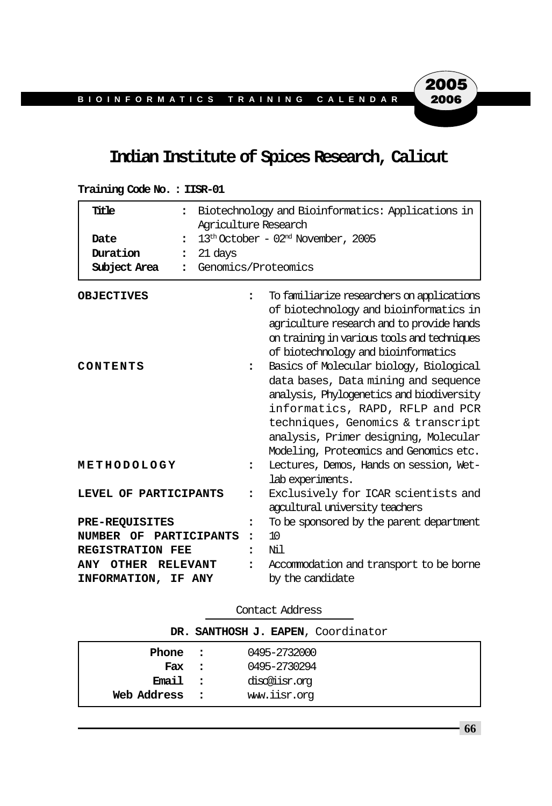## **Indian Institute of Spices Research, Calicut**

| Title<br>$\ddot{\phantom{a}}$<br>Date<br>$\ddot{\phantom{a}}$<br>Duration<br>21 days<br>$\ddot{\phantom{a}}$<br>Subject Area | Biotechnology and Bioinformatics: Applications in<br>Agriculture Research<br>$13th October - 02nd November, 2005$<br>Genomics/Proteomics |                                                                                                                                                                                                                                                                                                                                                                                                                                                                                                                   |  |
|------------------------------------------------------------------------------------------------------------------------------|------------------------------------------------------------------------------------------------------------------------------------------|-------------------------------------------------------------------------------------------------------------------------------------------------------------------------------------------------------------------------------------------------------------------------------------------------------------------------------------------------------------------------------------------------------------------------------------------------------------------------------------------------------------------|--|
| <b>OBJECTIVES</b><br>CONTENTS                                                                                                | $\ddot{\phantom{a}}$<br>$\ddot{\phantom{a}}$                                                                                             | To familiarize researchers on applications<br>of biotechnology and bioinformatics in<br>agriculture research and to provide hands<br>on training in various tools and techniques<br>of biotechnology and bioinformatics<br>Basics of Molecular biology, Biological<br>data bases, Data mining and sequence<br>analysis, Phylogenetics and biodiversity<br>informatics, RAPD, RFLP and PCR<br>techniques, Genomics & transcript<br>analysis, Primer designing, Molecular<br>Modeling, Proteomics and Genomics etc. |  |
| METHODOLOGY                                                                                                                  | ፡                                                                                                                                        | Lectures, Demos, Hands on session, Wet-<br>lab experiments.                                                                                                                                                                                                                                                                                                                                                                                                                                                       |  |
| LEVEL OF PARTICIPANTS                                                                                                        | $\ddot{\phantom{a}}$                                                                                                                     | Exclusively for ICAR scientists and<br>agcultural university teachers                                                                                                                                                                                                                                                                                                                                                                                                                                             |  |
| <b>PRE-REQUISITES</b>                                                                                                        | ፡                                                                                                                                        | To be sponsored by the parent department                                                                                                                                                                                                                                                                                                                                                                                                                                                                          |  |
| NUMBER OF PARTICIPANTS                                                                                                       | $\ddot{\phantom{a}}$                                                                                                                     | 10                                                                                                                                                                                                                                                                                                                                                                                                                                                                                                                |  |
| <b>REGISTRATION FEE</b>                                                                                                      | $\ddot{\phantom{a}}$                                                                                                                     | Νil                                                                                                                                                                                                                                                                                                                                                                                                                                                                                                               |  |
| <b>ANY</b><br>OTHER RELEVANT                                                                                                 |                                                                                                                                          | Accommodation and transport to be borne                                                                                                                                                                                                                                                                                                                                                                                                                                                                           |  |
| INFORMATION, IF ANY                                                                                                          |                                                                                                                                          | by the candidate                                                                                                                                                                                                                                                                                                                                                                                                                                                                                                  |  |

**Training Code No. : IISR-01**

| Contact Address                    |          |               |  |  |  |
|------------------------------------|----------|---------------|--|--|--|
| DR. SANTHOSH J. EAPEN, Coordinator |          |               |  |  |  |
| Phone :                            |          | 0495-2732000  |  |  |  |
| Fax :                              |          | 0495-2730294  |  |  |  |
| Email                              | $\sim$ 2 | disc@iisr.org |  |  |  |
| Web Address                        |          | www.iisr.org  |  |  |  |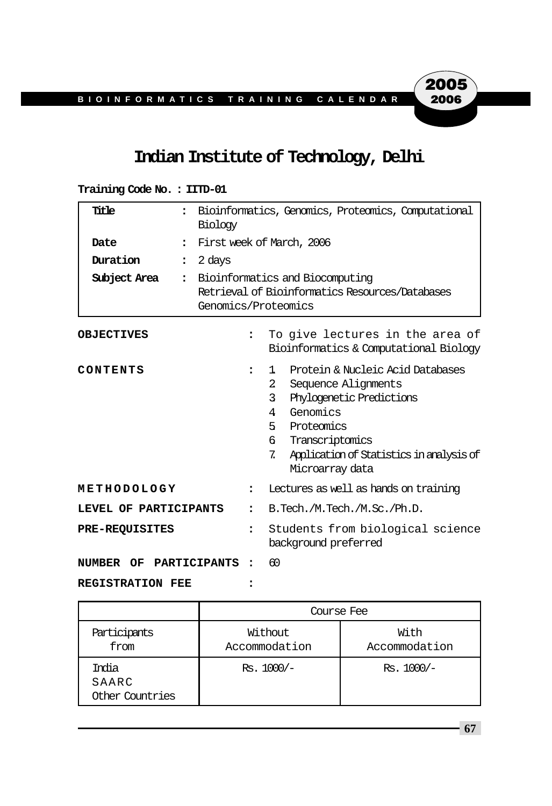## **Indian Institute of Technology, Delhi**

### **Training Code No. : IITD-01**

| Title                 | $\ddot{\phantom{a}}$<br>Biology | Bioinformatics, Genomics, Proteomics, Computational                                                       |                                                                                                                                                                                                                                                |  |
|-----------------------|---------------------------------|-----------------------------------------------------------------------------------------------------------|------------------------------------------------------------------------------------------------------------------------------------------------------------------------------------------------------------------------------------------------|--|
| Date                  | $\ddot{\phantom{a}}$            | First week of March, 2006                                                                                 |                                                                                                                                                                                                                                                |  |
| Duration              | 2 days<br>$\ddot{\cdot}$        |                                                                                                           |                                                                                                                                                                                                                                                |  |
| Subject Area          | $\ddot{\phantom{a}}$            | Bioinformatics and Biocomputing<br>Retrieval of Bioinformatics Resources/Databases<br>Genomics/Proteomics |                                                                                                                                                                                                                                                |  |
| <b>OBJECTIVES</b>     |                                 | $\ddot{\phantom{a}}$                                                                                      | To give lectures in the area of<br>Bioinformatics & Computational Biology                                                                                                                                                                      |  |
| CONTENTS              |                                 | $\ddot{\phantom{a}}$                                                                                      | Protein & Nucleic Acid Databases<br>1<br>$\overline{2}$<br>Sequence Alignments<br>3<br>Phylogenetic Predictions<br>Genomics<br>4<br>5 Proteomics<br>Transcriptomics<br>ნ.<br>7.<br>Application of Statistics in analysis of<br>Microarray data |  |
| METHODOLOGY           |                                 | $\ddot{\phantom{a}}$                                                                                      | Lectures as well as hands on training                                                                                                                                                                                                          |  |
| LEVEL OF PARTICIPANTS |                                 | $\ddot{\phantom{a}}$                                                                                      | B.Tech./M.Tech./M.Sc./Ph.D.                                                                                                                                                                                                                    |  |
| <b>PRE-REQUISITES</b> |                                 | $\ddot{\phantom{a}}$                                                                                      | Students from biological science<br>background preferred                                                                                                                                                                                       |  |
| NUMBER                | OF PARTICIPANTS                 | $\ddot{\phantom{a}}$                                                                                      | 60                                                                                                                                                                                                                                             |  |

**REGISTRATION FEE :**

|                                   | Course Fee               |                       |  |  |  |
|-----------------------------------|--------------------------|-----------------------|--|--|--|
| Participants<br>from              | Without<br>Accommodation | With<br>Accommodation |  |  |  |
| India<br>SAARC<br>Other Countries | $Rs. 1000/-$             | $Rs. 1000/-$          |  |  |  |

**67**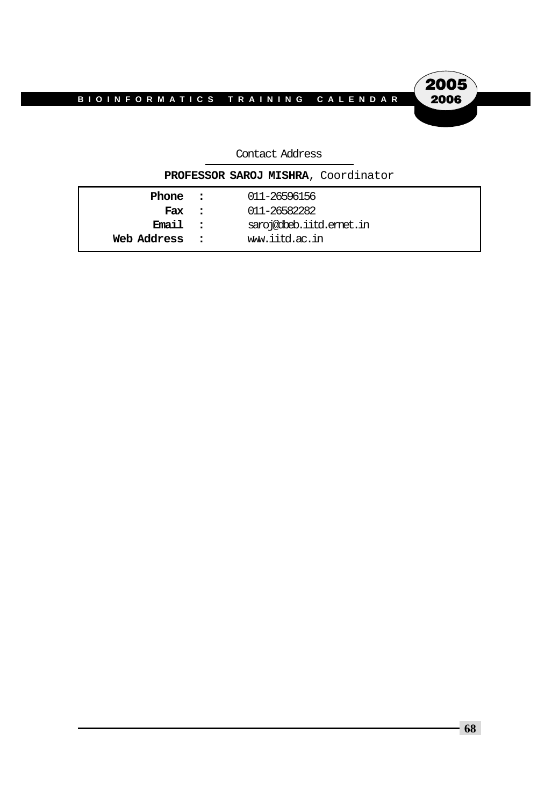2005<br>2006

#### Contact Address

|             |                      | PROFESSOR SAROJ MISHRA, Coordinator |
|-------------|----------------------|-------------------------------------|
| Phone :     |                      | 011-26596156                        |
| Fax :       |                      | 011-26582282                        |
| Email:      |                      | saroj@dbeb.iitd.emet.in             |
| Web Address | $\sim$ $\sim$ $\sim$ | ww.iitd.ac.in                       |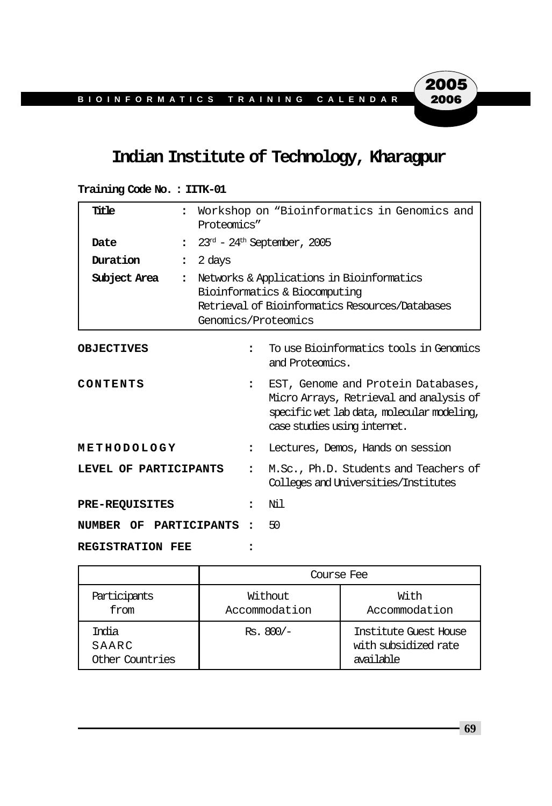## **Indian Institute of Technology, Kharagpur**

#### **Training Code No. : IITK-01**

| Title                   | $\ddot{\phantom{a}}$<br>Proteomics" |                                                                                                                                                      | Workshop on "Bioinformatics in Genomics and                                                                                                                 |  |  |
|-------------------------|-------------------------------------|------------------------------------------------------------------------------------------------------------------------------------------------------|-------------------------------------------------------------------------------------------------------------------------------------------------------------|--|--|
| Date                    | $\ddot{\phantom{a}}$                | $23rd$ - $24th$ September, 2005                                                                                                                      |                                                                                                                                                             |  |  |
| Duration                | 2 days<br>$\ddot{\cdot}$            |                                                                                                                                                      |                                                                                                                                                             |  |  |
| Subject Area            | $\ddot{\cdot}$                      | Networks & Applications in Bioinformatics<br>Bioinformatics & Biocomputing<br>Retrieval of Bioinformatics Resources/Databases<br>Genomics/Proteomics |                                                                                                                                                             |  |  |
| <b>OBJECTIVES</b>       |                                     | $\ddot{\phantom{a}}$                                                                                                                                 | To use Bioinformatics tools in Genomics<br>and Proteomics.                                                                                                  |  |  |
| CONTENTS                |                                     | $\ddot{\phantom{a}}$                                                                                                                                 | EST, Genome and Protein Databases,<br>Micro Arrays, Retrieval and analysis of<br>specific wet lab data, molecular modeling,<br>case studies using internet. |  |  |
| METHODOLOGY             |                                     | $\ddot{\phantom{a}}$                                                                                                                                 | Lectures, Demos, Hands on session                                                                                                                           |  |  |
| LEVEL OF PARTICIPANTS   |                                     | $\ddot{\phantom{a}}$                                                                                                                                 | M.Sc., Ph.D. Students and Teachers of<br>Colleges and Universities/Institutes                                                                               |  |  |
| <b>PRE-REQUISITES</b>   |                                     | $\ddot{\phantom{a}}$                                                                                                                                 | Nil                                                                                                                                                         |  |  |
| NUMBER OF PARTICIPANTS  |                                     |                                                                                                                                                      | 50                                                                                                                                                          |  |  |
| <b>REGISTRATION FEE</b> |                                     |                                                                                                                                                      |                                                                                                                                                             |  |  |

|                                   | Course Fee               |                                                            |  |  |  |
|-----------------------------------|--------------------------|------------------------------------------------------------|--|--|--|
| Participants<br>from              | Without<br>Accommodation | With<br>Accommodation                                      |  |  |  |
| India<br>SAARC<br>Other Countries | $Rs.800/-$               | Institute Guest House<br>with subsidized rate<br>available |  |  |  |

**69**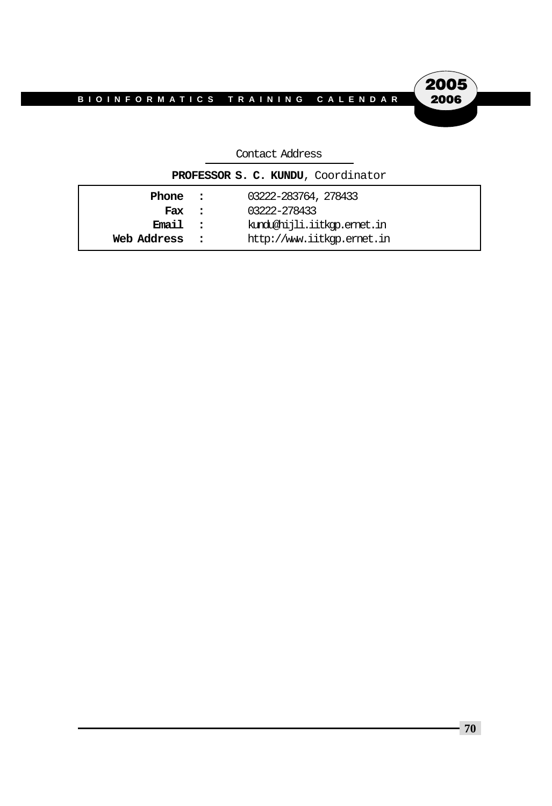2005 2006

#### Contact Address

| PROFESSOR S. C. KUNDU, Coordinator |            |                            |  |  |
|------------------------------------|------------|----------------------------|--|--|
| 03222-283764, 278433<br>Phone :    |            |                            |  |  |
| Fax                                | $\sim$ 2.1 | 03222-278433               |  |  |
| Email :                            |            | kındu@hijli.iitkqp.emet.in |  |  |
| Web Address                        |            | http://www.iitkqp.emet.in  |  |  |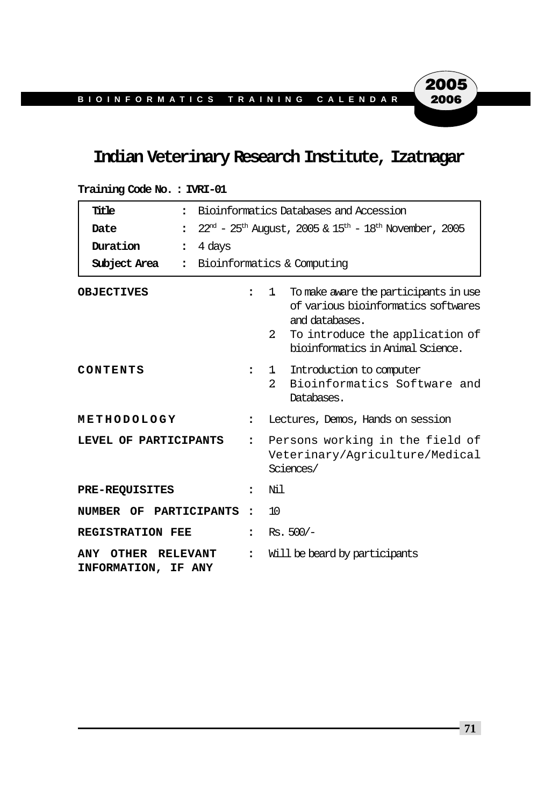## **Indian Veterinary Research Institute, Izatnagar**

| Title<br>$\ddot{\cdot}$                      | Bioinformatics Databases and Accession                                                                |                                                                                                                                                                                                |  |  |  |
|----------------------------------------------|-------------------------------------------------------------------------------------------------------|------------------------------------------------------------------------------------------------------------------------------------------------------------------------------------------------|--|--|--|
| Date<br>$\ddot{\phantom{a}}$                 | $22^{\text{nd}}$ - $25^{\text{th}}$ August, 2005 & $15^{\text{th}}$ - $18^{\text{th}}$ November, 2005 |                                                                                                                                                                                                |  |  |  |
| Duration<br>4 days<br>$\ddot{\phantom{a}}$   |                                                                                                       |                                                                                                                                                                                                |  |  |  |
| Subject Area<br>$\ddot{\cdot}$               |                                                                                                       | Bioinformatics & Computing                                                                                                                                                                     |  |  |  |
| <b>OBJECTIVES</b>                            | $\ddot{\phantom{a}}$                                                                                  | To make aware the participants in use<br>1.<br>of various bioinformatics softwares<br>and databases.<br>$\overline{a}$<br>To introduce the application of<br>bioinformatics in Animal Science. |  |  |  |
| CONTENTS                                     | $\ddot{\phantom{a}}$                                                                                  | Introduction to computer<br>ı.<br>Bioinformatics Software and<br>2.<br>Databases.                                                                                                              |  |  |  |
| METHODOLOGY                                  | $\ddot{\phantom{a}}$                                                                                  | Lectures, Demos, Hands on session                                                                                                                                                              |  |  |  |
| LEVEL OF PARTICIPANTS                        | $\ddot{\phantom{a}}$                                                                                  | Persons working in the field of<br>Veterinary/Agriculture/Medical<br>Sciences/                                                                                                                 |  |  |  |
| <b>PRE-REQUISITES</b>                        | $\ddot{\phantom{a}}$                                                                                  | Ni 1                                                                                                                                                                                           |  |  |  |
| NUMBER OF PARTICIPANTS                       | $\ddot{\phantom{a}}$                                                                                  | 10                                                                                                                                                                                             |  |  |  |
| <b>REGISTRATION FEE</b>                      | $\ddot{\phantom{a}}$                                                                                  | $Rs. 500/-$                                                                                                                                                                                    |  |  |  |
| ANY<br>OTHER RELEVANT<br>INFORMATION, IF ANY | $\ddot{\phantom{a}}$                                                                                  | Will be beard by participants                                                                                                                                                                  |  |  |  |

#### **Training Code No. : IVRI-01**

**71**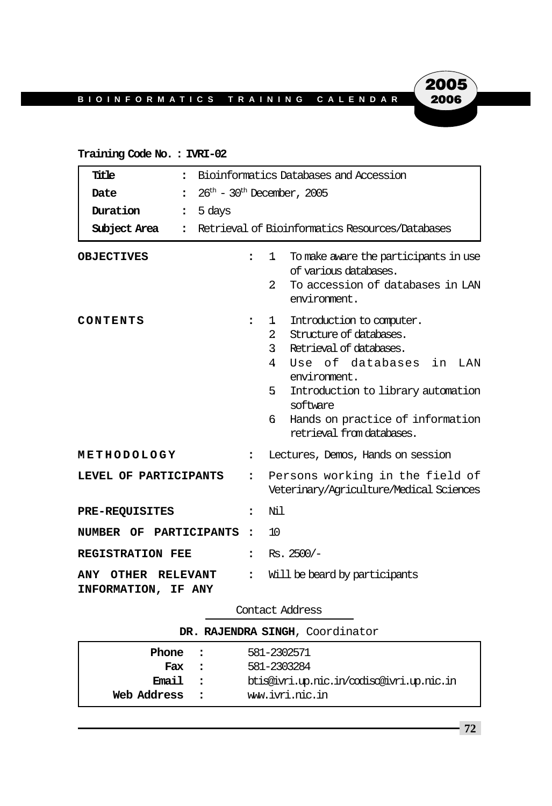# 2005 2006

#### **Training Code No. : IVRI-02**

| Title<br>$\ddot{\phantom{a}}$                |                                                                                                                                                                                                                                                                  | Bioinformatics Databases and Accession                                                                                                                                     |  |  |
|----------------------------------------------|------------------------------------------------------------------------------------------------------------------------------------------------------------------------------------------------------------------------------------------------------------------|----------------------------------------------------------------------------------------------------------------------------------------------------------------------------|--|--|
| Date<br>$\ddot{\phantom{a}}$                 | $26th$ – 30 <sup>th</sup> December, 2005                                                                                                                                                                                                                         |                                                                                                                                                                            |  |  |
| Duration<br>5 days<br>$\ddot{\cdot}$         |                                                                                                                                                                                                                                                                  |                                                                                                                                                                            |  |  |
| Subject Area<br>$\ddot{\phantom{a}}$         | Retrieval of Bioinformatics Resources/Databases                                                                                                                                                                                                                  |                                                                                                                                                                            |  |  |
| <b>OBJECTIVES</b><br>CONTENTS                | $\ddot{\phantom{a}}$<br>:                                                                                                                                                                                                                                        | To make aware the participants in use<br>1<br>of various databases.<br>To accession of databases in LAN<br>$\mathcal{L}$<br>environment.<br>Introduction to computer.<br>1 |  |  |
|                                              | Structure of databases.<br>$2^{\circ}$<br>Retrieval of databases.<br>$\mathbf{3}$<br>Use of databases in LAN<br>4<br>environment.<br>5.<br>Introduction to library automation<br>software<br>Hands on practice of information<br>б.<br>retrieval from databases. |                                                                                                                                                                            |  |  |
| METHODOLOGY                                  | $\ddot{\phantom{a}}$                                                                                                                                                                                                                                             | Lectures, Demos, Hands on session                                                                                                                                          |  |  |
| LEVEL OF PARTICIPANTS                        | $\ddot{\phantom{a}}$                                                                                                                                                                                                                                             | Persons working in the field of<br>Veterinary/Agriculture/Medical Sciences                                                                                                 |  |  |
| <b>PRE-REQUISITES</b>                        | $\ddot{\phantom{a}}$                                                                                                                                                                                                                                             | Nil                                                                                                                                                                        |  |  |
| NUMBER OF PARTICIPANTS                       | $\ddot{\phantom{a}}$                                                                                                                                                                                                                                             | 10                                                                                                                                                                         |  |  |
| <b>REGISTRATION FEE</b>                      | $\ddot{\phantom{a}}$                                                                                                                                                                                                                                             | $Rs.2500/-$                                                                                                                                                                |  |  |
| ANY<br>OTHER RELEVANT<br>INFORMATION, IF ANY | $\ddot{\phantom{a}}$                                                                                                                                                                                                                                             | Will be beard by participants                                                                                                                                              |  |  |

#### Contact Address

| DR. RAJENDRA SINGH, Coordinator |  |                                           |  |  |  |
|---------------------------------|--|-------------------------------------------|--|--|--|
| 581-2302571<br>Phone :          |  |                                           |  |  |  |
| Fax :                           |  | 581-2303284                               |  |  |  |
| Email :                         |  | btis@ivri.up.nic.in/codisc@ivri.up.nic.in |  |  |  |
| Web Address                     |  | ww.ivri.nic.in                            |  |  |  |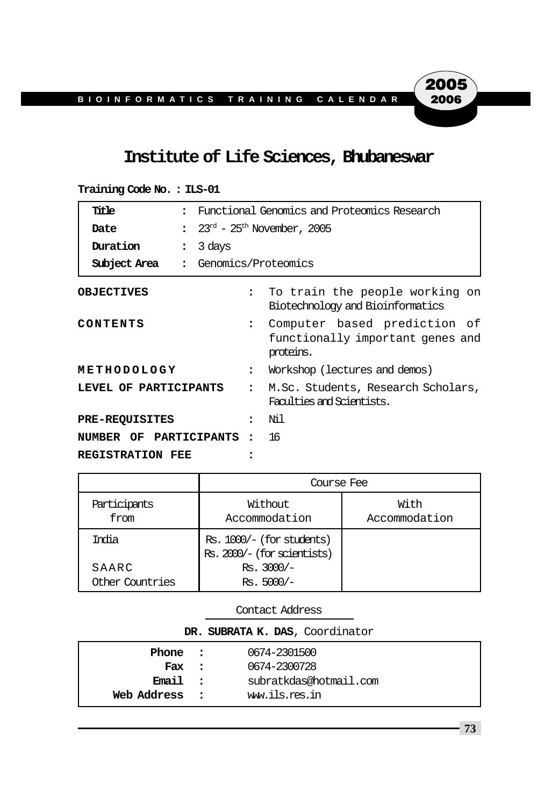## **Institute of Life Sciences, Bhubaneswar**

| Title                   | $\bullet$            | Functional Genomics and Proteomics Research                                                   |                                                                 |                                                                    |  |
|-------------------------|----------------------|-----------------------------------------------------------------------------------------------|-----------------------------------------------------------------|--------------------------------------------------------------------|--|
| Date                    |                      | $\frac{1}{2}$ 23 <sup>rd</sup> - 25 <sup>th</sup> November, 2005                              |                                                                 |                                                                    |  |
| Duration                | $\ddot{\phantom{a}}$ | 3 days                                                                                        |                                                                 |                                                                    |  |
| Subject Area            |                      | : Genomics/Proteomics                                                                         |                                                                 |                                                                    |  |
| <b>OBJECTIVES</b>       |                      |                                                                                               |                                                                 | To train the people working on<br>Biotechnology and Bioinformatics |  |
| CONTENTS                |                      | Computer based prediction of<br>$\mathbf{r}$<br>functionally important genes and<br>proteins. |                                                                 |                                                                    |  |
| METHODOLOGY             |                      | $\ddot{\phantom{a}}$                                                                          | Workshop (lectures and demos)                                   |                                                                    |  |
| LEVEL OF PARTICIPANTS   |                      | $\ddot{\phantom{a}}$                                                                          | M.Sc. Students, Research Scholars,<br>Faculties and Scientists. |                                                                    |  |
| <b>PRE-REQUISITES</b>   |                      |                                                                                               | $\ddot{\phantom{a}}$                                            | Ni 1                                                               |  |
| NUMBER OF PARTICIPANTS  |                      |                                                                                               | $\ddot{\cdot}$                                                  | -16                                                                |  |
| <b>REGISTRATION FEE</b> |                      |                                                                                               |                                                                 |                                                                    |  |

**Training Code No. : ILS-01**

|                          | Course Fee                                                 |                       |
|--------------------------|------------------------------------------------------------|-----------------------|
| Participants<br>from     | Without<br>Accommodation                                   | With<br>Accommodation |
| India                    | $Rs. 1000/- (for students)$<br>Rs. 2000/- (for scientists) |                       |
| SAARC<br>Other Countries | $Rs. 3000/-$<br>$Rs. 5000/-$                               |                       |

Contact Address

| DR. SUBRATA K. DAS, Coordinator |  |                        |  |  |
|---------------------------------|--|------------------------|--|--|
| Phone :                         |  | 0674-2301500           |  |  |
| Fax :                           |  | 0674-2300728           |  |  |
| Email :                         |  | subratkdas@hotmail.com |  |  |
| Web Address :                   |  | ww.ils.res.in          |  |  |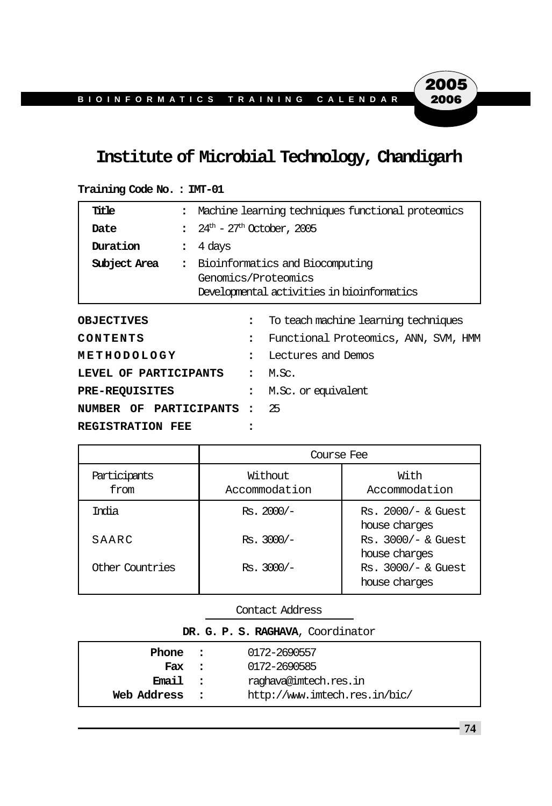## **Institute of Microbial Technology, Chandigarh**

| Title                                                         |                                                 | Machine learning techniques functional proteomics                                                    |                                      |  |
|---------------------------------------------------------------|-------------------------------------------------|------------------------------------------------------------------------------------------------------|--------------------------------------|--|
| Date                                                          | $24^{\text{th}} - 27^{\text{th}}$ October, 2005 |                                                                                                      |                                      |  |
| Duration                                                      | 4 days<br>$\ddot{\phantom{a}}$                  |                                                                                                      |                                      |  |
| Subject Area                                                  | $\ddot{\cdot}$                                  | Bioinformatics and Biocomputing<br>Genomics/Proteomics<br>Developmental activities in bioinformatics |                                      |  |
| <b>OBJECTIVES</b>                                             |                                                 | $\ddot{\phantom{a}}$                                                                                 | To teach machine learning techniques |  |
| CONTENTS<br>$\overline{\phantom{a}}$                          |                                                 | Functional Proteomics, ANN, SVM, HMM                                                                 |                                      |  |
| METHODOLOGY<br>Lectures and Demos<br>$\overline{\phantom{a}}$ |                                                 |                                                                                                      |                                      |  |
| LEVEL OF PARTICIPANTS                                         |                                                 | $\bullet$                                                                                            | M.Sc.                                |  |
| <b>PRE-REQUISITES</b>                                         |                                                 |                                                                                                      | M.Sc. or equivalent                  |  |
|                                                               | NUMBER OF PARTICIPANTS<br>$\ddot{\cdot}$        |                                                                                                      | 25                                   |  |
| <b>REGISTRATION FEE</b>                                       |                                                 |                                                                                                      |                                      |  |

| Training Code No.: IMT-01 |  |  |  |
|---------------------------|--|--|--|
|---------------------------|--|--|--|

|                      | Course Fee               |                                       |
|----------------------|--------------------------|---------------------------------------|
| Participants<br>from | Without<br>Accommodation | With<br>Accommodation                 |
| India                | $Rs. 2000/-$             | Rs. 2000/- & Guest<br>house charges   |
| SAARC                | $Rs. 3000/-$             | $Rs. 3000/-$ & Guest<br>house charges |
| Other Countries      | $Rs. 3000/-$             | $Rs. 3000/-$ & Guest<br>house charges |

Contact Address

|  |  | DR. G. P. S. RAGHAVA, Coordinator |
|--|--|-----------------------------------|
|  |  |                                   |

| Phone       |                      | 0172-2690557                  |  |
|-------------|----------------------|-------------------------------|--|
|             | $\sim$ $\sim$        |                               |  |
| Fax :       |                      | 0172-2690585                  |  |
| Email       | $\sim$ $\sim$ $\sim$ | raghava@imtech.res.in         |  |
| Web Address |                      | http://www.imtech.res.in/bic/ |  |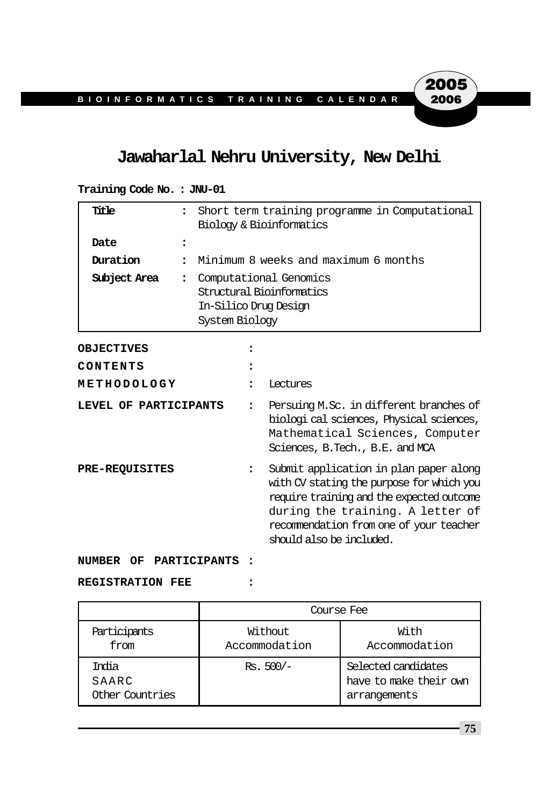## **Jawaharlal Nehru University, New Delhi**

### **Training Code No. : JNU-01 Title :** Short term training programme in Computational Biology & Bioinformatics **Date : Duration :** Minimum 8 weeks and maximum 6 months **Subject Area :** Computational Genomics Structural Bioinformatics In-Silico Drug Design System Biology

**OBJECTIVES : CONTENTS : METHODOLOGY :** Lectures **LEVEL OF PARTICIPANTS :** Persuing M.Sc. in different branches of biologi cal sciences, Physical sciences, Mathematical Sciences, Computer Sciences, B.Tech., B.E. and MCA **PRE-REQUISITES :** Submit application in plan paper along with CV stating the purpose for which you require training and the expected outcome during the training. A letter of recommendation from one of your teacher should also be included.

**NUMBER OF PARTICIPANTS :**

**REGISTRATION FEE :**

|                                    | Course Fee               |                                                               |  |
|------------------------------------|--------------------------|---------------------------------------------------------------|--|
| Participants<br>from               | Without<br>Accommodation | With<br>Accommodation                                         |  |
| Trolia<br>SAARC<br>Other Countries | $Rs. 500/-$              | Selected candidates<br>have to make their own<br>arrangements |  |

**75**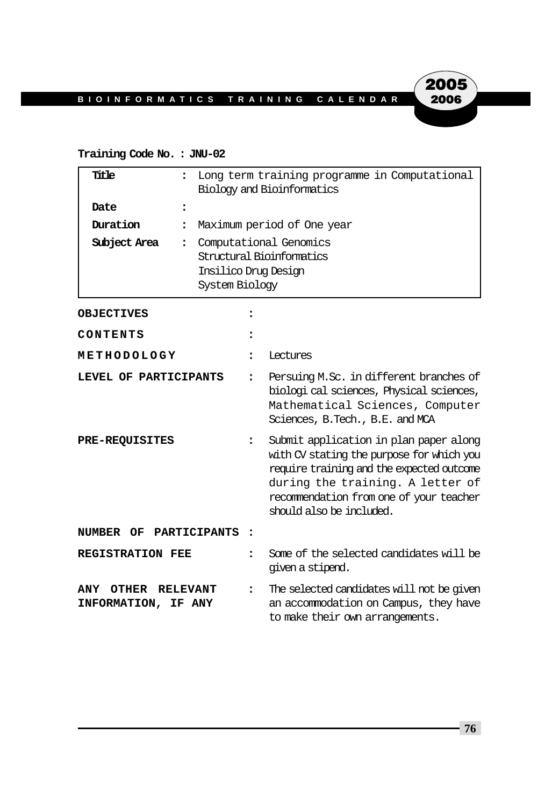### **Training Code No. : JNU-02**

| Title                               | $\ddot{\phantom{a}}$ | Long term training programme in Computational<br>Biology and Bioinformatics                   |                                                                                                                                                                                                                                             |  |
|-------------------------------------|----------------------|-----------------------------------------------------------------------------------------------|---------------------------------------------------------------------------------------------------------------------------------------------------------------------------------------------------------------------------------------------|--|
| Date                                | $\ddot{\phantom{a}}$ |                                                                                               |                                                                                                                                                                                                                                             |  |
| Duration                            | $\ddot{\phantom{a}}$ |                                                                                               | Maximum period of One year                                                                                                                                                                                                                  |  |
| Subject Area                        | $\ddot{\phantom{a}}$ | Computational Genomics<br>Structural Bioinformatics<br>Insilico Drug Design<br>System Biology |                                                                                                                                                                                                                                             |  |
| <b>OBJECTIVES</b>                   |                      |                                                                                               |                                                                                                                                                                                                                                             |  |
| CONTENTS                            |                      |                                                                                               |                                                                                                                                                                                                                                             |  |
| METHODOLOGY                         |                      |                                                                                               | Lectures                                                                                                                                                                                                                                    |  |
| LEVEL OF PARTICIPANTS               |                      | $\ddot{\phantom{a}}$                                                                          | Persuing M.Sc. in different branches of<br>biologi cal sciences, Physical sciences,<br>Mathematical Sciences, Computer<br>Sciences, B.Tech., B.E. and MCA                                                                                   |  |
| <b>PRE-REQUISITES</b>               |                      | ፡                                                                                             | Submit application in plan paper along<br>with CV stating the purpose for which you<br>require training and the expected outcome<br>during the training. A letter of<br>recommendation from one of your teacher<br>should also be included. |  |
| NUMBER OF                           | PARTICIPANTS         |                                                                                               |                                                                                                                                                                                                                                             |  |
| <b>REGISTRATION FEE</b>             |                      | $\ddot{\phantom{a}}$                                                                          | Some of the selected candidates will be<br>given a stipend.                                                                                                                                                                                 |  |
| OTHER<br>ANY<br>INFORMATION, IF ANY | <b>RELEVANT</b>      | $\ddot{\phantom{a}}$                                                                          | The selected candidates will not be given<br>an accommodation on Campus, they have<br>to make their own arrangements.                                                                                                                       |  |

**76**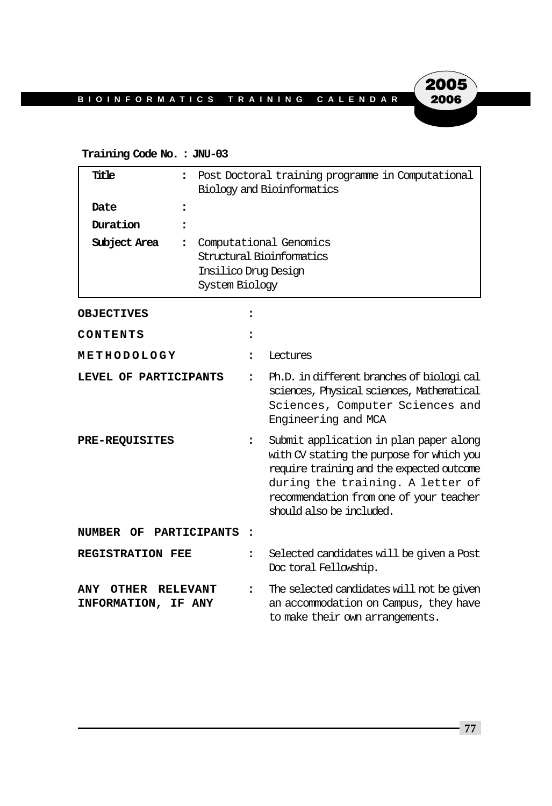#### **Training Code No. : JNU-03**

| Title                                      | $\ddot{\cdot}$                                                 | Post Doctoral training programme in Computational<br>Biology and Bioinformatics |                                                                                                                                                                                                                                             |
|--------------------------------------------|----------------------------------------------------------------|---------------------------------------------------------------------------------|---------------------------------------------------------------------------------------------------------------------------------------------------------------------------------------------------------------------------------------------|
| Date                                       | $\ddot{\phantom{a}}$                                           |                                                                                 |                                                                                                                                                                                                                                             |
| Duration                                   |                                                                |                                                                                 |                                                                                                                                                                                                                                             |
| Subject Area                               | $\ddot{\phantom{a}}$<br>Insilico Drug Design<br>System Biology |                                                                                 | Computational Genomics<br>Structural Bioinformatics                                                                                                                                                                                         |
| <b>OBJECTIVES</b>                          |                                                                |                                                                                 |                                                                                                                                                                                                                                             |
| CONTENTS                                   |                                                                |                                                                                 |                                                                                                                                                                                                                                             |
| METHODOLOGY                                |                                                                | $\ddot{\phantom{a}}$                                                            | Lectures                                                                                                                                                                                                                                    |
| LEVEL OF PARTICIPANTS                      |                                                                | $\ddot{\cdot}$                                                                  | Ph.D. in different branches of biological<br>sciences, Physical sciences, Mathematical<br>Sciences, Computer Sciences and<br>Engineering and MCA                                                                                            |
| <b>PRE-REQUISITES</b>                      |                                                                | $\ddot{\phantom{a}}$                                                            | Submit application in plan paper along<br>with CV stating the purpose for which you<br>require training and the expected outcome<br>during the training. A letter of<br>recommendation from one of your teacher<br>should also be included. |
| NUMBER OF PARTICIPANTS                     |                                                                |                                                                                 |                                                                                                                                                                                                                                             |
| <b>REGISTRATION FEE</b>                    |                                                                | $\ddot{\phantom{a}}$                                                            | Selected candidates will be given a Post<br>Doctoral Fellowship.                                                                                                                                                                            |
| OTHER<br><b>ANY</b><br>INFORMATION, IF ANY | <b>RELEVANT</b>                                                | ፡                                                                               | The selected candidates will not be given<br>an accommodation on Campus, they have<br>to make their own arrangements.                                                                                                                       |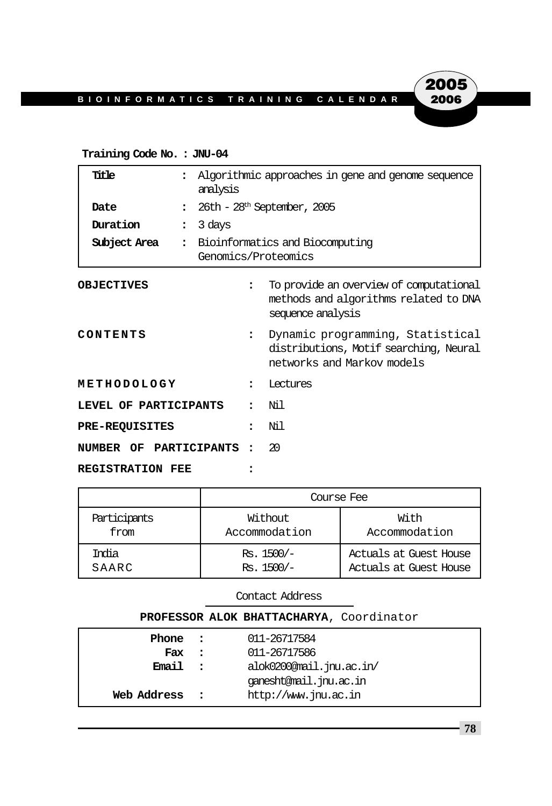### **Training Code No. : JNU-04**

| Title                   |                      | Algorithmic approaches in gene and genome sequence<br>analysis |                                                                                                          |  |
|-------------------------|----------------------|----------------------------------------------------------------|----------------------------------------------------------------------------------------------------------|--|
| Date                    | $\ddot{\phantom{a}}$ |                                                                | $26th - 28th$ September, 2005                                                                            |  |
| Duration                | $\ddot{\cdot}$       | 3 days                                                         |                                                                                                          |  |
| Subject Area            | $\ddot{\cdot}$       | Bioinformatics and Biocomputing<br>Genomics/Proteomics         |                                                                                                          |  |
| <b>OBJECTIVES</b>       |                      | $\ddot{\phantom{a}}$                                           | To provide an overview of computational<br>methods and algorithms related to DNA<br>sequence analysis    |  |
| CONTENTS                |                      | $\ddot{\phantom{a}}$                                           | Dynamic programming, Statistical<br>distributions, Motif searching, Neural<br>networks and Markov models |  |
| METHODOLOGY             |                      | $\ddot{\phantom{a}}$                                           | <b>Lectures</b>                                                                                          |  |
| LEVEL OF PARTICIPANTS   |                      |                                                                | Ni 1                                                                                                     |  |
| <b>PRE-REQUISITES</b>   |                      | $\overline{\phantom{a}}$                                       | Νil                                                                                                      |  |
| NUMBER OF PARTICIPANTS  |                      |                                                                | 20                                                                                                       |  |
| <b>REGISTRATION FEE</b> |                      |                                                                |                                                                                                          |  |

|              | Course Fee    |                        |  |  |  |
|--------------|---------------|------------------------|--|--|--|
| Participants | Without       | With                   |  |  |  |
| from         | Accommodation | Accommodation          |  |  |  |
| India        | $Rs. 1500/-$  | Actuals at Guest House |  |  |  |
| SAARC        | $Rs. 1500/-$  | Actuals at Guest House |  |  |  |

Contact Address

| PROFESSOR ALOK BHATTACHARYA, Coordinator |          |                          |  |  |
|------------------------------------------|----------|--------------------------|--|--|
| Phone :                                  |          | 011-26717584             |  |  |
| Fax                                      | $\sim$ 2 | 011-26717586             |  |  |
| Email                                    | $\sim$ 2 | alok0200@mail.jnu.ac.in/ |  |  |
|                                          |          | ganesht@mail.jnu.ac.in   |  |  |
| Web Address                              |          | http://www.jnu.ac.in     |  |  |
|                                          |          |                          |  |  |

**2005**<br>2006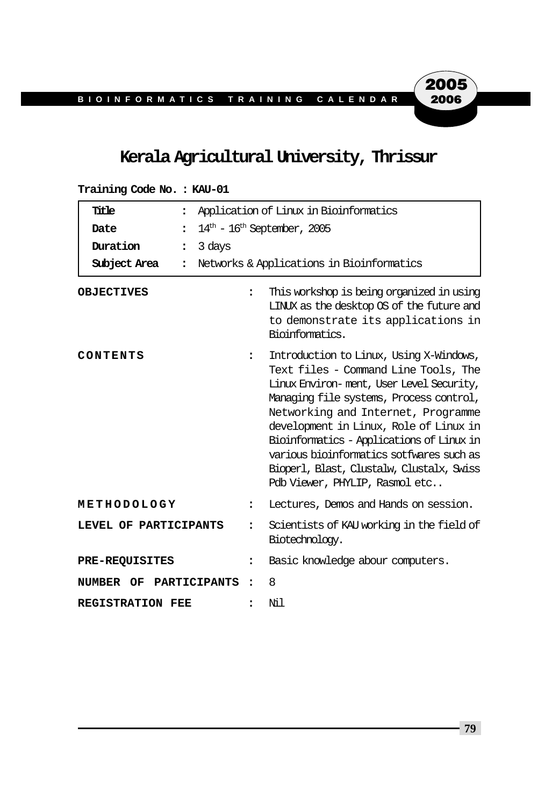# **Kerala Agricultural University, Thrissur**

| Title<br>$\ddot{\cdot}$              | Application of Linux in Bioinformatics |                                                                                                                                                                                                                                                                                                                                                                                                                                 |  |
|--------------------------------------|----------------------------------------|---------------------------------------------------------------------------------------------------------------------------------------------------------------------------------------------------------------------------------------------------------------------------------------------------------------------------------------------------------------------------------------------------------------------------------|--|
| Date<br>$\ddot{\phantom{a}}$         | $14th$ - $16th$ September, 2005        |                                                                                                                                                                                                                                                                                                                                                                                                                                 |  |
| Duration<br>3 days<br>$\ddot{\cdot}$ |                                        |                                                                                                                                                                                                                                                                                                                                                                                                                                 |  |
| Subject Area<br>$\ddot{\phantom{a}}$ |                                        | Networks & Applications in Bioinformatics                                                                                                                                                                                                                                                                                                                                                                                       |  |
| <b>OBJECTIVES</b>                    | $\ddot{\phantom{a}}$                   | This workshop is being organized in using<br>LINUX as the desktop OS of the future and<br>to demonstrate its applications in<br>Bioinformatics.                                                                                                                                                                                                                                                                                 |  |
| CONTENTS                             | $\ddot{\phantom{a}}$                   | Introduction to Linux, Using X-Windows,<br>Text files - Command Line Tools, The<br>Linux Environ-ment, User Level Security,<br>Managing file systems, Process control,<br>Networking and Internet, Programme<br>development in Linux, Role of Linux in<br>Bioinformatics - Applications of Linux in<br>various bioinformatics sotfwares such as<br>Bioperl, Blast, Clustalw, Clustalx, Swiss<br>Polb Viewer, PHYLIP, Rasmol etc |  |
| METHODOLOGY                          | ፡                                      | Lectures, Demos and Hands on session.                                                                                                                                                                                                                                                                                                                                                                                           |  |
| LEVEL OF PARTICIPANTS                | $\ddot{\phantom{a}}$                   | Scientists of KAU working in the field of<br>Biotechnology.                                                                                                                                                                                                                                                                                                                                                                     |  |
| <b>PRE-REQUISITES</b>                | ፡                                      | Basic knowledge abour computers.                                                                                                                                                                                                                                                                                                                                                                                                |  |
| PARTICIPANTS<br><b>NUMBER OF</b>     | $\ddot{\phantom{a}}$                   | 8                                                                                                                                                                                                                                                                                                                                                                                                                               |  |
| <b>REGISTRATION FEE</b>              |                                        | Νil                                                                                                                                                                                                                                                                                                                                                                                                                             |  |

### **Training Code No. : KAU-01**

**79**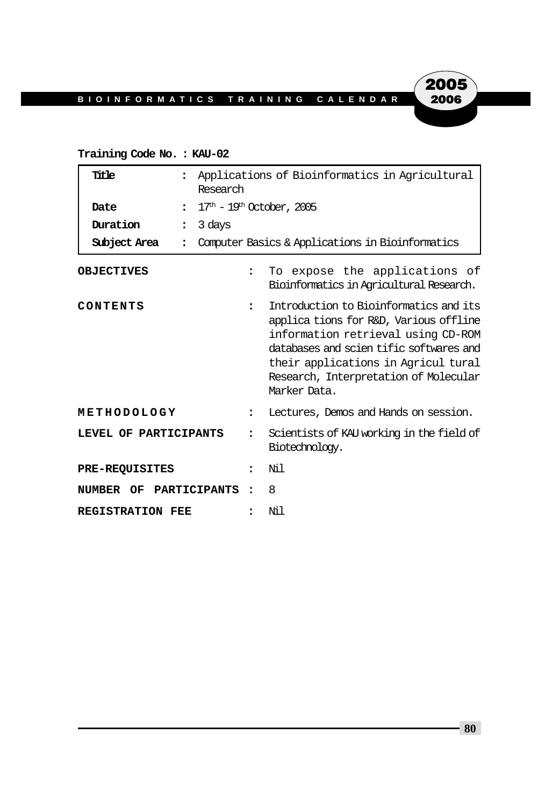### **Training Code No. : KAU-02**

| Title                                | Research             | Applications of Bioinformatics in Agricultural                                                                                                                                                                                                                   |  |  |
|--------------------------------------|----------------------|------------------------------------------------------------------------------------------------------------------------------------------------------------------------------------------------------------------------------------------------------------------|--|--|
| Date<br>$\ddot{\phantom{a}}$         |                      | $17th - 19th$ October, 2005                                                                                                                                                                                                                                      |  |  |
| Duration<br>$\ddot{\cdot}$           | 3 days               |                                                                                                                                                                                                                                                                  |  |  |
| Subject Area<br>$\ddot{\phantom{a}}$ |                      | Computer Basics & Applications in Bioinformatics                                                                                                                                                                                                                 |  |  |
| <b>OBJECTIVES</b>                    | $\ddot{\phantom{a}}$ | To expose the applications of<br>Bioinformatics in Agricultural Research.                                                                                                                                                                                        |  |  |
| CONTENTS                             | $\ddot{\phantom{a}}$ | Introduction to Bioinformatics and its<br>applications for R&D, Various offline<br>information retrieval using CD-ROM<br>databases and scienttific softwares and<br>their applications in Agricul tural<br>Research, Interpretation of Molecular<br>Marker Data. |  |  |
| METHODOLOGY                          | $\ddot{\phantom{a}}$ | Lectures, Demos and Hands on session.                                                                                                                                                                                                                            |  |  |
| LEVEL OF PARTICIPANTS                | $\ddot{\phantom{a}}$ | Scientists of KAU working in the field of<br>Biotechnology.                                                                                                                                                                                                      |  |  |
| <b>PRE-REQUISITES</b>                | $\ddot{\phantom{a}}$ | Nil                                                                                                                                                                                                                                                              |  |  |
| NUMBER OF PARTICIPANTS               | $\ddot{\phantom{a}}$ | 8                                                                                                                                                                                                                                                                |  |  |
| <b>REGISTRATION FEE</b>              |                      | Nil                                                                                                                                                                                                                                                              |  |  |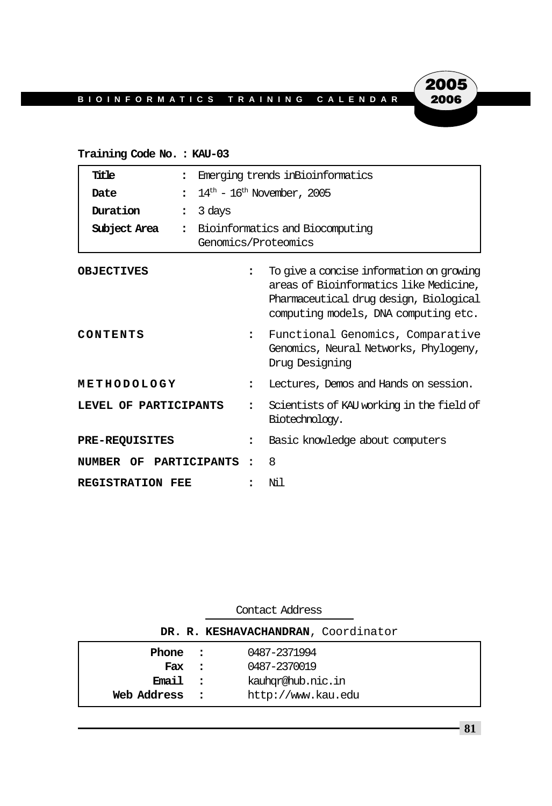### **Training Code No. : KAU-03**

| Title                   |                                | Emerging trends in Bioinformatics |                                                                                                                                                                      |  |
|-------------------------|--------------------------------|-----------------------------------|----------------------------------------------------------------------------------------------------------------------------------------------------------------------|--|
| Date                    | $\ddot{\phantom{a}}$           | $14th$ – $16th$ November, 2005    |                                                                                                                                                                      |  |
| Duration                | 3 days<br>$\ddot{\phantom{a}}$ |                                   |                                                                                                                                                                      |  |
| Subject Area            | $\ddot{\phantom{a}}$           |                                   | Bioinformatics and Biocomputing<br>Genomics/Proteomics                                                                                                               |  |
| <b>OBJECTIVES</b>       |                                | $\ddot{\phantom{a}}$              | To give a concise information on growing<br>areas of Bioinformatics like Medicine,<br>Pharmaceutical drug design, Biological<br>computing models, DNA computing etc. |  |
| CONTENTS                |                                | $\ddot{\phantom{a}}$              | Functional Genomics, Comparative<br>Genomics, Neural Networks, Phylogeny,<br>Drug Designing                                                                          |  |
| METHODOLOGY             |                                | $\ddot{\cdot}$                    | Lectures, Demos and Hands on session.                                                                                                                                |  |
| LEVEL OF PARTICIPANTS   |                                | ٠.                                | Scientists of KAU working in the field of<br>Biotechnology.                                                                                                          |  |
| <b>PRE-REQUISITES</b>   |                                | $\ddot{\phantom{a}}$              | Basic knowledge about computers                                                                                                                                      |  |
| NUMBER OF PARTICIPANTS  |                                | ٠                                 | 8                                                                                                                                                                    |  |
| <b>REGISTRATION FEE</b> |                                |                                   | Νil                                                                                                                                                                  |  |

| Contact Address                     |                          |                    |  |  |
|-------------------------------------|--------------------------|--------------------|--|--|
| DR. R. KESHAVACHANDRAN, Coordinator |                          |                    |  |  |
| Phone :                             |                          | 0487-2371994       |  |  |
| Fax :                               |                          | 0487-2370019       |  |  |
| Email                               | $\overline{\phantom{a}}$ | kauhor@hub.nic.in  |  |  |
| Web Address                         | $\mathbf{r}$             | http://www.kau.edu |  |  |

**81**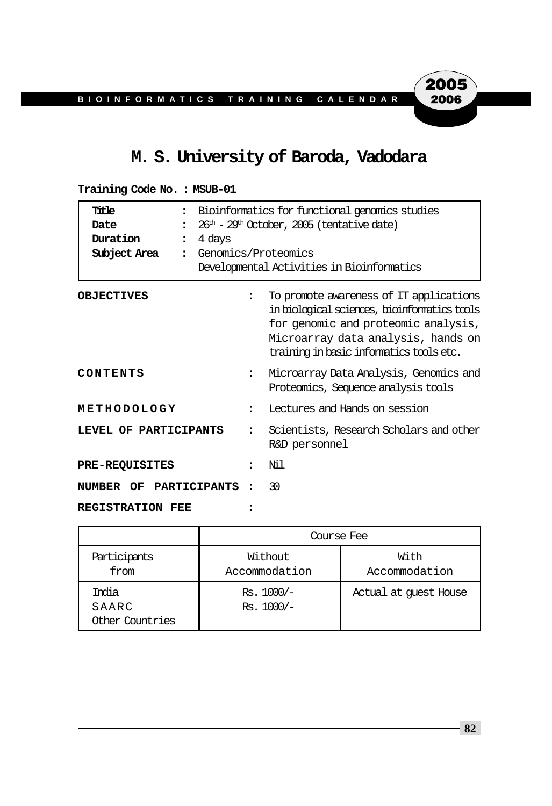# **M. S. University of Baroda, Vadodara**

| Title<br>$\ddot{\phantom{a}}$<br>Date<br>$\ddot{\phantom{a}}$<br>Duration<br>4 days<br>$\ddot{\phantom{a}}$<br>Subject Area<br>$\ddot{\phantom{a}}$ | Bioinformatics for functional genomics studies<br>$26th - 29th$ October, 2005 (tentative date)<br>Genomics/Proteomics<br>Developmental Activities in Bioinformatics |                                                                                                                                                                                                                  |
|-----------------------------------------------------------------------------------------------------------------------------------------------------|---------------------------------------------------------------------------------------------------------------------------------------------------------------------|------------------------------------------------------------------------------------------------------------------------------------------------------------------------------------------------------------------|
| <b>OBJECTIVES</b>                                                                                                                                   | $\ddot{\cdot}$                                                                                                                                                      | To promote awareness of IT applications<br>in biological sciences, bioinformatics tools<br>for genomic and proteomic analysis,<br>Microarray data analysis, hands on<br>training in basic informatics tools etc. |
| CONTENTS                                                                                                                                            | $\ddot{\phantom{a}}$                                                                                                                                                | Microarray Data Analysis, Genomics and<br>Proteomics, Sequence analysis tools                                                                                                                                    |
| METHODOLOGY                                                                                                                                         | $\ddot{\cdot}$                                                                                                                                                      | Lectures and Hands on session                                                                                                                                                                                    |
| LEVEL OF PARTICIPANTS                                                                                                                               |                                                                                                                                                                     | Scientists, Research Scholars and other<br>R&D personnel                                                                                                                                                         |
| <b>PRE-REQUISITES</b>                                                                                                                               |                                                                                                                                                                     | Ni 1                                                                                                                                                                                                             |
| NUMBER OF PARTICIPANTS                                                                                                                              | $\ddot{\cdot}$                                                                                                                                                      | 30                                                                                                                                                                                                               |
| <b>REGISTRATION FEE</b>                                                                                                                             |                                                                                                                                                                     |                                                                                                                                                                                                                  |

**Training Code No. : MSUB-01**

|                                   | Course Fee                   |                       |  |  |  |
|-----------------------------------|------------------------------|-----------------------|--|--|--|
| Participants<br>from              | Without<br>Accommodation     | With<br>Accommodation |  |  |  |
| India<br>SAARC<br>Other Countries | $Rs. 1000/-$<br>$Rs. 1000/-$ | Actual at quest House |  |  |  |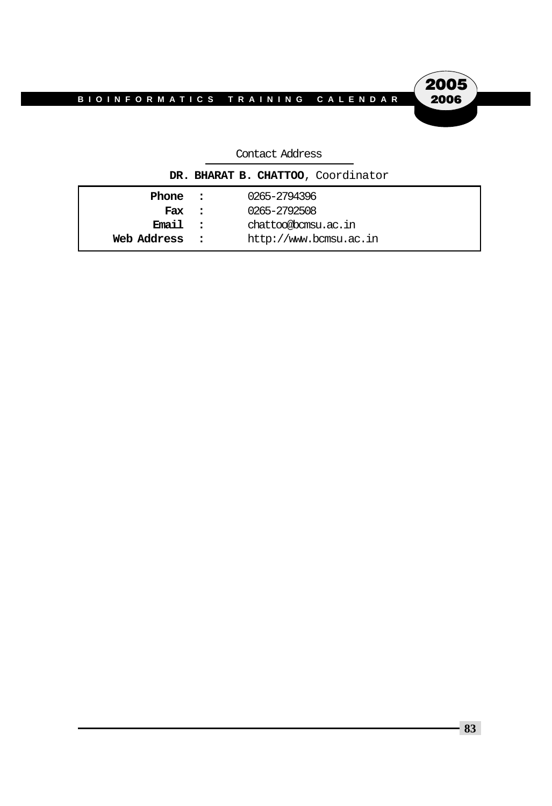2005<br>2006

# Contact Address

| DR. BHARAT B. CHATTOO, Coordinator |  |                        |  |  |
|------------------------------------|--|------------------------|--|--|
| Phone :                            |  | 0265-2794396           |  |  |
| Fax :                              |  | 0265-2792508           |  |  |
| Email :                            |  | chattoo@bcmsu.ac.in    |  |  |
| Web Address :                      |  | http://www.bcmsu.ac.in |  |  |
|                                    |  |                        |  |  |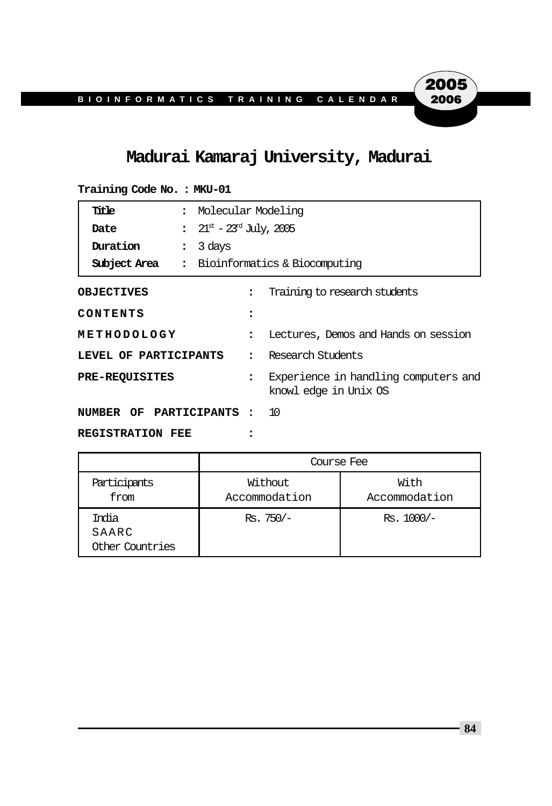# **Madurai Kamaraj University, Madurai**

| Training Code No. : MKU-01  |                |                                                   |                      |                                                               |  |
|-----------------------------|----------------|---------------------------------------------------|----------------------|---------------------------------------------------------------|--|
| Title                       | $\ddot{\cdot}$ |                                                   | Molecular Modeling   |                                                               |  |
| Date                        |                | $\frac{1}{21}$ 21st – 23 <sup>rd</sup> July, 2005 |                      |                                                               |  |
| Duration                    | $\ddot{\cdot}$ | 3 days                                            |                      |                                                               |  |
| Subject Area                |                |                                                   |                      | : Bioinformatics & Biocomputing                               |  |
| <b>OBJECTIVES</b>           |                |                                                   | $\ddot{\phantom{a}}$ | Training to research students                                 |  |
| CONTENTS                    |                |                                                   | $\ddot{\phantom{a}}$ |                                                               |  |
| METHODOLOGY                 |                |                                                   | $\ddot{\phantom{a}}$ | Lectures, Demos and Hands on session                          |  |
| LEVEL OF PARTICIPANTS       |                | $\ddot{\phantom{a}}$                              | Research Students    |                                                               |  |
| <b>PRE-REQUISITES</b>       |                |                                                   | $\ddot{\phantom{a}}$ | Experience in handling computers and<br>knowl edge in Unix OS |  |
| NUMBER OF PARTICIPANTS : 10 |                |                                                   |                      |                                                               |  |
| <b>REGISTRATION FEE</b>     |                |                                                   |                      |                                                               |  |

|                                   | Course Fee               |                       |  |  |
|-----------------------------------|--------------------------|-----------------------|--|--|
| Participants<br>from              | Without<br>Accommodation | With<br>Accommodation |  |  |
| India<br>SAARC<br>Other Countries | $Rs.750/-$               | $Rs. 1000/-$          |  |  |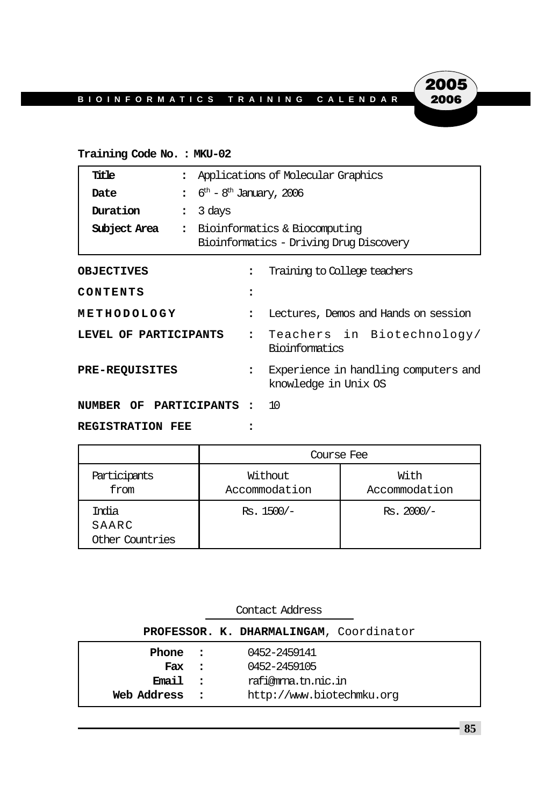### **Training Code No. : MKU-02**

| Title                   | $\ddot{\phantom{a}}$           | Applications of Molecular Graphics              |                                                                          |  |
|-------------------------|--------------------------------|-------------------------------------------------|--------------------------------------------------------------------------|--|
| Date                    | $\ddot{\phantom{a}}$           | $6^{\text{th}}$ – $8^{\text{th}}$ January, 2006 |                                                                          |  |
| Duration                | 3 days<br>$\ddot{\phantom{a}}$ |                                                 |                                                                          |  |
| Subject Area            | $\ddot{\cdot}$                 |                                                 | Bioinformatics & Biocomputing<br>Bioinformatics - Driving Drug Discovery |  |
| <b>OBJECTIVES</b>       |                                | $\ddot{\cdot}$                                  | Training to College teachers                                             |  |
| CONTENTS                |                                | :                                               |                                                                          |  |
| METHODOLOGY             |                                | $\ddot{\phantom{a}}$                            | Lectures, Demos and Hands on session                                     |  |
| LEVEL OF PARTICIPANTS   |                                | $\ddot{\mathbf{r}}$                             | Teachers in Biotechnology/<br>Bioinformatics                             |  |
| <b>PRE-REQUISITES</b>   |                                | $\ddot{\phantom{a}}$                            | Experience in handling computers and<br>knowledge in Unix OS             |  |
| NUMBER OF PARTICIPANTS: |                                |                                                 | <b>10</b>                                                                |  |
| <b>REGISTRATION FEE</b> |                                |                                                 |                                                                          |  |

|                                   | Course Fee               |                       |  |  |
|-----------------------------------|--------------------------|-----------------------|--|--|
| Participants<br>from              | Without<br>Accommodation | With<br>Accommodation |  |  |
| India<br>SAARC<br>Other Countries | Rs. 1500/-               | $Rs.2000/-$           |  |  |

| Contact Address                         |          |                           |  |  |  |  |
|-----------------------------------------|----------|---------------------------|--|--|--|--|
| PROFESSOR. K. DHARMALINGAM, Coordinator |          |                           |  |  |  |  |
| Phone :                                 |          | 0452-2459141              |  |  |  |  |
| Fax                                     | $\sim$ 2 | 0452-2459105              |  |  |  |  |
| Email:                                  |          | rafi@mma.tn.nic.in        |  |  |  |  |
| Web Address                             | $\sim$ 2 | http://www.biotechmku.org |  |  |  |  |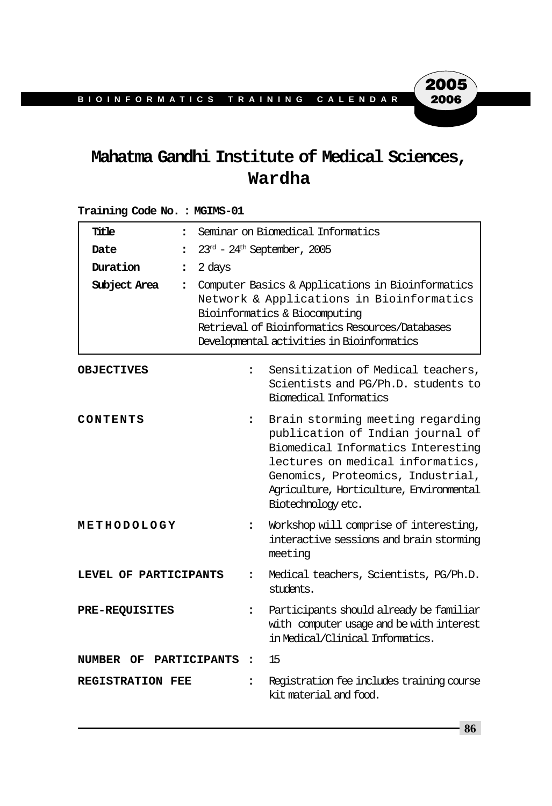# **Mahatma Gandhi Institute of Medical Sciences, Wardha**

### **Training Code No. : MGIMS-01**

| Title<br>$\ddot{\phantom{a}}$        | Seminar on Biomedical Informatics                                                                                                                                                                                              |                                                                                                                                                                                                                                                       |  |
|--------------------------------------|--------------------------------------------------------------------------------------------------------------------------------------------------------------------------------------------------------------------------------|-------------------------------------------------------------------------------------------------------------------------------------------------------------------------------------------------------------------------------------------------------|--|
| Date<br>$\ddot{\phantom{a}}$         | $23rd$ - $24th$ September, 2005                                                                                                                                                                                                |                                                                                                                                                                                                                                                       |  |
| Duration<br>$\ddot{\phantom{a}}$     | 2 days                                                                                                                                                                                                                         |                                                                                                                                                                                                                                                       |  |
| Subject Area<br>$\ddot{\phantom{a}}$ | Computer Basics & Applications in Bioinformatics<br>Network & Applications in Bioinformatics<br>Bioinformatics & Biocomputing<br>Retrieval of Bioinformatics Resources/Databases<br>Developmental activities in Bioinformatics |                                                                                                                                                                                                                                                       |  |
| <b>OBJECTIVES</b>                    | $\ddot{\phantom{a}}$                                                                                                                                                                                                           | Sensitization of Medical teachers,<br>Scientists and PG/Ph.D. students to<br>Biomedical Informatics                                                                                                                                                   |  |
| CONTENTS                             | $\ddot{\phantom{a}}$                                                                                                                                                                                                           | Brain storming meeting regarding<br>publication of Indian journal of<br>Biomedical Informatics Interesting<br>lectures on medical informatics,<br>Genomics, Proteomics, Industrial,<br>Agriculture, Horticulture, Environmental<br>Biotechnology etc. |  |
| METHODOLOGY                          | $\ddot{\phantom{a}}$                                                                                                                                                                                                           | Workshop will comprise of interesting,<br>interactive sessions and brain storming<br>meeting                                                                                                                                                          |  |
| LEVEL OF PARTICIPANTS                | $\ddot{\phantom{a}}$                                                                                                                                                                                                           | Medical teachers, Scientists, PG/Ph.D.<br>students.                                                                                                                                                                                                   |  |
| <b>PRE-REQUISITES</b>                | $\ddot{\phantom{a}}$                                                                                                                                                                                                           | Participants should already be familiar<br>with computer usage and be with interest<br>in Medical/Clinical Informatics.                                                                                                                               |  |
| NUMBER OF                            | PARTICIPANTS<br>$\ddot{\cdot}$                                                                                                                                                                                                 | 15                                                                                                                                                                                                                                                    |  |
| <b>REGISTRATION FEE</b>              | $\ddot{\phantom{a}}$                                                                                                                                                                                                           | Registration fee includes training course<br>kit material and food.                                                                                                                                                                                   |  |

**86**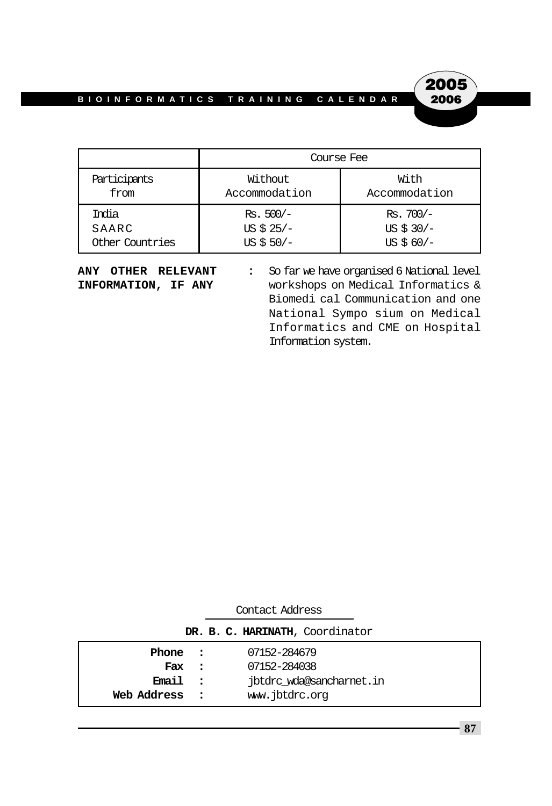

|                 | Course Fee    |               |
|-----------------|---------------|---------------|
| Participants    | Without       | With          |
| from            | Accommodation | Accommodation |
| India           | $Rs. 500/-$   | $Rs.700/-$    |
| SAARC           | US $$25/-$    | US $$30/-$    |
| Other Countries | $US $50/-$    | US $$60/-$    |

**ANY OTHER RELEVANT :** So far we have organised 6 National level **INFORMATION, IF ANY** workshops on Medical Informatics & Biomedi cal Communication and one National Sympo sium on Medical Informatics and CME on Hospital Information system.

| DR. B. C. HARINATH, Coordinator             |  |                                                                            |  |  |  |
|---------------------------------------------|--|----------------------------------------------------------------------------|--|--|--|
| Phone :<br>Fax :<br>Email:<br>Web Address : |  | 07152-284679<br>07152-284038<br>jbtdrc wda@sancharnet.in<br>www.jbtdrc.org |  |  |  |
|                                             |  |                                                                            |  |  |  |

Contact Address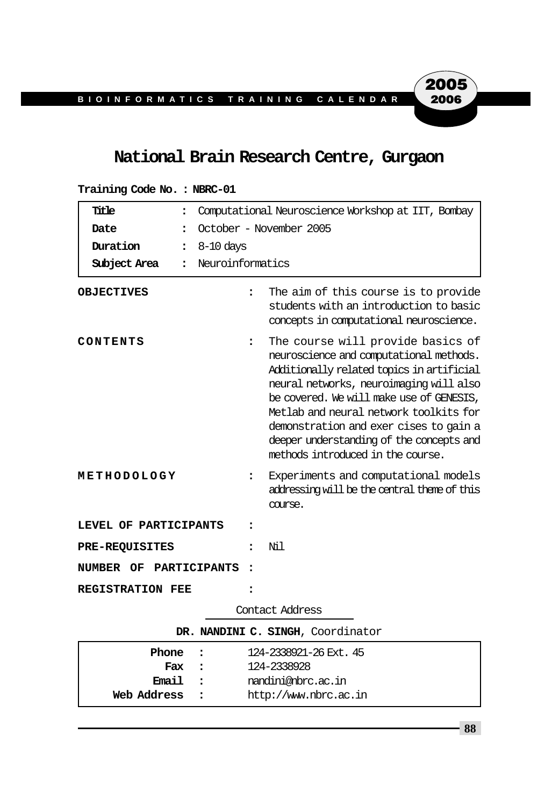# **National Brain Research Centre, Gurgaon**

| Title<br>$\ddot{\phantom{a}}$     | Computational Neuroscience Workshop at IIT, Bombay                                                                                                                                                                                                                                                                                                                                                            |  |  |  |
|-----------------------------------|---------------------------------------------------------------------------------------------------------------------------------------------------------------------------------------------------------------------------------------------------------------------------------------------------------------------------------------------------------------------------------------------------------------|--|--|--|
| Date<br>$\ddot{\phantom{a}}$      | October - November 2005                                                                                                                                                                                                                                                                                                                                                                                       |  |  |  |
| Duration<br>$\ddot{\phantom{a}}$  | $8-10$ days                                                                                                                                                                                                                                                                                                                                                                                                   |  |  |  |
| Subject Area<br>$\ddot{\cdot}$    | Neuroinformatics                                                                                                                                                                                                                                                                                                                                                                                              |  |  |  |
| <b>OBJECTIVES</b>                 | The aim of this course is to provide<br>$\ddot{\phantom{a}}$<br>students with an introduction to basic<br>concepts in computational neuroscience.                                                                                                                                                                                                                                                             |  |  |  |
| CONTENTS                          | The course will provide basics of<br>$\ddot{\phantom{a}}$<br>neuroscience and computational methods.<br>Additionally related topics in artificial<br>neural networks, neuroimaging will also<br>be covered. We will make use of GENESIS,<br>Metlab and neural network toolkits for<br>demonstration and exer cises to gain a<br>deeper understanding of the concepts and<br>methods introduced in the course. |  |  |  |
| METHODOLOGY                       | Experiments and computational models<br>፡<br>addressing will be the central theme of this<br>course.                                                                                                                                                                                                                                                                                                          |  |  |  |
| LEVEL OF PARTICIPANTS             |                                                                                                                                                                                                                                                                                                                                                                                                               |  |  |  |
| <b>PRE-REQUISITES</b>             | Ni 1                                                                                                                                                                                                                                                                                                                                                                                                          |  |  |  |
| <b>NUMBER OF</b>                  | <b>PARTICIPANTS</b><br>$\ddot{\phantom{a}}$                                                                                                                                                                                                                                                                                                                                                                   |  |  |  |
| <b>REGISTRATION FEE</b>           |                                                                                                                                                                                                                                                                                                                                                                                                               |  |  |  |
|                                   | Contact Address                                                                                                                                                                                                                                                                                                                                                                                               |  |  |  |
| DR. NANDINI C. SINGH, Coordinator |                                                                                                                                                                                                                                                                                                                                                                                                               |  |  |  |

### **Training Code No. : NBRC-01**

| Phone :     | 124-2338921-26 Ext. 45 |
|-------------|------------------------|
| Fax :       | 124-2338928            |
| Email :     | nandini@nbrc.ac.in     |
| Web Address | http://www.nbrc.ac.in  |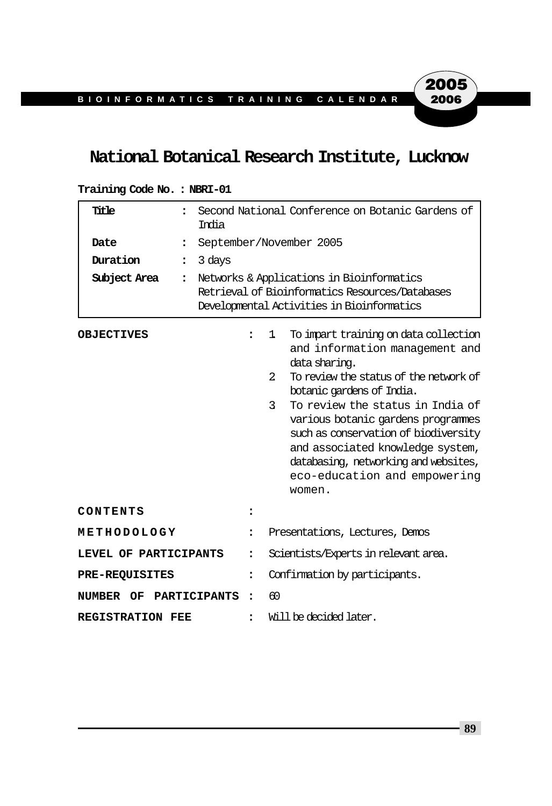# **National Botanical Research Institute, Lucknow**

| Title<br>$\ddot{\phantom{a}}$<br>Date<br>$\ddot{\cdot}$<br>Duration<br>$\ddot{\phantom{a}}$<br>Subject Area<br>$\ddot{\phantom{a}}$ | Second National Conference on Botanic Gardens of<br>India<br>September/November 2005<br>3 days<br>Networks & Applications in Bioinformatics<br>Retrieval of Bioinformatics Resources/Databases<br>Developmental Activities in Bioinformatics |                                                                                                                                                                                                                                                                                                                                                                                                                                     |  |
|-------------------------------------------------------------------------------------------------------------------------------------|----------------------------------------------------------------------------------------------------------------------------------------------------------------------------------------------------------------------------------------------|-------------------------------------------------------------------------------------------------------------------------------------------------------------------------------------------------------------------------------------------------------------------------------------------------------------------------------------------------------------------------------------------------------------------------------------|--|
| <b>OBJECTIVES</b>                                                                                                                   |                                                                                                                                                                                                                                              | To impart training on data collection<br>1<br>and information management and<br>data sharing.<br>$\overline{2}$<br>To review the status of the network of<br>botanic gardens of India.<br>3<br>To review the status in India of<br>various botanic gardens programmes<br>such as conservation of biodiversity<br>and associated knowledge system,<br>databasing, networking and websites,<br>eco-education and empowering<br>women. |  |
| CONTENTS                                                                                                                            |                                                                                                                                                                                                                                              |                                                                                                                                                                                                                                                                                                                                                                                                                                     |  |
| METHODOLOGY                                                                                                                         | $\ddot{\phantom{a}}$                                                                                                                                                                                                                         | Presentations, Lectures, Demos                                                                                                                                                                                                                                                                                                                                                                                                      |  |
| LEVEL OF PARTICIPANTS                                                                                                               | ፡                                                                                                                                                                                                                                            | Scientists/Experts in relevant area.                                                                                                                                                                                                                                                                                                                                                                                                |  |
| <b>PRE-REQUISITES</b>                                                                                                               | ፡                                                                                                                                                                                                                                            | Confirmation by participants.                                                                                                                                                                                                                                                                                                                                                                                                       |  |
| <b>PARTICIPANTS</b><br>NUMBER<br>OF                                                                                                 | $\ddot{\phantom{a}}$                                                                                                                                                                                                                         | 60                                                                                                                                                                                                                                                                                                                                                                                                                                  |  |
| <b>REGISTRATION FEE</b>                                                                                                             | $\ddot{\phantom{a}}$                                                                                                                                                                                                                         | Will be decided later.                                                                                                                                                                                                                                                                                                                                                                                                              |  |

#### **Training Code No. : NBRI-01**

**89**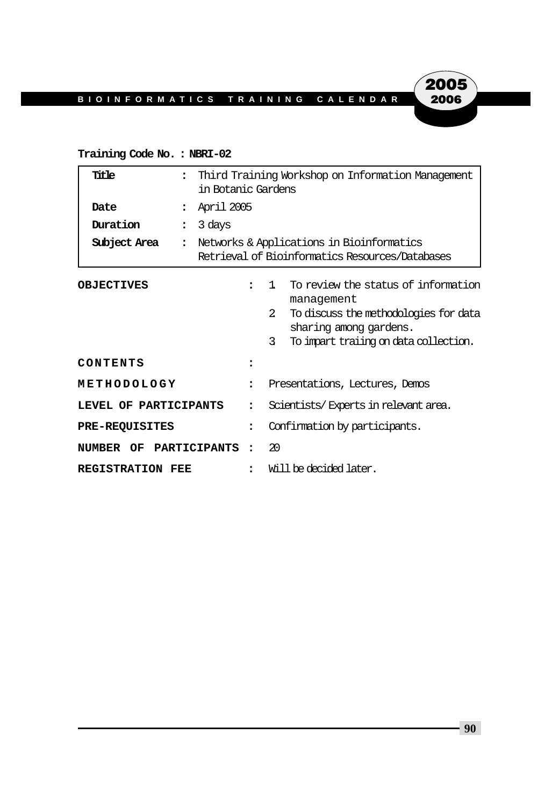#### **Training Code No. : NBRI-02**

| Title                   | $\ddot{\phantom{a}}$               | Third Training Workshop on Information Management<br>in Botanic Gardens                      |                                                                                                                                                                                        |  |
|-------------------------|------------------------------------|----------------------------------------------------------------------------------------------|----------------------------------------------------------------------------------------------------------------------------------------------------------------------------------------|--|
| Date                    | April 2005<br>$\ddot{\phantom{a}}$ |                                                                                              |                                                                                                                                                                                        |  |
| Duration                | 3 days<br>$\ddot{\phantom{a}}$     |                                                                                              |                                                                                                                                                                                        |  |
| Subject Area            | $\ddot{\phantom{a}}$               | Networks & Applications in Bioinformatics<br>Retrieval of Bioinformatics Resources/Databases |                                                                                                                                                                                        |  |
| <b>OBJECTIVES</b>       |                                    |                                                                                              | To review the status of information<br>1<br>management<br>$2^{\circ}$<br>To discuss the methodologies for data<br>sharing among gardens.<br>3<br>To impart traiing on data collection. |  |
| CONTENTS                |                                    |                                                                                              |                                                                                                                                                                                        |  |
| METHODOLOGY             |                                    | $\ddot{\phantom{a}}$                                                                         | Presentations, Lectures, Demos                                                                                                                                                         |  |
| LEVEL OF PARTICIPANTS   |                                    | $\ddot{\phantom{a}}$                                                                         | Scientists/Experts in relevant area.                                                                                                                                                   |  |
| <b>PRE-REQUISITES</b>   |                                    |                                                                                              | Confirmation by participants.                                                                                                                                                          |  |
| NUMBER OF PARTICIPANTS  |                                    | $\overline{\phantom{a}}$                                                                     | 20                                                                                                                                                                                     |  |
| <b>REGISTRATION FEE</b> |                                    |                                                                                              | Will be decided later.                                                                                                                                                                 |  |

**90**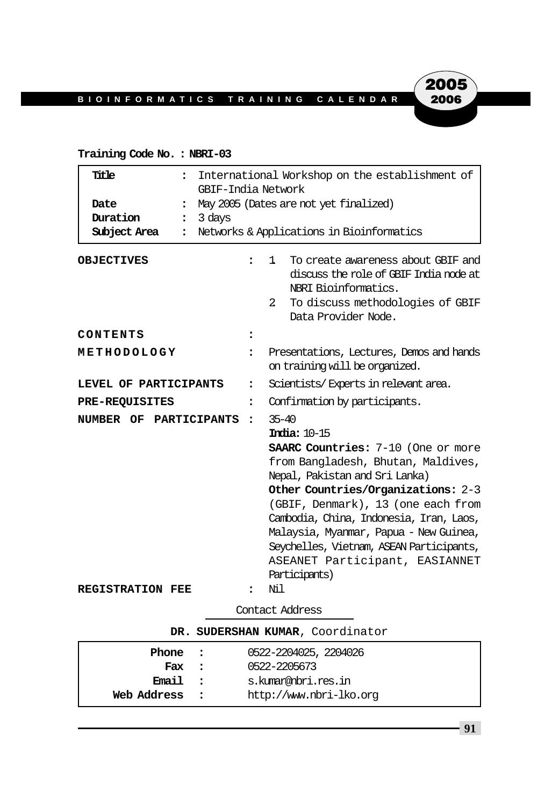### **Training Code No. : NBRI-03**

| Title<br>$\ddot{\phantom{a}}$<br>Date<br>$\ddot{\cdot}$<br>Duration<br>$\ddot{\phantom{a}}$<br>Subject Area<br>$\ddot{\phantom{a}}$ | International Workshop on the establishment of<br>GBIF-India Network<br>May 2005 (Dates are not yet finalized)<br>3 days<br>Networks & Applications in Bioinformatics |                                                                                                                                                                                                                                                                                                                                                                                                                       |  |
|-------------------------------------------------------------------------------------------------------------------------------------|-----------------------------------------------------------------------------------------------------------------------------------------------------------------------|-----------------------------------------------------------------------------------------------------------------------------------------------------------------------------------------------------------------------------------------------------------------------------------------------------------------------------------------------------------------------------------------------------------------------|--|
| <b>OBJECTIVES</b>                                                                                                                   | $\ddot{\phantom{a}}$                                                                                                                                                  | To create awareness about GBIF and<br>1.<br>discuss the role of GBIF India node at<br>NBRI Bioinformatics.<br>2<br>To discuss methodologies of GBIF<br>Data Provider Node.                                                                                                                                                                                                                                            |  |
| CONTENTS                                                                                                                            |                                                                                                                                                                       |                                                                                                                                                                                                                                                                                                                                                                                                                       |  |
| METHODOLOGY                                                                                                                         | $\ddot{\phantom{a}}$                                                                                                                                                  | Presentations, Lectures, Demos and hands<br>on training will be organized.                                                                                                                                                                                                                                                                                                                                            |  |
| LEVEL OF PARTICIPANTS                                                                                                               | $\ddot{\phantom{a}}$                                                                                                                                                  | Scientists/Experts in relevant area.                                                                                                                                                                                                                                                                                                                                                                                  |  |
| PRE-REQUISITES                                                                                                                      | $\ddot{\phantom{a}}$                                                                                                                                                  | Confirmation by participants.                                                                                                                                                                                                                                                                                                                                                                                         |  |
| NUMBER OF PARTICIPANTS                                                                                                              | $\ddot{\phantom{a}}$                                                                                                                                                  | $35 - 40$<br><b>India: 10-15</b><br><b>SAARC Countries:</b> 7-10 (One or more<br>from Bangladesh, Bhutan, Maldives,<br>Nepal, Pakistan and Sri Lanka)<br>Other Countries/Organizations: 2-3<br>(GBIF, Denmark), 13 (one each from<br>Cambodia, China, Indonesia, Iran, Laos,<br>Malaysia, Myanmar, Papua - New Guinea,<br>Seychelles, Vietnam, ASEAN Participants,<br>ASEANET Participant, EASIANNET<br>Participants) |  |
| <b>REGISTRATION FEE</b>                                                                                                             |                                                                                                                                                                       | Ni1                                                                                                                                                                                                                                                                                                                                                                                                                   |  |

Contact Address

| DR. SUDERSHAN KUMAR, Coordinator |  |                         |
|----------------------------------|--|-------------------------|
| Phone :                          |  | 0522-2204025, 2204026   |
| Fax :                            |  | 0522-2205673            |
| Email :                          |  | s.kumar@nbri.res.in     |
| Web Address                      |  | http://www.nbri-lko.org |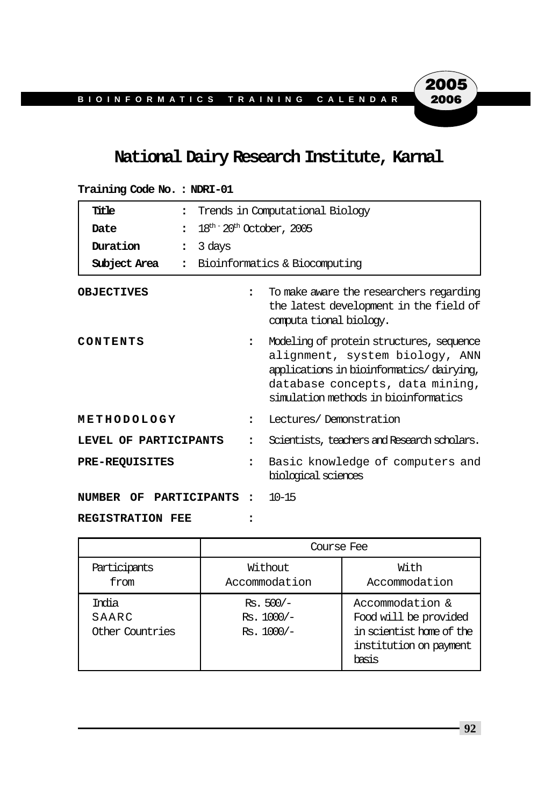# **National Dairy Research Institute, Karnal**

| Title<br>$\ddot{\phantom{a}}$        |                             | Trends in Computational Biology                                                                                                                                                                   |
|--------------------------------------|-----------------------------|---------------------------------------------------------------------------------------------------------------------------------------------------------------------------------------------------|
| Date<br>$\ddot{\cdot}$               | $18th - 20th$ October, 2005 |                                                                                                                                                                                                   |
| Duration<br>$\ddot{\cdot}$           | 3 days                      |                                                                                                                                                                                                   |
| Subject Area<br>$\ddot{\phantom{a}}$ |                             | Bioinformatics & Biocomputing                                                                                                                                                                     |
| <b>OBJECTIVES</b>                    | $\bullet$                   | To make aware the researchers regarding<br>the latest development in the field of<br>computa tional biology.                                                                                      |
| CONTENTS                             | $\ddot{\phantom{a}}$        | Modeling of protein structures, sequence<br>alignment, system biology, ANN<br>applications in bioinformatics/dairying,<br>database concepts, data mining,<br>simulation methods in bioinformatics |
| METHODOLOGY                          | $\ddot{\phantom{a}}$        | Lectures/Demonstration                                                                                                                                                                            |
| LEVEL OF PARTICIPANTS                |                             | Scientists, teachers and Research scholars.                                                                                                                                                       |
| <b>PRE-REQUISITES</b>                | $\ddot{\phantom{a}}$        | Basic knowledge of computers and<br>biological sciences                                                                                                                                           |
| PARTICIPANTS<br>NUMBER OF            | $\ddot{\cdot}$              | $10 - 15$                                                                                                                                                                                         |
| <b>REGISTRATION FEE</b>              |                             |                                                                                                                                                                                                   |

|                                   | Course Fee                                |                                                                                                         |  |  |
|-----------------------------------|-------------------------------------------|---------------------------------------------------------------------------------------------------------|--|--|
| Participants<br>from              | Without<br>Accommodation                  | With<br>Accommodation                                                                                   |  |  |
| India<br>SAARC<br>Other Countries | $Rs. 500/-$<br>Rs. 1000/-<br>$Rs. 1000/-$ | Accommodation &<br>Food will be provided<br>in scientist home of the<br>institution on payment<br>hasis |  |  |

**Training Code No. : NDRI-01**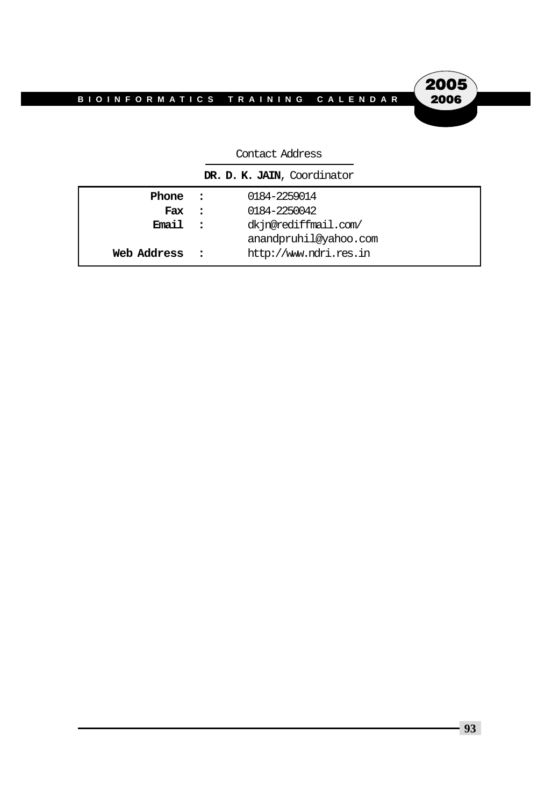2005 2006

| DR. D. K. JAIN, Coordinator |  |  |  |
|-----------------------------|--|--|--|
| 0184-2259014                |  |  |  |
| 0184-2250042                |  |  |  |
| dkjn@rediffmail.com/        |  |  |  |
| anandpruhil@yahoo.com       |  |  |  |
| http://www.ndri.res.in      |  |  |  |
|                             |  |  |  |

#### Contact Address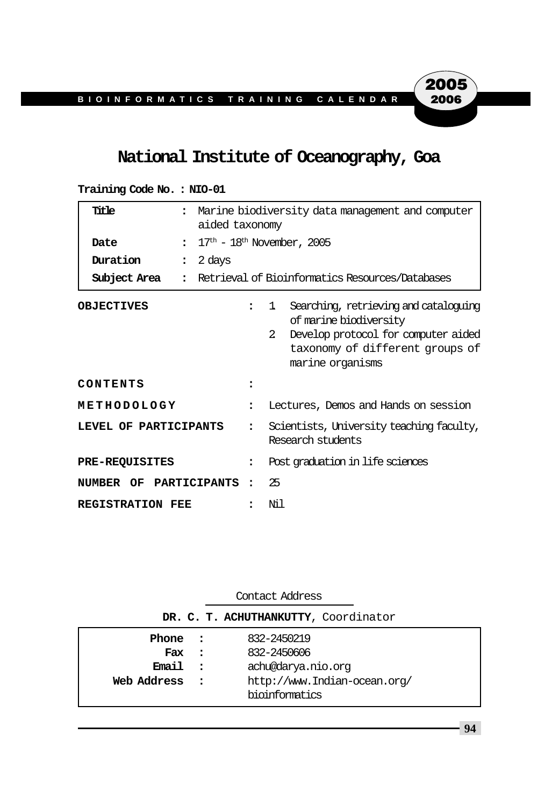# **National Institute of Oceanography, Goa**

| Title                                      | Marine biodiversity data management and computer<br>aided taxonomy                                                                                                                  |  |  |
|--------------------------------------------|-------------------------------------------------------------------------------------------------------------------------------------------------------------------------------------|--|--|
| Date                                       | $\frac{17^{\text{th}} - 18^{\text{th}} \text{ November}}{6.2005}$                                                                                                                   |  |  |
| Duration<br>2 days<br>$\ddot{\phantom{a}}$ |                                                                                                                                                                                     |  |  |
| Subject Area<br>$\ddot{\phantom{a}}$       | Retrieval of Bioinformatics Resources/Databases                                                                                                                                     |  |  |
| <b>OBJECTIVES</b>                          | Searching, retrieving and cataloguing<br>1<br>of marine biodiversity<br>$\mathcal{L}$<br>Develop protocol for computer aided<br>taxonomy of different groups of<br>marine organisms |  |  |
| CONTENTS                                   |                                                                                                                                                                                     |  |  |
| METHODOLOGY                                | Lectures, Demos and Hands on session<br>$\ddot{\cdot}$                                                                                                                              |  |  |
| LEVEL OF PARTICIPANTS                      | Scientists, University teaching faculty,<br>Research students                                                                                                                       |  |  |
| <b>PRE-REQUISITES</b>                      | Post graduation in life sciences<br>$\ddot{\phantom{a}}$                                                                                                                            |  |  |
| NUMBER OF PARTICIPANTS                     | 25<br>$\ddot{\cdot}$                                                                                                                                                                |  |  |
| <b>REGISTRATION FEE</b>                    | Ni l                                                                                                                                                                                |  |  |

**Training Code No. : NIO-01**

**DR. C. T. ACHUTHANKUTTY**, Coordinator

| Phone :     |              | 832-2450219                  |
|-------------|--------------|------------------------------|
| Fax         | $\sim$ 2     | 832-2450606                  |
| Email.      | $\mathbf{r}$ | achu@darya.nio.org           |
| Web Address | $\sim$ 2     | http://www.Indian-ocean.org/ |
|             |              | bioinformatics               |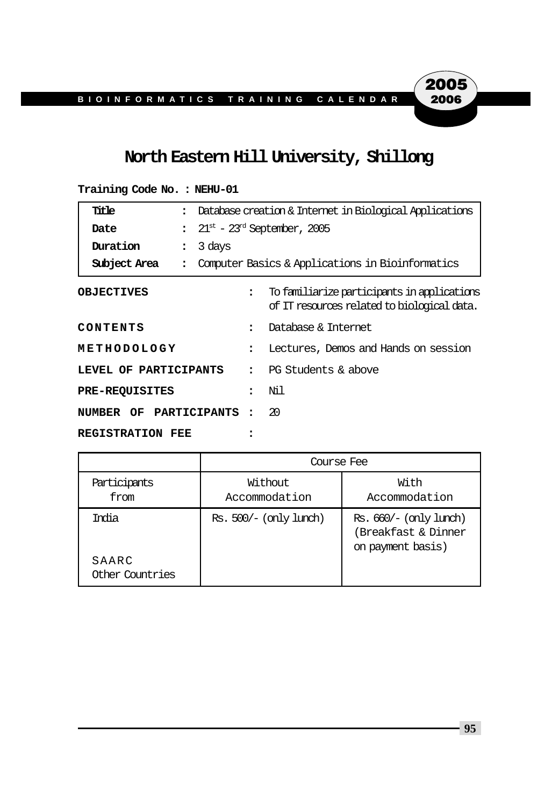## **North Eastern Hill University, Shillong**

# **Title :** Database creation & Internet in Biological Applications **Date** :  $21^{st}$  -  $23^{rd}$  September, 2005 **Duration :** 3 days **Subject Area :** Computer Basics & Applications in Bioinformatics **OBJECTIVES :** To familiarize participants in applications of IT resources related to biological data. **CONTENTS :** Database & Internet **METHODOLOGY :** Lectures, Demos and Hands on session **LEVEL OF PARTICIPANTS :** PG Students & above **PRE-REQUISITES :** Nil

### **NUMBER OF PARTICIPANTS :** 20

#### **REGISTRATION FEE :**

|                                   | Course Fee               |                                                                    |  |
|-----------------------------------|--------------------------|--------------------------------------------------------------------|--|
| Participants<br>from              | Without<br>Accommodation | With<br>Accommodation                                              |  |
| India<br>SAARC<br>Other Countries | Rs. 500/– (only lunch)   | Rs. 660/– (only lunch)<br>(Breakfast & Dinner<br>on payment basis) |  |

#### **Training Code No. : NEHU-01**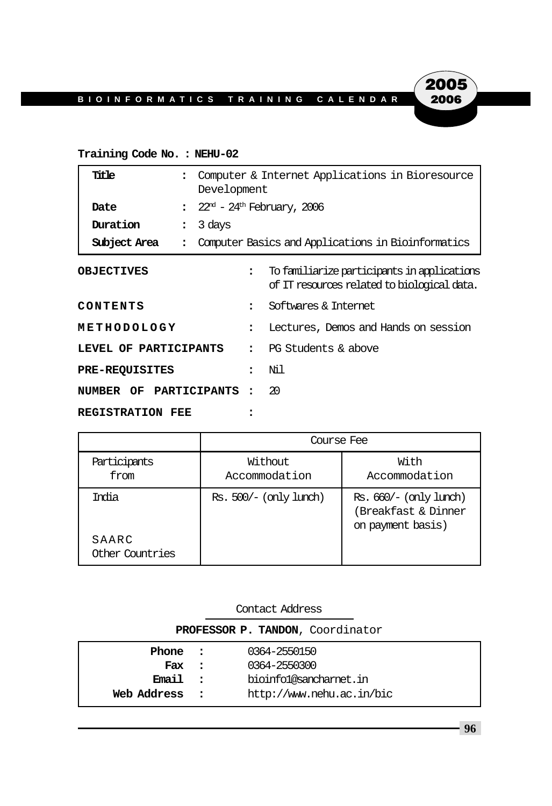### **Training Code No. : NEHU-02**

| Title                                      | Computer & Internet Applications in Bioresource<br>Development |                                                                                            |  |
|--------------------------------------------|----------------------------------------------------------------|--------------------------------------------------------------------------------------------|--|
| Date<br>$\ddot{\phantom{a}}$               | $22^{\rm nd}$ – $24^{\rm th}$ February, 2006                   |                                                                                            |  |
| Duration<br>3 days<br>$\ddot{\phantom{a}}$ |                                                                |                                                                                            |  |
| Subject Area<br>$\ddot{\cdot}$             |                                                                | Computer Basics and Applications in Bioinformatics                                         |  |
| <b>OBJECTIVES</b>                          | $\ddot{\phantom{a}}$                                           | To familiarize participants in applications<br>of IT resources related to biological data. |  |
| CONTENTS                                   | $\bullet$                                                      | Softwares & Internet                                                                       |  |
| METHODOLOGY                                | $\ddot{\phantom{a}}$                                           | Lectures, Demos and Hands on session                                                       |  |
| LEVEL OF PARTICIPANTS                      | $\ddot{\phantom{a}}$                                           | PG Students & above                                                                        |  |
| <b>PRE-REQUISITES</b>                      |                                                                | Ni 1                                                                                       |  |
| NUMBER OF PARTICIPANTS                     |                                                                | 20                                                                                         |  |
| <b>REGISTRATION FEE</b>                    |                                                                |                                                                                            |  |

|                                   | Course Fee               |                                                                    |  |
|-----------------------------------|--------------------------|--------------------------------------------------------------------|--|
| Participants<br>from              | Without<br>Accommodation | With<br>Accommodation                                              |  |
| India<br>SAARC<br>Other Countries | Rs. 500/– (only lunch)   | Rs. 660/– (only lunch)<br>(Breakfast & Dinner<br>on payment basis) |  |

| Contact Address                  |          |                           |
|----------------------------------|----------|---------------------------|
| PROFESSOR P. TANDON, Coordinator |          |                           |
| Phone :                          |          | 0364-2550150              |
| Fax :                            |          | 0364-2550300              |
| <b>Email</b>                     | $\sim$ 2 | bioinfol@sancharnet.in    |
| Web Address                      |          | http://www.nehu.ac.in/bic |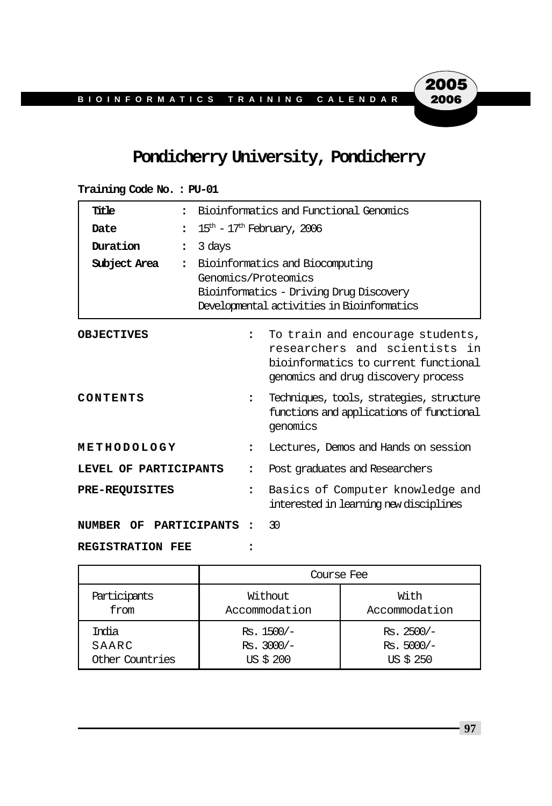# **Pondicherry University, Pondicherry**

| Title                   | $\ddot{\phantom{a}}$           | Bioinformatics and Functional Genomics                                                                                                          |                                                                                                                                                  |  |
|-------------------------|--------------------------------|-------------------------------------------------------------------------------------------------------------------------------------------------|--------------------------------------------------------------------------------------------------------------------------------------------------|--|
| Date                    |                                | $15th$ – $17th$ February, 2006                                                                                                                  |                                                                                                                                                  |  |
| Duration                | 3 days<br>$\ddot{\phantom{a}}$ |                                                                                                                                                 |                                                                                                                                                  |  |
| Subject Area            | $\ddot{\cdot}$                 | Bioinformatics and Biocomputing<br>Genomics/Proteomics<br>Bioinformatics - Driving Drug Discovery<br>Developmental activities in Bioinformatics |                                                                                                                                                  |  |
| <b>OBJECTIVES</b>       |                                | $\ddot{\phantom{a}}$                                                                                                                            | To train and encourage students,<br>researchers and scientists in<br>bioinformatics to current functional<br>genomics and drug discovery process |  |
| CONTENTS                |                                | $\ddot{\phantom{a}}$                                                                                                                            | Techniques, tools, strategies, structure<br>functions and applications of functional<br>genomics                                                 |  |
| METHODOLOGY             |                                | $\ddot{\phantom{a}}$                                                                                                                            | Lectures, Demos and Hands on session                                                                                                             |  |
| LEVEL OF PARTICIPANTS   |                                | $\overline{\phantom{a}}$                                                                                                                        | Post graduates and Researchers                                                                                                                   |  |
| <b>PRE-REQUISITES</b>   |                                | $\ddot{\phantom{a}}$                                                                                                                            | Basics of Computer knowledge and<br>interested in learning new disciplines                                                                       |  |
| NUMBER<br>OF            | PARTICIPANTS                   |                                                                                                                                                 | 30                                                                                                                                               |  |
| <b>REGISTRATION FEE</b> |                                |                                                                                                                                                 |                                                                                                                                                  |  |

**Training Code No. : PU-01**

|                 | Course Fee    |               |  |  |
|-----------------|---------------|---------------|--|--|
| Participants    | Without       | With          |  |  |
| from            | Accommodation | Accommodation |  |  |
| India           | $Rs. 1500/-$  | $Rs.2500/-$   |  |  |
| SAARC           | $Rs. 3000/-$  | $Rs. 5000/-$  |  |  |
| Other Countries | US \$ 200     | US \$ 250     |  |  |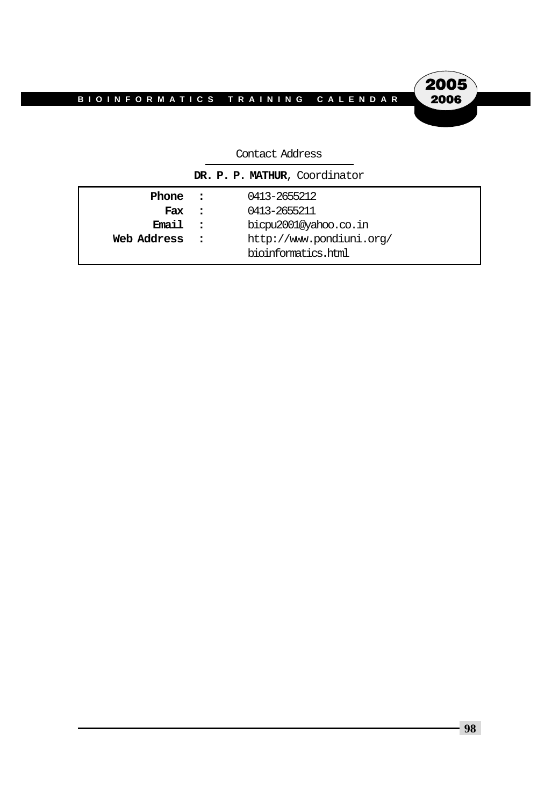**2005**<br>2006

|             |                      | DR. P. P. MATHUR, Coordinator |
|-------------|----------------------|-------------------------------|
| Phone :     |                      | 0413-2655212                  |
| Fax         | $\sim$ 2             | 0413-2655211                  |
| Email.      | $\ddot{\phantom{1}}$ | bicpu2001@yahoo.co.in         |
| Web Address | $\mathbf{r}$         | http://www.pondiuni.org/      |
|             |                      | bioinformatics.html           |

#### Contact Address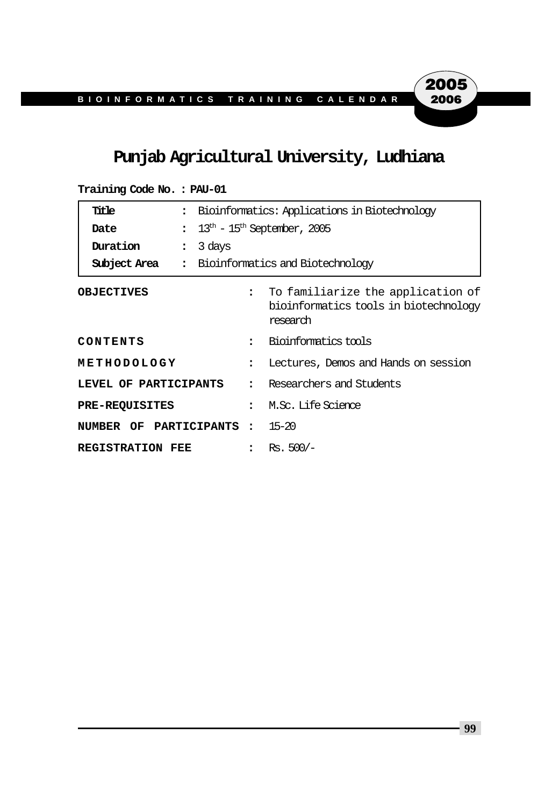# **Punjab Agricultural University, Ludhiana**

| Title                    | $\ddot{\phantom{a}}$           | Bioinformatics: Applications in Biotechnology                |                                                                                        |  |
|--------------------------|--------------------------------|--------------------------------------------------------------|----------------------------------------------------------------------------------------|--|
| Date                     | $\ddot{\phantom{a}}$           | $13^{\text{th}}$ – $15^{\text{th}}$ September, 2005          |                                                                                        |  |
| Duration                 | 3 days<br>$\ddot{\phantom{a}}$ |                                                              |                                                                                        |  |
| Subject Area             | $\ddot{\phantom{a}}$           |                                                              | Bioinformatics and Biotechnology                                                       |  |
| <b>OBJECTIVES</b>        |                                | $\ddot{\phantom{a}}$                                         | To familiarize the application of<br>bioinformatics tools in biotechnology<br>research |  |
| CONTENTS                 |                                | Bioinformatics tools<br>$\ddot{\cdot}$                       |                                                                                        |  |
| METHODOLOGY              |                                | Lectures, Demos and Hands on session<br>$\ddot{\phantom{a}}$ |                                                                                        |  |
| LEVEL OF PARTICIPANTS    |                                | $\ddot{\cdot}$                                               | Researchers and Students                                                               |  |
| <b>PRE-REQUISITES</b>    |                                | $\ddot{\phantom{a}}$                                         | M.Sc. Life Science                                                                     |  |
| NUMBER OF PARTICIPANTS : |                                |                                                              | $15 - 20$                                                                              |  |
| <b>REGISTRATION FEE</b>  |                                |                                                              | $Rs.500/-$                                                                             |  |

**Training Code No. : PAU-01**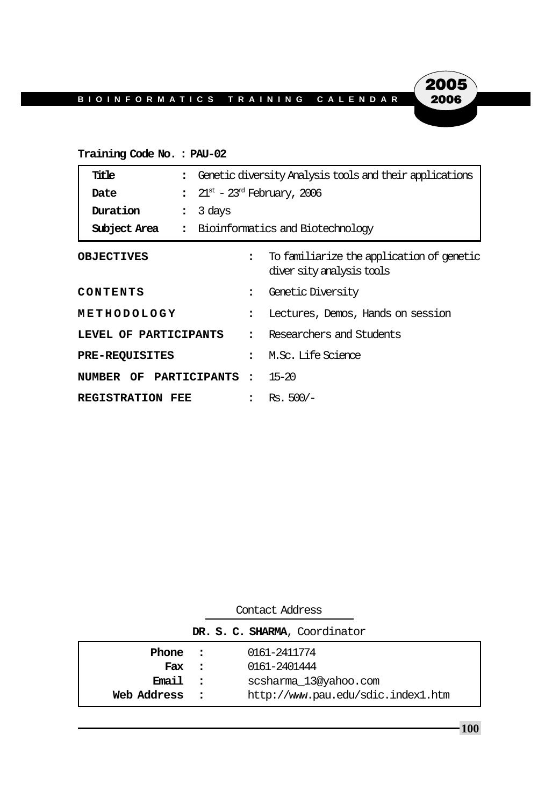### **Training Code No. : PAU-02**

| Title                      | : Genetic diversity Analysis tools and their applications |                                                                        |  |
|----------------------------|-----------------------------------------------------------|------------------------------------------------------------------------|--|
| Date                       | : $21^{st}$ – $23^{rd}$ February, 2006                    |                                                                        |  |
| Duration<br>$\ddot{\cdot}$ | 3 days                                                    |                                                                        |  |
|                            | <b>Subject Area :</b> Bioinformatics and Biotechnology    |                                                                        |  |
| <b>OBJECTIVES</b>          | $\ddot{\phantom{a}}$                                      | To familiarize the application of genetic<br>diver sity analysis tools |  |
| CONTENTS                   | $\ddot{\phantom{a}}$                                      | Genetic Diversity                                                      |  |
| METHODOLOGY                |                                                           | Lectures, Demos, Hands on session                                      |  |
| LEVEL OF PARTICIPANTS      |                                                           | Researchers and Students                                               |  |
| <b>PRE-REQUISITES</b>      |                                                           | M.Sc. Life Science                                                     |  |
| NUMBER OF PARTICIPANTS:    |                                                           | $15 - 20$                                                              |  |
| <b>REGISTRATION FEE</b>    |                                                           | $Rs.500/-$                                                             |  |

| Contact Address                  |  |  |                                    |  |
|----------------------------------|--|--|------------------------------------|--|
| DR. S. C. SHARMA, Coordinator    |  |  |                                    |  |
| Phone :                          |  |  | 0161-2411774                       |  |
| Fax :                            |  |  | 0161-2401444                       |  |
| Email :<br>scsharma 13@yahoo.com |  |  |                                    |  |
| Web Address                      |  |  | http://www.pau.edu/sdic.index1.htm |  |

**100**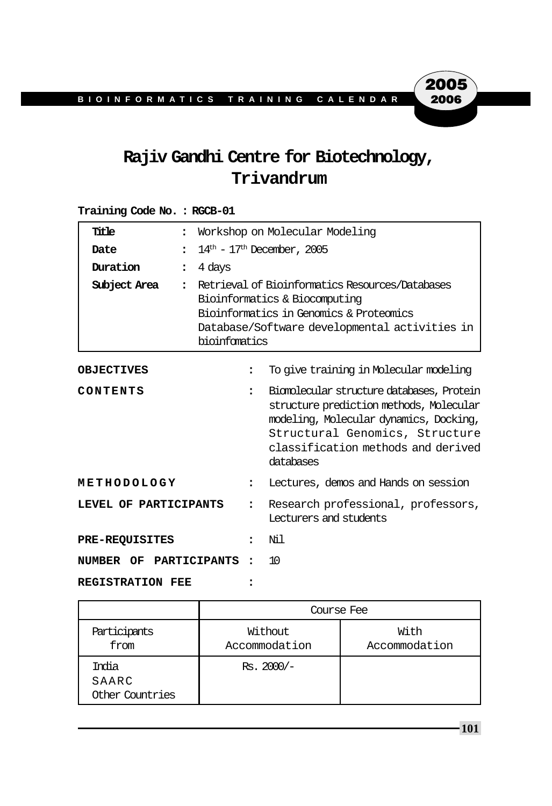# **Rajiv Gandhi Centre for Biotechnology, Trivandrum**

### **Training Code No. : RGCB-01**

| Title                               | $\ddot{\phantom{a}}$           | Workshop on Molecular Modeling                                                                                                                                                                                                   |                                                              |
|-------------------------------------|--------------------------------|----------------------------------------------------------------------------------------------------------------------------------------------------------------------------------------------------------------------------------|--------------------------------------------------------------|
| Date                                | $\ddot{\phantom{a}}$           | $14th$ – $17th$ December, 2005                                                                                                                                                                                                   |                                                              |
| Duration                            | 4 days<br>$\ddot{\phantom{a}}$ |                                                                                                                                                                                                                                  |                                                              |
| Subject Area                        | $\ddot{\phantom{a}}$           | Retrieval of Bioinformatics Resources/Databases<br>Bioinformatics & Biocomputing<br>Bioinformatics in Genomics & Proteomics<br>Database/Software developmental activities in<br>bioinfomatics                                    |                                                              |
| <b>OBJECTIVES</b>                   |                                | $\ddot{\phantom{a}}$                                                                                                                                                                                                             | To give training in Molecular modeling                       |
| CONTENTS                            |                                | Biomolecular structure databases, Protein<br>$\bullet$<br>structure prediction methods, Molecular<br>modeling, Molecular dynamics, Docking,<br>Structural Genomics, Structure<br>classification methods and derived<br>databases |                                                              |
| METHODOLOGY<br>$\ddot{\phantom{a}}$ |                                | Lectures, demos and Hands on session                                                                                                                                                                                             |                                                              |
| LEVEL OF PARTICIPANTS               |                                | $\ddot{\phantom{a}}$                                                                                                                                                                                                             | Research professional, professors,<br>Lecturers and students |
| <b>PRE-REQUISITES</b>               |                                | Ni 1<br>2                                                                                                                                                                                                                        |                                                              |
| NUMBER OF PARTICIPANTS              |                                | 10<br>$\ddot{\phantom{a}}$                                                                                                                                                                                                       |                                                              |
| <b>REGISTRATION FEE</b>             |                                |                                                                                                                                                                                                                                  |                                                              |

|                                   | Course Fee               |                       |  |  |
|-----------------------------------|--------------------------|-----------------------|--|--|
| Participants<br>from              | Without<br>Accommodation | With<br>Accommodation |  |  |
| India<br>SAARC<br>Other Countries | $Rs.2000/-$              |                       |  |  |

**101**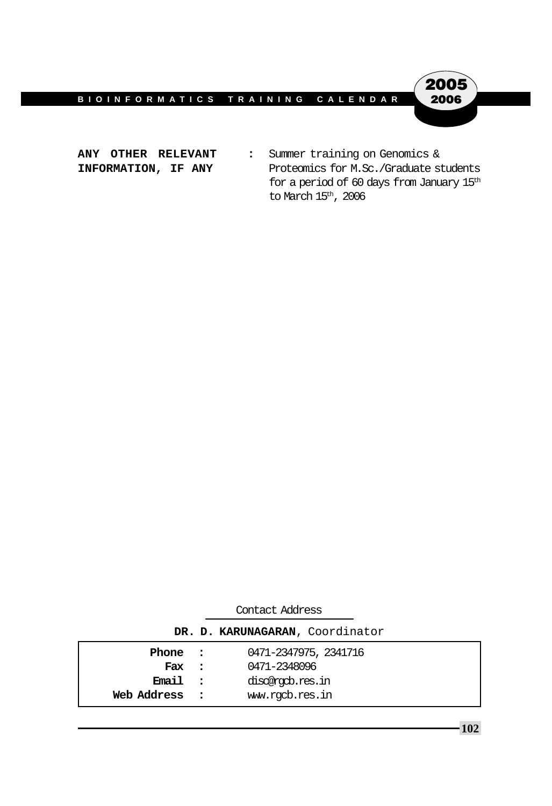

ANY OTHER RELEVANT : Summer training on Genomics & **INFORMATION, IF ANY** Proteomics for M.Sc./Graduate students for a period of 60 days from January  $15^{\text{th}}$ to March  $15^{\rm th}$ , 2006

| Contact Address                 |          |                       |  |  |  |
|---------------------------------|----------|-----------------------|--|--|--|
| DR. D. KARUNAGARAN, Coordinator |          |                       |  |  |  |
| Phone :                         |          | 0471-2347975, 2341716 |  |  |  |
| Fax :                           |          | 0471-2348096          |  |  |  |
| Email:                          |          | discorgob.res.in      |  |  |  |
| Web Address                     | $\sim$ 2 | www.rqcb.res.in       |  |  |  |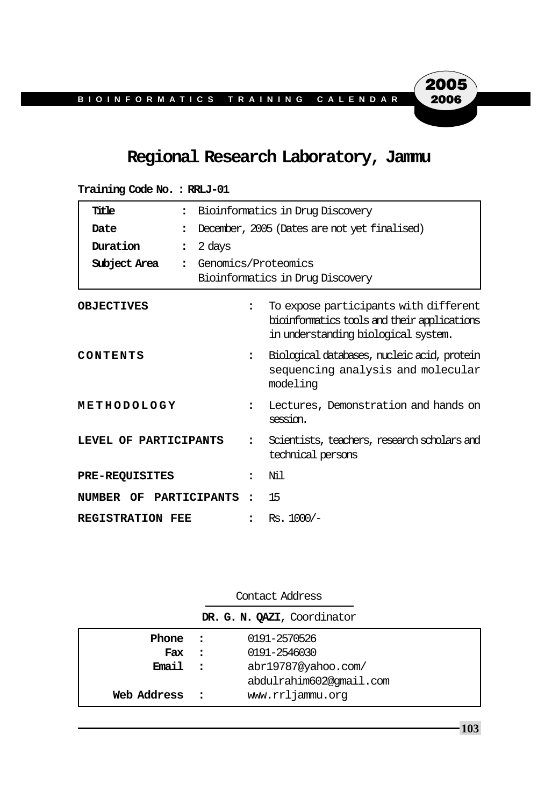# **Regional Research Laboratory, Jammu**

| Title<br>$\ddot{\phantom{a}}$        |                      | Bioinformatics in Drug Discovery                                                                                            |  |  |
|--------------------------------------|----------------------|-----------------------------------------------------------------------------------------------------------------------------|--|--|
| Date<br>$\ddot{\phantom{a}}$         |                      | December, 2005 (Dates are not yet finalised)                                                                                |  |  |
| Duration<br>$\ddot{\cdot}$           | 2 days               |                                                                                                                             |  |  |
| Subject Area<br>$\ddot{\phantom{a}}$ |                      | Genomics/Proteomics<br>Bioinformatics in Drug Discovery                                                                     |  |  |
| <b>OBJECTIVES</b>                    | $\ddot{\phantom{a}}$ | To expose participants with different<br>bioinformatics tools and their applications<br>in understanding biological system. |  |  |
| CONTENTS                             |                      | Biological databases, nucleic acid, protein<br>sequencing analysis and molecular<br>modeling                                |  |  |
| METHODOLOGY                          | $\ddot{\phantom{a}}$ | Lectures, Demonstration and hands on<br>session.                                                                            |  |  |
| LEVEL OF PARTICIPANTS                | $\ddot{\cdot}$       | Scientists, teachers, research scholars and<br>technical persons                                                            |  |  |
| <b>PRE-REQUISITES</b>                | $\ddot{\phantom{a}}$ | Ni 1                                                                                                                        |  |  |
| NUMBER OF PARTICIPANTS               | $\ddot{\phantom{a}}$ | 15                                                                                                                          |  |  |
| REGISTRATION FEE                     |                      | $Rs. 1000/-$                                                                                                                |  |  |

**Training Code No. : RRLJ-01**

Contact Address

**DR. G. N. QAZI**, Coordinator

| Phone :     |               | 0191-2570526            |
|-------------|---------------|-------------------------|
| Fax         | $\sim$ $\sim$ | 0191-2546030            |
| Email.      | $\sim$ 2      | abr19787@yahoo.com/     |
|             |               | abdulrahim602@qmail.com |
| Web Address | $\sim$ 2.1    | www.rrljammu.org        |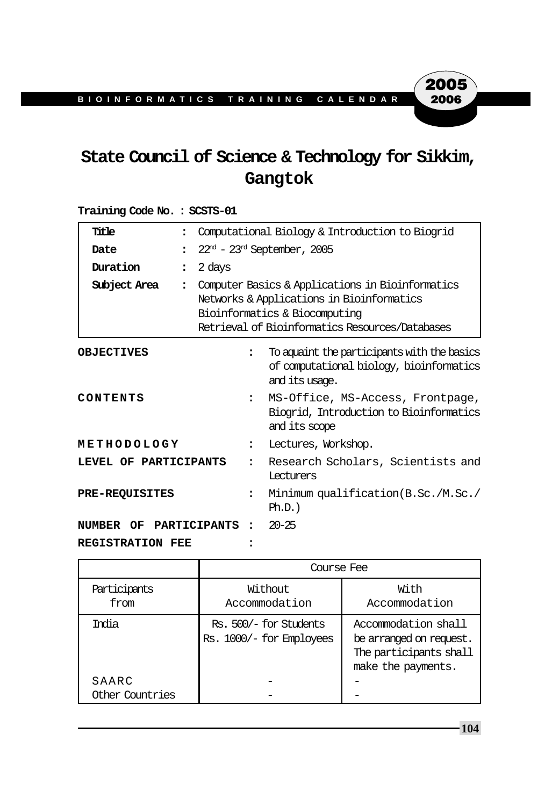# **State Council of Science & Technology for Sikkim, Gangtok**

## **Title :** Computational Biology & Introduction to Biogrid **Date** :  $22^{nd}$  -  $23^{nd}$  September, 2005 **Duration :** 2 days **Subject Area :** Computer Basics & Applications in Bioinformatics Networks & Applications in Bioinformatics Bioinformatics & Biocomputing Retrieval of Bioinformatics Resources/Databases **OBJECTIVES :** To aquaint the participants with the basics of computational biology, bioinformatics and its usage. **CONTENTS :** MS-Office, MS-Access, Frontpage, Biogrid, Introduction to Bioinformatics and its scope **METHODOLOGY :** Lectures, Workshop. **LEVEL OF PARTICIPANTS :** Research Scholars, Scientists and Lecturers **PRE-REQUISITES :** Minimum qualification(B.Sc./M.Sc./  $Ph.D.$ ) **NUMBER OF PARTICIPANTS :** 20-25 **REGISTRATION FEE :**

|                          | Course Fee                                         |                                                                                                |  |  |
|--------------------------|----------------------------------------------------|------------------------------------------------------------------------------------------------|--|--|
| Participants<br>from     | Without<br>Accommodation                           | With<br>Accommodation                                                                          |  |  |
| India                    | Rs. 500/- for Students<br>Rs. 1000/- for Employees | Accommodation shall<br>be arranged on request.<br>The participants shall<br>make the payments. |  |  |
| SAARC<br>Other Countries |                                                    |                                                                                                |  |  |

#### **Training Code No. : SCSTS-01**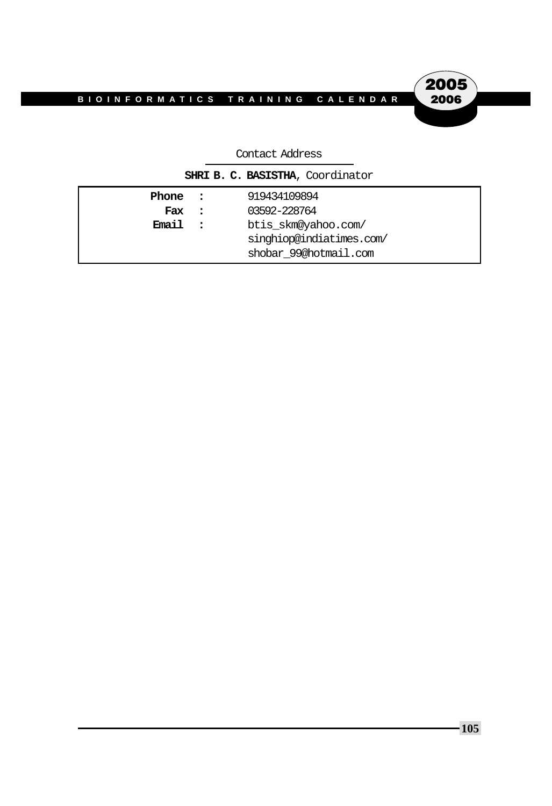**2005**<br>2006

| CONCaCL AQQLESS                        |                                                                          |                              |  |
|----------------------------------------|--------------------------------------------------------------------------|------------------------------|--|
| SHRI B. C. BASISTHA, Coordinator       |                                                                          |                              |  |
| Phone :<br>Fax<br>$\ddot{\phantom{1}}$ |                                                                          | 919434109894<br>03592-228764 |  |
| Email                                  | btis_skm@yahoo.com/<br>singhiop@indiatimes.com/<br>shobar 99@hotmail.com |                              |  |

 $Context 2d<sub>d</sub>$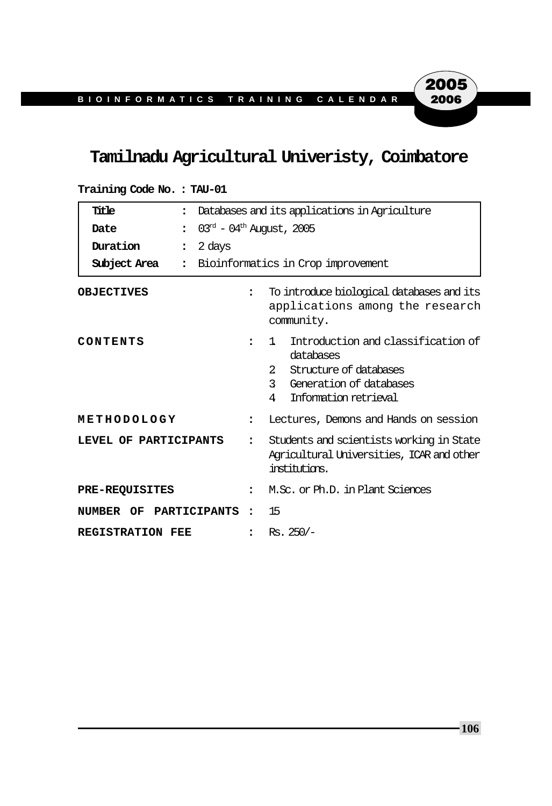# **Tamilnadu Agricultural Univeristy, Coimbatore**

| Title<br>$\ddot{\phantom{a}}$        | Databases and its applications in Agriculture |                                                                                                                                                                           |  |
|--------------------------------------|-----------------------------------------------|---------------------------------------------------------------------------------------------------------------------------------------------------------------------------|--|
| Date<br>$\ddot{\phantom{a}}$         | $03rd - 04th$ August, 2005                    |                                                                                                                                                                           |  |
| Duration<br>$\ddot{\cdot}$           | 2 days                                        |                                                                                                                                                                           |  |
| Subject Area<br>$\ddot{\phantom{a}}$ |                                               | Bioinformatics in Crop improvement                                                                                                                                        |  |
| <b>OBJECTIVES</b>                    | $\ddot{\phantom{a}}$                          | To introduce biological databases and its<br>applications among the research<br>community.                                                                                |  |
| CONTENTS                             | $\ddot{\phantom{a}}$                          | Introduction and classification of<br>1.<br>databases<br>$\mathbf{2}$<br>Structure of databases<br>$\mathcal{E}$<br>Generation of databases<br>Information retrieval<br>4 |  |
| METHODOLOGY                          | $\ddot{\phantom{a}}$                          | Lectures, Demons and Hands on session                                                                                                                                     |  |
| LEVEL OF PARTICIPANTS                | $\ddot{\cdot}$                                | Students and scientists working in State<br>Agricultural Universities, ICAR and other<br>institutions.                                                                    |  |
| <b>PRE-REQUISITES</b>                | $\ddot{\phantom{a}}$                          | M.Sc. or Ph.D. in Plant Sciences                                                                                                                                          |  |
| NUMBER OF PARTICIPANTS               | $\bullet$                                     | 15                                                                                                                                                                        |  |
| <b>REGISTRATION FEE</b>              |                                               | $Rs.250/-$                                                                                                                                                                |  |

**Training Code No. : TAU-01**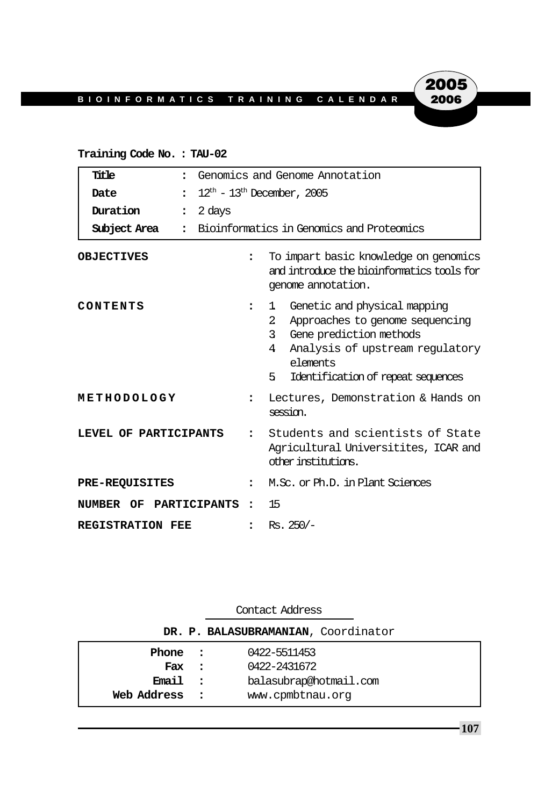# 2005 2006

### **Training Code No. : TAU-02**

| Title<br>$\ddot{\phantom{a}}$    | Genomics and Genome Annotation |                                                                                                                                                                                                           |  |
|----------------------------------|--------------------------------|-----------------------------------------------------------------------------------------------------------------------------------------------------------------------------------------------------------|--|
| Date                             | $12th - 13th$ December, 2005   |                                                                                                                                                                                                           |  |
| Duration<br>$\ddot{\phantom{a}}$ | 2 days                         |                                                                                                                                                                                                           |  |
| Subject Area<br>$\bullet$        |                                | Bioinformatics in Genomics and Proteomics                                                                                                                                                                 |  |
| <b>OBJECTIVES</b>                | $\ddot{\phantom{a}}$           | To impart basic knowledge on genomics<br>and introduce the bioinformatics tools for<br>genome annotation.                                                                                                 |  |
| CONTENTS                         | $\ddot{\phantom{a}}$           | Genetic and physical mapping<br>1<br>2<br>Approaches to genome sequencing<br>Gene prediction methods<br>3<br>Analysis of upstream regulatory<br>4<br>elements<br>5.<br>Identification of repeat sequences |  |
| METHODOLOGY                      | $\ddot{\phantom{a}}$           | Lectures, Demonstration & Hands on<br>session.                                                                                                                                                            |  |
| LEVEL OF PARTICIPANTS            | $\ddot{\phantom{a}}$           | Students and scientists of State<br>Agricultural Universitites, ICAR and<br>other institutions.                                                                                                           |  |
| <b>PRE-REQUISITES</b>            | $\ddot{\phantom{a}}$           | M.Sc. or Ph.D. in Plant Sciences                                                                                                                                                                          |  |
| NUMBER OF PARTICIPANTS           | $\overline{\phantom{a}}$       | 15                                                                                                                                                                                                        |  |
| <b>REGISTRATION FEE</b>          | $\ddot{\phantom{a}}$           | $Rs.250/-$                                                                                                                                                                                                |  |

| Contact Address                     |                            |                                            |  |
|-------------------------------------|----------------------------|--------------------------------------------|--|
| DR. P. BALASUBRAMANIAN, Coordinator |                            |                                            |  |
| Phone :<br>Fax :                    |                            | 0422-5511453<br>0422-2431672               |  |
| Email<br>Web Address                | $\mathbf{r}$<br>$\sim$ 2.1 | balasubrap@hotmail.com<br>www.cpmbtnau.org |  |
|                                     |                            |                                            |  |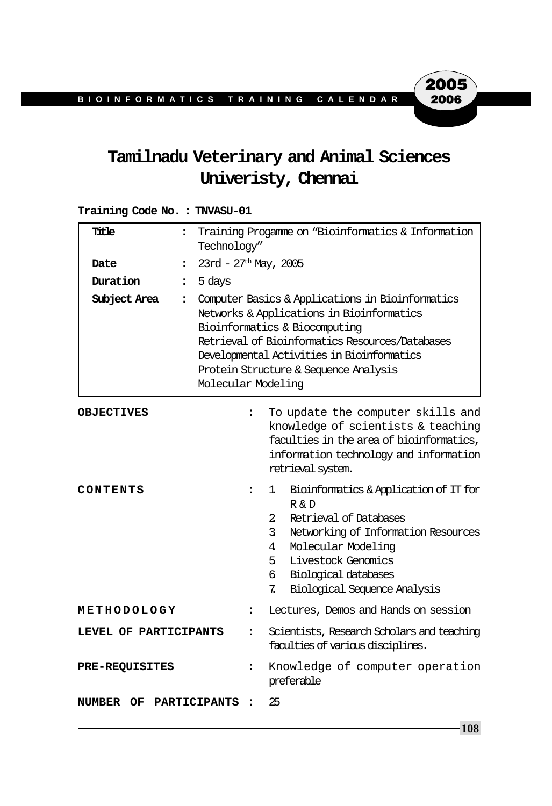# **Tamilnadu Veterinary and Animal Sciences Univeristy, Chennai**

### **Training Code No. : TNVASU-01**

| Title                  | $\ddot{\cdot}$           | Training Progamme on "Bioinformatics & Information<br>Technology"                                                                                                                                                                                                                              |                                                                                                                                                                                                                                                                                    |  |
|------------------------|--------------------------|------------------------------------------------------------------------------------------------------------------------------------------------------------------------------------------------------------------------------------------------------------------------------------------------|------------------------------------------------------------------------------------------------------------------------------------------------------------------------------------------------------------------------------------------------------------------------------------|--|
| Date                   | $\ddot{\phantom{a}}$     | $23rd - 27th$ May, 2005                                                                                                                                                                                                                                                                        |                                                                                                                                                                                                                                                                                    |  |
| Duration               | 5 days<br>$\ddot{\cdot}$ |                                                                                                                                                                                                                                                                                                |                                                                                                                                                                                                                                                                                    |  |
| Subject Area           | $\ddot{\phantom{a}}$     | Computer Basics & Applications in Bioinformatics<br>Networks & Applications in Bioinformatics<br>Bioinformatics & Biocomputing<br>Retrieval of Bioinformatics Resources/Databases<br>Developmental Activities in Bioinformatics<br>Protein Structure & Sequence Analysis<br>Molecular Modeling |                                                                                                                                                                                                                                                                                    |  |
| <b>OBJECTIVES</b>      |                          | $\ddot{\phantom{a}}$                                                                                                                                                                                                                                                                           | To update the computer skills and<br>knowledge of scientists & teaching<br>faculties in the area of bioinformatics,<br>information technology and information<br>retrieval system.                                                                                                 |  |
| CONTENTS               |                          | $\ddot{\phantom{a}}$                                                                                                                                                                                                                                                                           | Bioinformatics & Application of IT for<br>1<br>R & D<br>$\overline{2}$<br>Retrieval of Databases<br>$\mathbf{3}$<br>Networking of Information Resources<br>Molecular Modeling<br>4<br>Livestock Genomics<br>5.<br>б.<br>Biological databases<br>Biological Sequence Analysis<br>7. |  |
| METHODOLOGY            |                          | $\ddot{\cdot}$                                                                                                                                                                                                                                                                                 | Lectures, Demos and Hands on session                                                                                                                                                                                                                                               |  |
| LEVEL OF PARTICIPANTS  |                          | $\ddot{\phantom{a}}$                                                                                                                                                                                                                                                                           | Scientists, Research Scholars and teaching<br>faculties of various disciplines.                                                                                                                                                                                                    |  |
| <b>PRE-REQUISITES</b>  |                          | $\ddot{\phantom{a}}$                                                                                                                                                                                                                                                                           | Knowledge of computer operation<br>preferable                                                                                                                                                                                                                                      |  |
| NUMBER OF PARTICIPANTS |                          | $\ddot{\cdot}$                                                                                                                                                                                                                                                                                 | 25                                                                                                                                                                                                                                                                                 |  |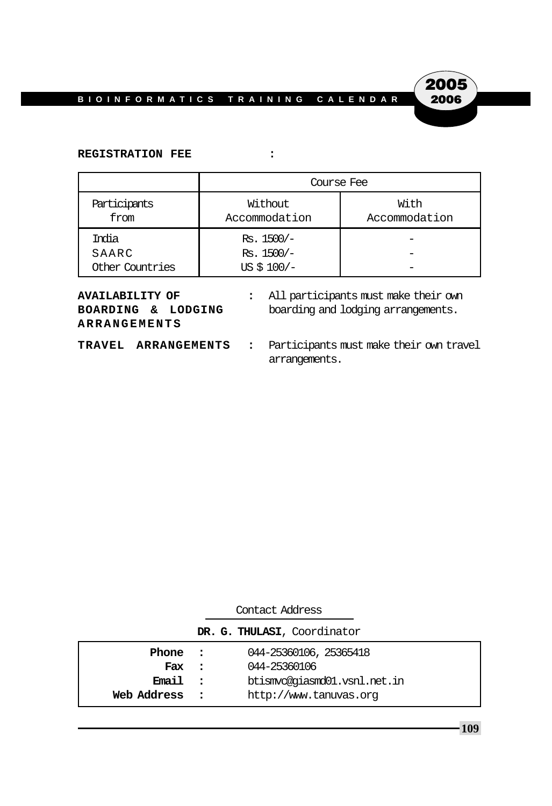

#### **REGISTRATION FEE :**

|                      | Course Fee               |                       |  |  |
|----------------------|--------------------------|-----------------------|--|--|
| Participants<br>from | Without<br>Accommodation | With<br>Accommodation |  |  |
| India                | $Rs. 1500/-$             |                       |  |  |
| SAARC                | $Rs. 1500/-$             |                       |  |  |
| Other Countries      | US $$100/-$              |                       |  |  |

| AVAILABILITY OF     |  |  |  |  |  |
|---------------------|--|--|--|--|--|
| BOARDING & LODGING  |  |  |  |  |  |
| <b>ARRANGEMENTS</b> |  |  |  |  |  |

- **:** All participants must make their own boarding and lodging arrangements.
- 
- **TRAVEL ARRANGEMENTS :** Participants must make their own travel arrangements.

| Contact Address |  |                              |
|-----------------|--|------------------------------|
|                 |  | DR. G. THULASI, Coordinator  |
| Phone :         |  | 044-25360106, 25365418       |
| Fax :           |  | 044-25360106                 |
| Email :         |  | btismyc@giasmd01.vsnl.net.in |
| Web Address     |  | http://www.tanuvas.org       |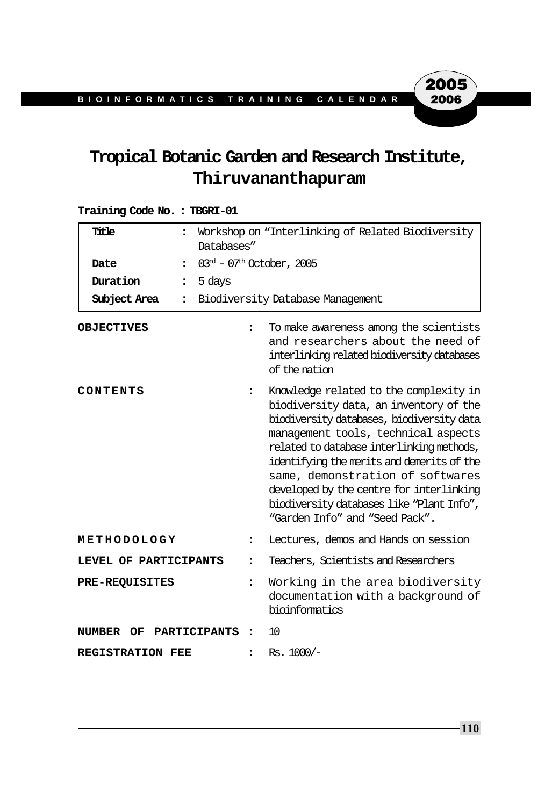# **Tropical Botanic Garden and Research Institute, Thiruvananthapuram**

### **Training Code No. : TBGRI-01**

| Title                                | $\ddot{\phantom{a}}$<br>Databases"   | Workshop on "Interlinking of Related Biodiversity                                                                                                                                                                                                                                                                                                                                                                              |  |  |
|--------------------------------------|--------------------------------------|--------------------------------------------------------------------------------------------------------------------------------------------------------------------------------------------------------------------------------------------------------------------------------------------------------------------------------------------------------------------------------------------------------------------------------|--|--|
| Date<br>$\ddot{\phantom{a}}$         |                                      | $03rd - 07th October, 2005$                                                                                                                                                                                                                                                                                                                                                                                                    |  |  |
| Duration<br>$\ddot{\phantom{a}}$     | 5 days                               |                                                                                                                                                                                                                                                                                                                                                                                                                                |  |  |
| Subject Area<br>$\ddot{\phantom{a}}$ |                                      | Biodiversity Database Management                                                                                                                                                                                                                                                                                                                                                                                               |  |  |
| <b>OBJECTIVES</b>                    | $\ddot{\phantom{a}}$                 | To make awareness among the scientists<br>and researchers about the need of<br>interlinking related biodiversity databases<br>of the nation                                                                                                                                                                                                                                                                                    |  |  |
| CONTENTS                             | $\ddot{\phantom{a}}$                 | Knowledge related to the complexity in<br>biodiversity data, an inventory of the<br>biodiversity databases, biodiversity data<br>management tools, technical aspects<br>related to database interlinking methods,<br>identifying the merits and demerits of the<br>same, demonstration of softwares<br>developed by the centre for interlinking<br>biodiversity databases like "Plant Info",<br>"Garden Info" and "Seed Pack". |  |  |
| METHODOLOGY                          | $\ddot{\phantom{a}}$                 | Lectures, demos and Hands on session                                                                                                                                                                                                                                                                                                                                                                                           |  |  |
| LEVEL OF PARTICIPANTS                | $\ddot{\phantom{a}}$                 | Teachers, Scientists and Researchers                                                                                                                                                                                                                                                                                                                                                                                           |  |  |
| <b>PRE-REQUISITES</b>                | $\ddot{\phantom{a}}$                 | Working in the area biodiversity<br>documentation with a background of<br>bioinformatics                                                                                                                                                                                                                                                                                                                                       |  |  |
| NUMBER<br>OF.                        | PARTICIPANTS<br>$\ddot{\phantom{a}}$ | 10                                                                                                                                                                                                                                                                                                                                                                                                                             |  |  |
| <b>REGISTRATION FEE</b>              | $\ddot{\phantom{a}}$                 | $Rs. 1000/-$                                                                                                                                                                                                                                                                                                                                                                                                                   |  |  |

**110**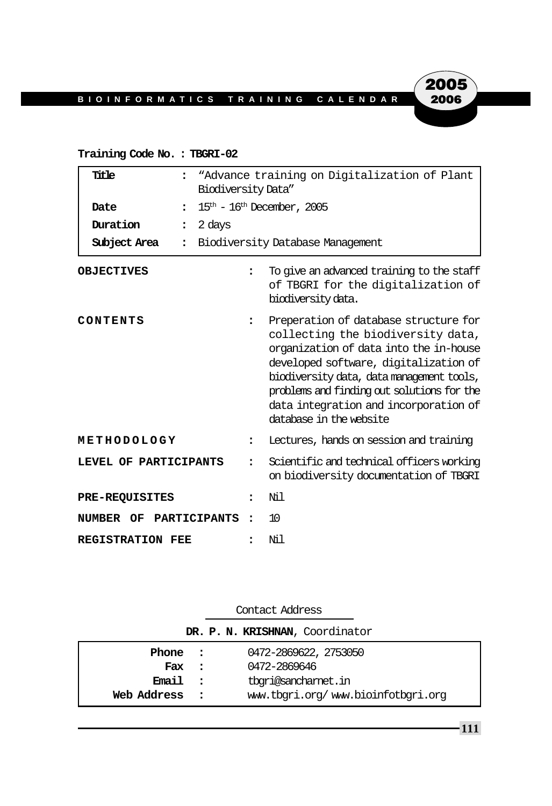### **Training Code No. : TBGRI-02**

| Title<br>Date<br>$\ddot{\cdot}$<br>Duration<br>$\ddot{\phantom{a}}$<br>Subject Area | "Advance training on Digitalization of Plant<br>Biodiversity Data"<br>$15th$ – $16th$ December, 2005<br>2 days<br>Biodiversity Database Management |                                                                                                                                                                                                                                                                                                                              |
|-------------------------------------------------------------------------------------|----------------------------------------------------------------------------------------------------------------------------------------------------|------------------------------------------------------------------------------------------------------------------------------------------------------------------------------------------------------------------------------------------------------------------------------------------------------------------------------|
| <b>OBJECTIVES</b>                                                                   | $\ddot{\phantom{a}}$                                                                                                                               | To give an advanced training to the staff<br>of TBGRI for the digitalization of<br>biodiversity data.                                                                                                                                                                                                                        |
| CONTENTS                                                                            | $\ddot{\phantom{a}}$                                                                                                                               | Preperation of database structure for<br>collecting the biodiversity data,<br>organization of data into the in-house<br>developed software, digitalization of<br>biodiversity data, data management tools,<br>problems and finding out solutions for the<br>data integration and incorporation of<br>database in the website |
| METHODOLOGY                                                                         | $\ddot{\phantom{a}}$                                                                                                                               | Lectures, hands on session and training                                                                                                                                                                                                                                                                                      |
| LEVEL OF PARTICIPANTS                                                               | $\ddot{\phantom{a}}$                                                                                                                               | Scientific and technical officers working<br>on biodiversity documentation of TBGRI                                                                                                                                                                                                                                          |
| <b>PRE-REQUISITES</b>                                                               | :                                                                                                                                                  | Νil                                                                                                                                                                                                                                                                                                                          |
| NUMBER OF                                                                           | PARTICIPANTS<br>$\ddot{\phantom{a}}$                                                                                                               | 10                                                                                                                                                                                                                                                                                                                           |
| <b>REGISTRATION FEE</b>                                                             |                                                                                                                                                    | Νil                                                                                                                                                                                                                                                                                                                          |

| Contact Address                 |  |                                    |  |
|---------------------------------|--|------------------------------------|--|
| DR. P. N. KRISHNAN, Coordinator |  |                                    |  |
| Phone :                         |  | 0472-2869622, 2753050              |  |
| Fax :                           |  | 0472-2869646                       |  |
| Email<br>$\sim$ 2               |  | tbori@sancharnet.in                |  |
| Web Address                     |  | www.tbqri.org/www.bioinfotbqri.org |  |

**111**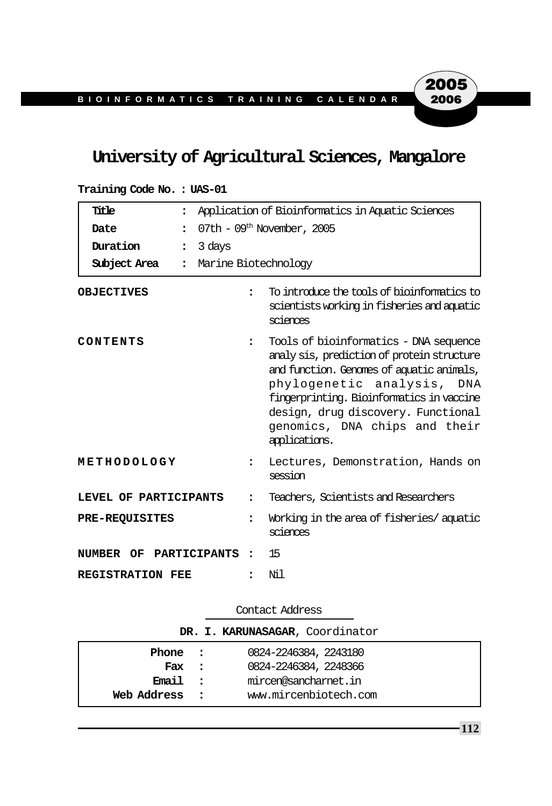# **University of Agricultural Sciences, Mangalore**

| Title<br>$\ddot{\cdot}$                    | Application of Bioinformatics in Aquatic Sciences |                                                                                                                                                                                                                                                                                                      |  |  |
|--------------------------------------------|---------------------------------------------------|------------------------------------------------------------------------------------------------------------------------------------------------------------------------------------------------------------------------------------------------------------------------------------------------------|--|--|
| Date<br>$\ddot{\phantom{a}}$               | 07th - $09th$ November, 2005                      |                                                                                                                                                                                                                                                                                                      |  |  |
| Duration<br>3 days<br>$\ddot{\phantom{a}}$ |                                                   |                                                                                                                                                                                                                                                                                                      |  |  |
| Subject Area<br>$\ddot{\phantom{a}}$       |                                                   | Marine Biotechnology                                                                                                                                                                                                                                                                                 |  |  |
| <b>OBJECTIVES</b>                          | $\ddot{\phantom{a}}$                              | To introduce the tools of bioinformatics to<br>scientists working in fisheries and aquatic<br>sciences                                                                                                                                                                                               |  |  |
| CONTENTS                                   | $\ddot{\phantom{a}}$                              | Tools of bioinformatics - DNA sequence<br>analy sis, prediction of protein structure<br>and function. Genomes of aquatic animals,<br>phylogenetic analysis, DNA<br>fingerprinting. Bioinformatics in vaccine<br>design, drug discovery. Functional<br>genomics, DNA chips and their<br>applications. |  |  |
| METHODOLOGY                                | $\ddot{\phantom{a}}$                              | Lectures, Demonstration, Hands on<br>session                                                                                                                                                                                                                                                         |  |  |
| LEVEL OF PARTICIPANTS                      | $\ddot{\phantom{a}}$                              | Teachers, Scientists and Researchers                                                                                                                                                                                                                                                                 |  |  |
| <b>PRE-REQUISITES</b>                      | $\ddot{\phantom{a}}$                              | Working in the area of fisheries/aquatic<br>sciences                                                                                                                                                                                                                                                 |  |  |
| NUMBER OF PARTICIPANTS                     | $\ddot{\phantom{a}}$                              | 15                                                                                                                                                                                                                                                                                                   |  |  |
| REGISTRATION FEE                           | $\ddot{\phantom{a}}$                              | Νil                                                                                                                                                                                                                                                                                                  |  |  |

**Training Code No. : UAS-01**

Contact Address

| DR. I. KARUNASAGAR, Coordinator |               |                       |  |  |
|---------------------------------|---------------|-----------------------|--|--|
| Phone :                         |               | 0824-2246384, 2243180 |  |  |
| Fax :                           |               | 0824-2246384, 2248366 |  |  |
| Email :                         |               | mircen@sancharnet.in  |  |  |
| Web Address                     | $\sim$ $\sim$ | www.mircenbiotech.com |  |  |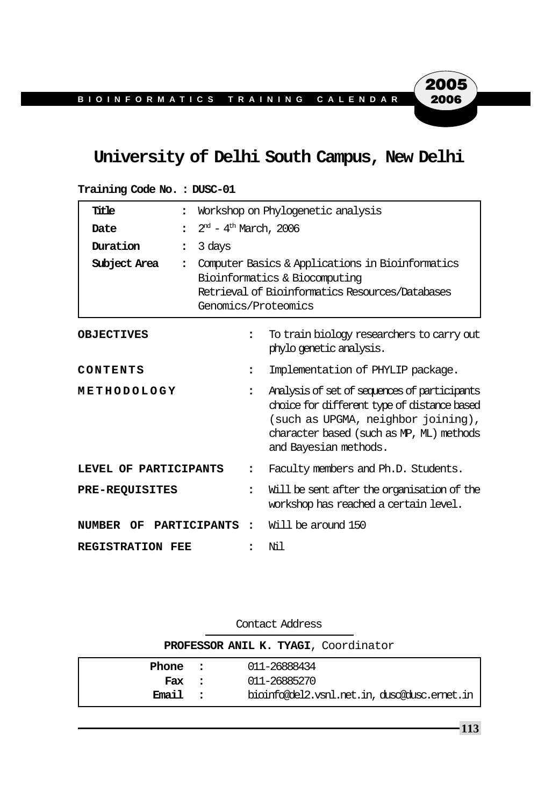# **University of Delhi South Campus, New Delhi**

| Title                                         | $\ddot{\phantom{a}}$                  | Workshop on Phylogenetic analysis                                                                                                                                                                      |  |  |
|-----------------------------------------------|---------------------------------------|--------------------------------------------------------------------------------------------------------------------------------------------------------------------------------------------------------|--|--|
| Date                                          | $\bullet$                             | $2nd - 4th March, 2006$                                                                                                                                                                                |  |  |
| Duration                                      | 3 days<br>$\ddot{\cdot}$              |                                                                                                                                                                                                        |  |  |
| Subject Area                                  | $\ddot{\cdot}$                        | Computer Basics & Applications in Bioinformatics<br>Bioinformatics & Biocomputing<br>Retrieval of Bioinformatics Resources/Databases<br>Genomics/Proteomics                                            |  |  |
| <b>OBJECTIVES</b>                             | $\overline{\phantom{a}}$              | To train biology researchers to carry out<br>phylo genetic analysis.                                                                                                                                   |  |  |
| CONTENTS                                      | ፡                                     | Implementation of PHYLIP package.                                                                                                                                                                      |  |  |
| METHODOLOGY                                   | $\ddot{\cdot}$                        | Analysis of set of sequences of participants<br>choice for different type of distance based<br>(such as UPGMA, neighbor joining),<br>character based (such as MP, ML) methods<br>and Bayesian methods. |  |  |
| LEVEL OF PARTICIPANTS                         |                                       | Faculty members and Ph.D. Students.                                                                                                                                                                    |  |  |
| <b>PRE-REQUISITES</b><br>$\ddot{\phantom{a}}$ |                                       | Will be sent after the organisation of the<br>workshop has reached a certain level.                                                                                                                    |  |  |
| NUMBER<br>OF                                  | <b>PARTICIPANTS</b><br>$\ddot{\cdot}$ | Will be around 150                                                                                                                                                                                     |  |  |
| <b>REGISTRATION FEE</b>                       |                                       | Ni 1                                                                                                                                                                                                   |  |  |

| Training Code No.: DUSC-01 |  |  |  |  |
|----------------------------|--|--|--|--|
|----------------------------|--|--|--|--|

| Contact Address                      |  |                                             |  |  |
|--------------------------------------|--|---------------------------------------------|--|--|
| PROFESSOR ANIL K. TYAGI, Coordinator |  |                                             |  |  |
| Phone :                              |  | 011-26888434                                |  |  |
| Fax :                                |  | 011-26885270                                |  |  |
| Email :                              |  | bioinfo@del2.vsnl.net.in, dusc@dusc.emet.in |  |  |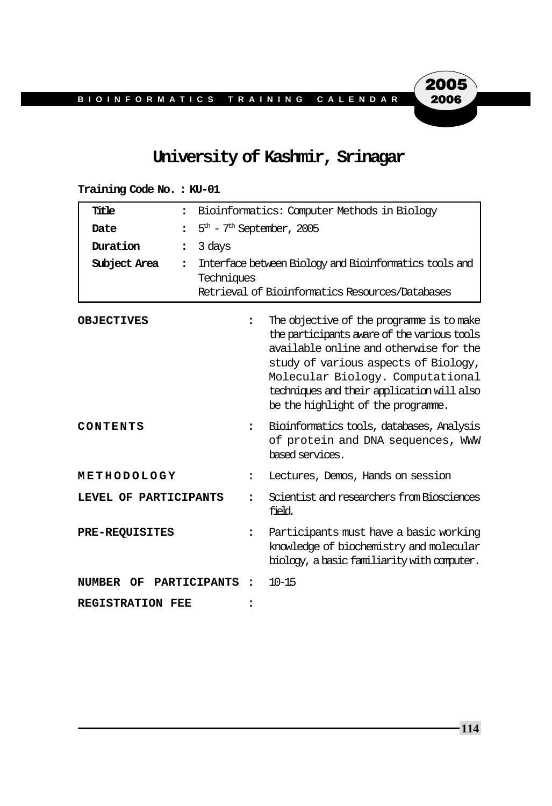## **University of Kashmir, Srinagar**

#### **Training Code No. : KU-01**

| Title                   | $\ddot{\phantom{a}}$ | Bioinformatics: Computer Methods in Biology                                                                             |                                                                                                                                                                                                                                                                                                    |  |  |
|-------------------------|----------------------|-------------------------------------------------------------------------------------------------------------------------|----------------------------------------------------------------------------------------------------------------------------------------------------------------------------------------------------------------------------------------------------------------------------------------------------|--|--|
| Date                    | $\ddot{\phantom{a}}$ | $5th$ - $7th$ September, 2005                                                                                           |                                                                                                                                                                                                                                                                                                    |  |  |
| Duration                | 3 days<br>:          |                                                                                                                         |                                                                                                                                                                                                                                                                                                    |  |  |
| Subject Area            | $\ddot{\phantom{a}}$ | Interface between Biology and Bioinformatics tools and<br>Techniques<br>Retrieval of Bioinformatics Resources/Databases |                                                                                                                                                                                                                                                                                                    |  |  |
| <b>OBJECTIVES</b>       |                      | $\ddot{\phantom{a}}$                                                                                                    | The objective of the programme is to make<br>the participants aware of the various tools<br>available online and otherwise for the<br>study of various aspects of Biology,<br>Molecular Biology. Computational<br>techniques and their application will also<br>be the highlight of the programme. |  |  |
| CONTENTS                |                      | $\ddot{\phantom{a}}$                                                                                                    | Bioinformatics tools, databases, Analysis<br>of protein and DNA sequences, WWW<br>based services.                                                                                                                                                                                                  |  |  |
| METHODOLOGY             |                      | $\ddot{\phantom{a}}$                                                                                                    | Lectures, Demos, Hands on session                                                                                                                                                                                                                                                                  |  |  |
| LEVEL OF PARTICIPANTS   |                      | $\overline{\phantom{a}}$                                                                                                | Scientist and researchers from Biosciences<br>field.                                                                                                                                                                                                                                               |  |  |
| <b>PRE-REQUISITES</b>   |                      | :                                                                                                                       | Participants must have a basic working<br>knowledge of biochemistry and molecular<br>biology, a basic familiarity with computer.                                                                                                                                                                   |  |  |
| OF.<br>NUMBER           | <b>PARTICIPANTS</b>  | $\ddot{\phantom{a}}$                                                                                                    | $10 - 15$                                                                                                                                                                                                                                                                                          |  |  |
| <b>REGISTRATION FEE</b> |                      |                                                                                                                         |                                                                                                                                                                                                                                                                                                    |  |  |

**114**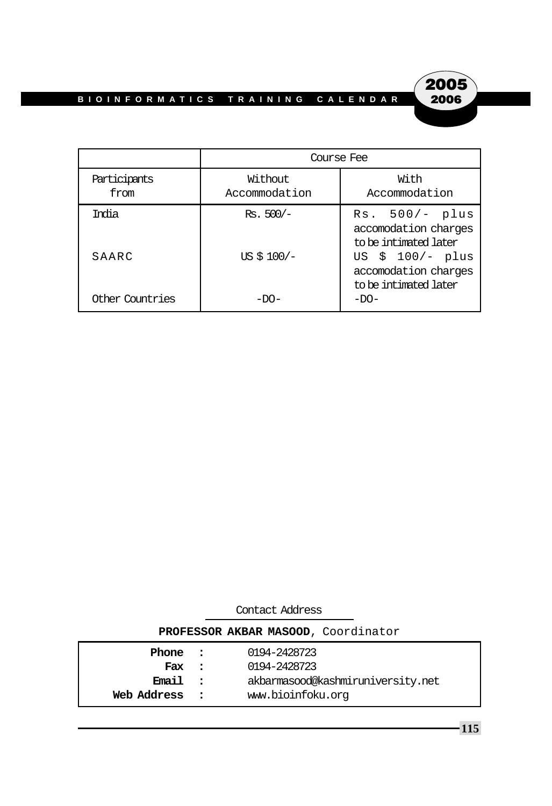

|                      | Course Fee               |                                                                   |  |  |
|----------------------|--------------------------|-------------------------------------------------------------------|--|--|
| Participants<br>from | Without<br>Accommodation | With<br>Accommodation                                             |  |  |
| Trolia               | $Rs.500/-$               | $Rs. 500/- plus$<br>accomodation charges<br>to be intimated later |  |  |
| SAARC                | US $$100/-$              | US $$100/- plus$<br>accomodation charges<br>to be intimated later |  |  |
| Other Countries      | $-D()$ –                 | $-DO-$                                                            |  |  |

| Contact Address                     |              |                                   |  |  |
|-------------------------------------|--------------|-----------------------------------|--|--|
| PROFESSOR AKBAR MASOOD, Coordinator |              |                                   |  |  |
| Phone :                             |              | 0194-2428723                      |  |  |
| Fax                                 | $\mathbf{r}$ | 0194-2428723                      |  |  |
| <b>Email</b>                        | $\cdot$      | akbarmasood@kashmiruniversity.net |  |  |
| Web Address                         |              | www.bioinfoku.org                 |  |  |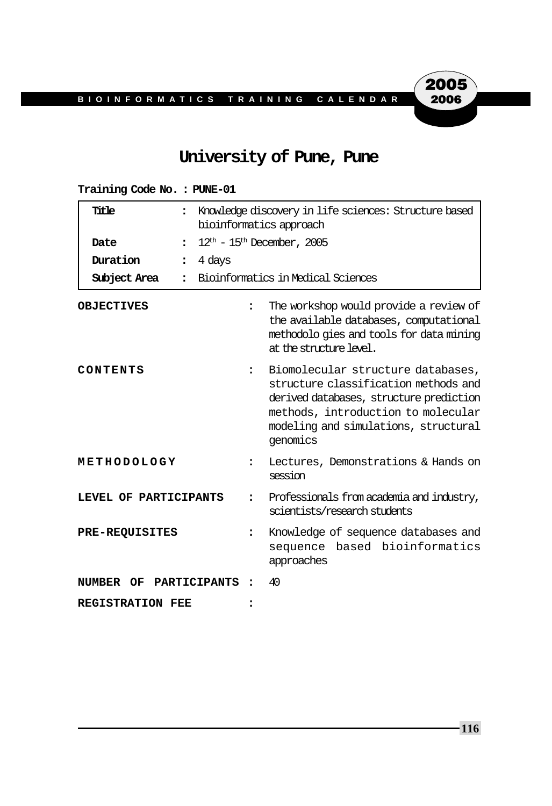## **University of Pune, Pune**

| Title<br>$\ddot{\phantom{a}}$<br>Date<br>$\ddot{\cdot}$<br>Duration<br>$\ddot{\phantom{a}}$<br>Subject Area<br>٠. | Knowledge discovery in life sciences: Structure based<br>bioinformatics approach<br>$12th$ – 15 <sup>th</sup> December, 2005<br>4 days<br>Bioinformatics in Medical Sciences |                                                                                                                                                                                                                |  |  |
|-------------------------------------------------------------------------------------------------------------------|------------------------------------------------------------------------------------------------------------------------------------------------------------------------------|----------------------------------------------------------------------------------------------------------------------------------------------------------------------------------------------------------------|--|--|
| <b>OBJECTIVES</b>                                                                                                 | $\ddot{\phantom{a}}$                                                                                                                                                         | The workshop would provide a review of<br>the available databases, computational<br>methodolo gies and tools for data mining<br>at the structure level.                                                        |  |  |
| CONTENTS                                                                                                          | $\ddot{\phantom{a}}$                                                                                                                                                         | Biomolecular structure databases,<br>structure classification methods and<br>derived databases, structure prediction<br>methods, introduction to molecular<br>modeling and simulations, structural<br>genomics |  |  |
| METHODOLOGY                                                                                                       | $\ddot{\phantom{a}}$                                                                                                                                                         | Lectures, Demonstrations & Hands on<br>session                                                                                                                                                                 |  |  |
| LEVEL OF PARTICIPANTS                                                                                             | $\ddot{\phantom{a}}$                                                                                                                                                         | Professionals from academia and industry,<br>scientists/research students                                                                                                                                      |  |  |
| <b>PRE-REQUISITES</b><br>$\ddot{\phantom{a}}$                                                                     |                                                                                                                                                                              | Knowledge of sequence databases and<br>based bioinformatics<br>sequence<br>approaches                                                                                                                          |  |  |
| PARTICIPANTS<br><b>NUMBER OF</b>                                                                                  |                                                                                                                                                                              | 40                                                                                                                                                                                                             |  |  |
| <b>REGISTRATION FEE</b>                                                                                           |                                                                                                                                                                              |                                                                                                                                                                                                                |  |  |

#### **Training Code No. : PUNE-01**

**116**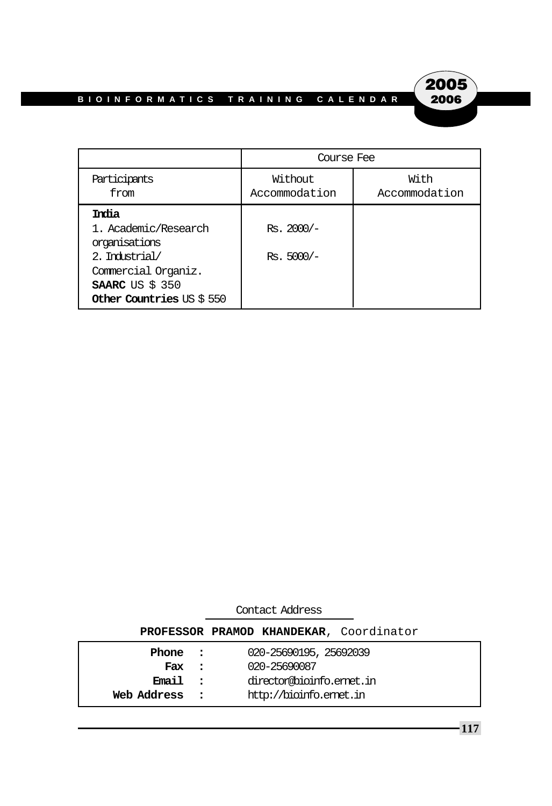

|                                                                                                                                               | Course Fee                   |                       |  |
|-----------------------------------------------------------------------------------------------------------------------------------------------|------------------------------|-----------------------|--|
| Participants<br>from                                                                                                                          | Without<br>Accommodation     | With<br>Accommodation |  |
| India<br>1. Academic/Research<br>organisations<br>2. Industrial/<br>Commercial Organiz.<br><b>SAARC</b> US $$350$<br>Other Countries US \$550 | $Rs. 2000/-$<br>$Rs. 5000/-$ |                       |  |

| Contact Address                         |  |                          |  |  |  |
|-----------------------------------------|--|--------------------------|--|--|--|
| PROFESSOR PRAMOD KHANDEKAR, Coordinator |  |                          |  |  |  |
| Phone :                                 |  | 020-25690195, 25692039   |  |  |  |
| Fax :                                   |  | 020-25690087             |  |  |  |
| Email :                                 |  | director@bioinfo.emet.in |  |  |  |
| Web Address                             |  | http://bioinfo.emet.in   |  |  |  |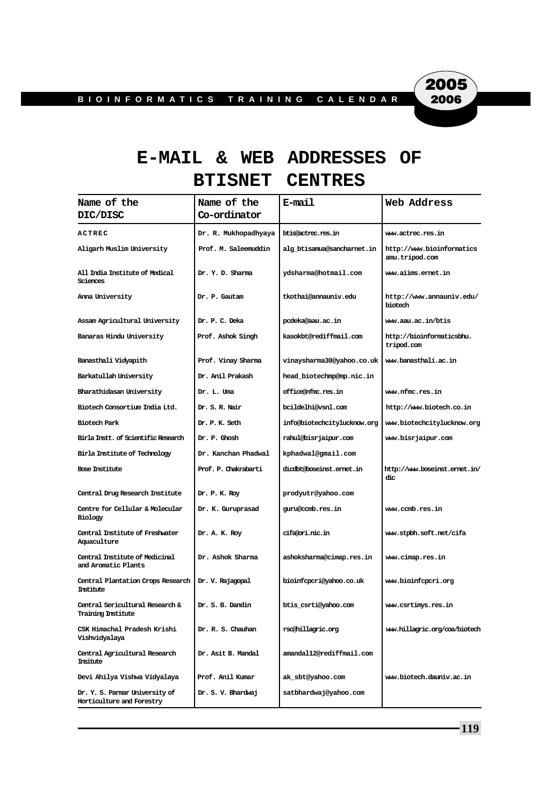2005 2006

# **E-MAIL & WEB ADDRESSES OF BTISNET CENTRES**

| Name of the                                                  | Name of the          | E-mail                      | Web Address                                 |
|--------------------------------------------------------------|----------------------|-----------------------------|---------------------------------------------|
| DIC/DISC                                                     | Co-ordinator         |                             |                                             |
| ACTREC                                                       | Dr. R. Mukhopadhyaya | btis@actrec.res.in          | www.actrec.res.in                           |
| Aligarh Muslim University                                    | Prof. M. Saleemuddin | alg btisamua@sancharnet.in  | http://www.bioinformatics<br>amu.tripod.com |
| All India Institute of Medical<br>Sciences                   | Dr. Y. D. Sharma     | ydsharma@hotmail.com        | www.aiims.ernet.in                          |
| Anna University                                              | Dr. P. Gautam        | tkothai@annauniv.edu        | http://www.annauniv.edu/<br>biotech         |
| Assam Agricultural University                                | Dr. P. C. Deka       | pcdeka@aau.ac.in            | www.aau.ac.in/btis                          |
| Banaras Hindu University                                     | Prof. Ashok Singh    | kasokbt@rediffmail.com      | http://bioinformaticsbhu.<br>tripod.com     |
| Banasthali Vidyapith                                         | Prof. Vinay Sharma   | vinaysharma30@yahoo.co.uk   | www.banasthali.ac.in                        |
| Barkatullah University                                       | Dr. Anil Prakash     | head_biotechmp@mp.nic.in    |                                             |
| Bharathidasan University                                     | Dr. L. Uma           | office@nfmc.res.in          | www.nfmc.res.in                             |
| Biotech Consortium India Ltd.                                | Dr. S. R. Nair       | bcildelhi@vsnl.com          | http://www.biotech.co.in                    |
| Biotech Park                                                 | Dr. P. K. Seth       | info@biotechcitylucknow.org | www.biotechcitylucknow.org                  |
| Birla Instt. of Scientific Research                          | Dr. P. Ghosh         | rahul@bisrjaipur.com        | www.bisrjaipur.com                          |
| Birla Institute of Technology                                | Dr. Kanchan Phadwal  | kphadwal@gmail.com          |                                             |
| <b>Bose Institute</b>                                        | Prof. P. Chakrabarti | dicdbt@boseinst.ernet.in    | http://www.boseinst.emet.in/<br>dic         |
| Central Drug Research Institute                              | Dr. P. K. Roy        | prodyutr@yahoo.com          |                                             |
| Centre for Cellular & Molecular<br>Biology                   | Dr. K. Guruprasad    | guru@ccmb.res.in            | www.ccmb.res.in                             |
| Central Institute of Freshwater<br>Aquaculture               | Dr. A. K. Roy        | cifa@ori.nic.in             | ww.stpbh.soft.net/cifa                      |
| Central Institute of Medicinal<br>and Aromatic Plants        | Dr. Ashok Sharma     | ashoksharma@cimap.res.in    | www.cimap.res.in                            |
| Central Plantation Crops Research<br>Institute               | Dr. V. Rajagopal     | bioinfcpcri@yahoo.co.uk     | www.bioinfcpcri.org                         |
| Central Sericultural Research &<br><b>Training Institute</b> | Dr. S. B. Dandin     | btis_csrti@yahoo.com        | www.csrtimys.res.in                         |
| CSK Himachal Pradesh Krishi<br>Vishvidyalaya                 | Dr. R. S. Chauhan    | rsc@hillagric.org           | www.hillagric.org/coa/biotech               |
| Central Agricultural Research<br>Insitute                    | Dr. Asit B. Mandal   | amandal12@rediffmail.com    |                                             |
| Devi Ahilya Vishwa Vidyalaya                                 | Prof. Anil Kumar     | ak_sbt@yahoo.com            | www.biotech.dauniv.ac.in                    |
| Dr. Y. S. Parmar University of<br>Horticulture and Forestry  | Dr. S. V. Bhardwaj   | satbhardwaj@yahoo.com       |                                             |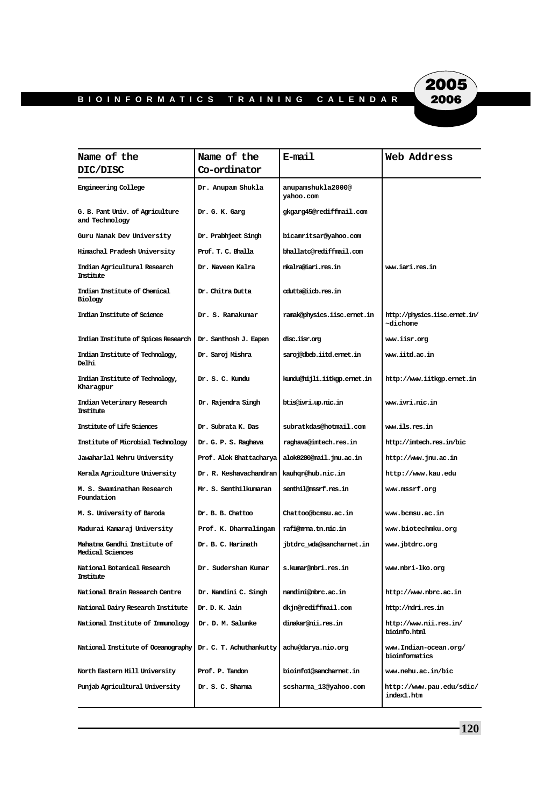

| Name of the                                                  | Name of the             | E-mail                         | Web Address                              |
|--------------------------------------------------------------|-------------------------|--------------------------------|------------------------------------------|
| <b>DIC/DISC</b>                                              | Co-ordinator            |                                |                                          |
| <b>Engineering College</b>                                   | Dr. Anupam Shukla       | anupamshukla2000@<br>yahoo.com |                                          |
| G. B. Pant Univ. of Agriculture<br>and Technology            | Dr. G. K. Garg          | gkgarg45@rediffmail.com        |                                          |
| Guru Nanak Dev University                                    | Dr. Prabhjeet Singh     | bicamritsar@yahoo.com          |                                          |
| Himachal Pradesh University                                  | Prof. T. C. Bhalla      | bhallato@rediffmail.com        |                                          |
| Indian Agricultural Research<br>Institute                    | Dr. Naveen Kalra        | nkalra@iari.res.in             | www.iari.res.in                          |
| Indian Institute of Chemical<br>Biology                      | Dr. Chitra Dutta        | cdutta@iicb.res.in             |                                          |
| Indian Institute of Science                                  | Dr. S. Ramakumar        | ramak@physics.iisc.emet.in     | http://physics.iisc.emet.in/<br>~dichome |
| Indian Institute of Spices Research                          | Dr. Santhosh J. Eapen   | disc.iisr.org                  | www.iisr.org                             |
| Indian Institute of Technology,<br><b>Delhi</b>              | Dr. Saroj Mishra        | saroj@dbeb.iitd.emet.in        | www.iitd.ac.in                           |
| Indian Institute of Technology,<br>Kharagpur                 | Dr. S. C. Kundu         | kundu@hijli.iitkgp.emet.in     | http://www.iitkgp.ernet.in               |
| Indian Veterinary Research<br>Institute                      | Dr. Rajendra Singh      | btis@ivri.up.nic.in            | ww.ivri.nic.in                           |
| Institute of Life Sciences                                   | Dr. Subrata K. Das      | subratkdas@hotmail.com         | ww.ils.res.in                            |
| Institute of Microbial Technology                            | Dr. G. P. S. Raghava    | raghava@imtech.res.in          | http://imtech.res.in/bic                 |
| Jawaharlal Nehru University                                  | Prof. Alok Bhattacharya | alok0200@mail.jnu.ac.in        | http://www.jnu.ac.in                     |
| Kerala Agriculture University                                | Dr. R. Keshavachandran  | kauhgr@hub.nic.in              | http://www.kau.edu                       |
| M. S. Swaminathan Research<br>Foundation                     | Mr. S. Senthilkumaran   | senthil@mssrf.res.in           | www.mssrf.org                            |
| M. S. University of Baroda                                   | Dr. B. B. Chattoo       | Chattoo@bcmsu.ac.in            | www.bcmsu.ac.in                          |
| Madurai Kamaraj University                                   | Prof. K. Dharmalingam   | rafi@mma.tn.nic.in             | www.biotechmku.org                       |
| Mahatma Gandhi Institute of<br>Medical Sciences              | Dr. B. C. Harinath      | jbtdrc wda@sancharnet.in       | www.jbtdrc.org                           |
| National Botanical Research<br>Institute                     | Dr. Sudershan Kumar     | s.kumar@nbri.res.in            | www.nbri-lko.org                         |
| National Brain Research Centre                               | Dr. Nandini C. Singh    | nandini@nbrc.ac.in             | http://www.nbrc.ac.in                    |
| National Dairy Research Institute                            | Dr. D. K. Jain          | dkjn@rediffmail.com            | http://ndri.res.in                       |
| National Institute of Immunology                             | Dr. D. M. Salunke       | dinakar@nii.res.in             | http://www.nii.res.in/<br>bioinfo.html   |
| National Institute of Oceanography   Dr. C. T. Achuthankutty |                         | achu@darya.nio.org             | www.Indian-ocean.org/<br>bioinformatics  |
| North Eastern Hill University                                | Prof. P. Tandon         | bioinfol@sancharnet.in         | www.nehu.ac.in/bic                       |
| Punjab Agricultural University                               | Dr. S. C. Sharma        | scsharma_13@yahoo.com          | http://www.pau.edu/sdic/<br>index1.htm   |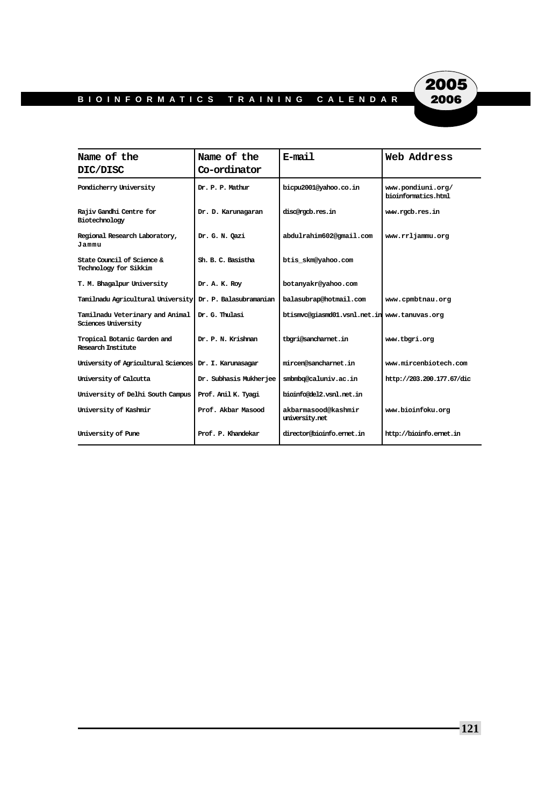

| Name of the                                                   | Name of the            | E-mail                                       | Web Address                              |
|---------------------------------------------------------------|------------------------|----------------------------------------------|------------------------------------------|
| DIC/DISC                                                      | Co-ordinator           |                                              |                                          |
| Pondicherry University                                        | Dr. P. P. Mathur       | bicpu2001@vahoo.co.in                        | www.pondiuni.org/<br>bioinformatics.html |
| Rajiv Gandhi Centre for<br>Biotechnology                      | Dr. D. Karunagaran     | disc@rocb.res.in                             | www.racb.res.in                          |
| Regional Research Laboratory,<br>Jammu                        | Dr. G. N. Oazi         | abdulrahim602@qmail.com                      | www.rrliammu.org                         |
| State Council of Science &<br>Technology for Sikkim           | Sh. B. C. Basistha     | btis skm@yahoo.com                           |                                          |
| T. M. Bhagalpur University                                    | Dr. A. K. Roy          | botanyakr@yahoo.com                          |                                          |
| Tamilnadu Agricultural University                             | Dr. P. Balasubramanian | balasubrap@hotmail.com                       | www.cpmbtnau.org                         |
| Tamilnadu Veterinary and Animal<br><b>Sciences University</b> | Dr. G. Thulasi         | btismvc@giasmd01.vsnl.net.in www.tanuvas.org |                                          |
| Tropical Botanic Garden and<br>Research Institute             | Dr. P. N. Krishnan     | tbori@sancharnet.in                          | www.tbari.org                            |
| University of Agricultural Sciences                           | Dr. I. Karunasagar     | mircen@sancharnet.in                         | www.mircenbiotech.com                    |
| University of Calcutta                                        | Dr. Subhasis Mukherjee | smbmbq@caluniv.ac.in                         | http://203.200.177.67/dic                |
| University of Delhi South Campus                              | Prof. Anil K. Tyagi    | bioinfo@del2.vsnl.net.in                     |                                          |
| University of Kashmir                                         | Prof. Akbar Masood     | akbarmasood@kashmir<br>university.net        | www.bioinfoku.org                        |
| University of Pune                                            | Prof. P. Khandekar     | director@bioinfo.emet.in                     | http://bioinfo.emet.in                   |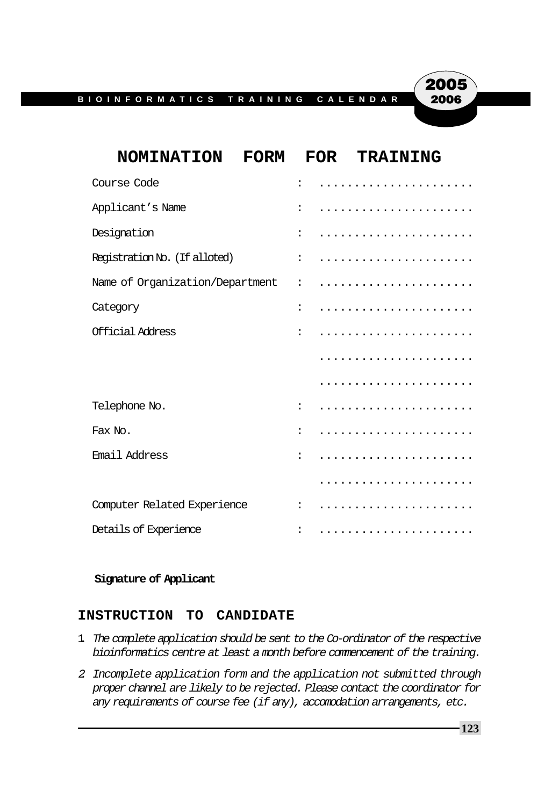

#### **Signature of Applicant**

#### **INSTRUCTION TO CANDIDATE**

- 1. The complete application should be sent to the Co-ordinator of the respective bioinformatics centre at least a month before commencement of the training.
- 2. Incomplete application form and the application not submitted through proper channel are likely to be rejected. Please contact the coordinator for any requirements of course fee (if any), accomodation arrangements, etc.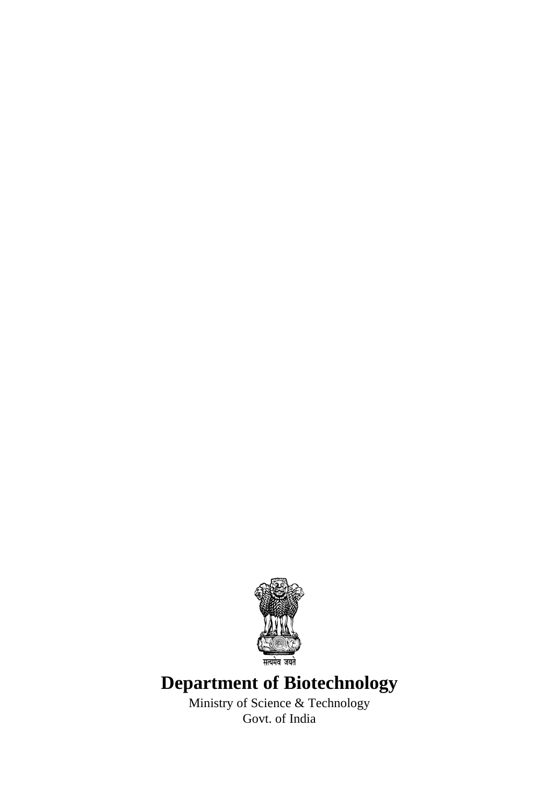

# **Department of Biotechnology**

Ministry of Science & Technology Govt. of India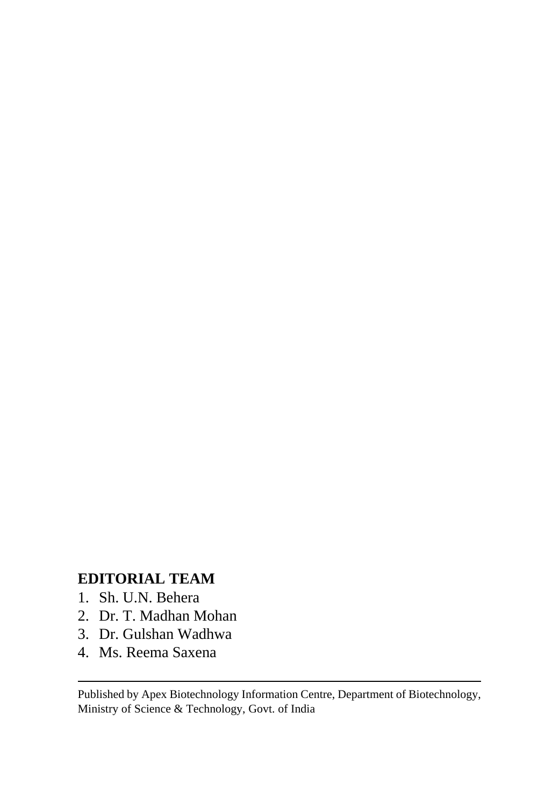# **EDITORIAL TEAM**

- 1. Sh. U.N. Behera
- 2. Dr. T. Madhan Mohan
- 3. Dr. Gulshan Wadhwa
- 4. Ms. Reema Saxena

Published by Apex Biotechnology Information Centre, Department of Biotechnology, Ministry of Science & Technology, Govt. of India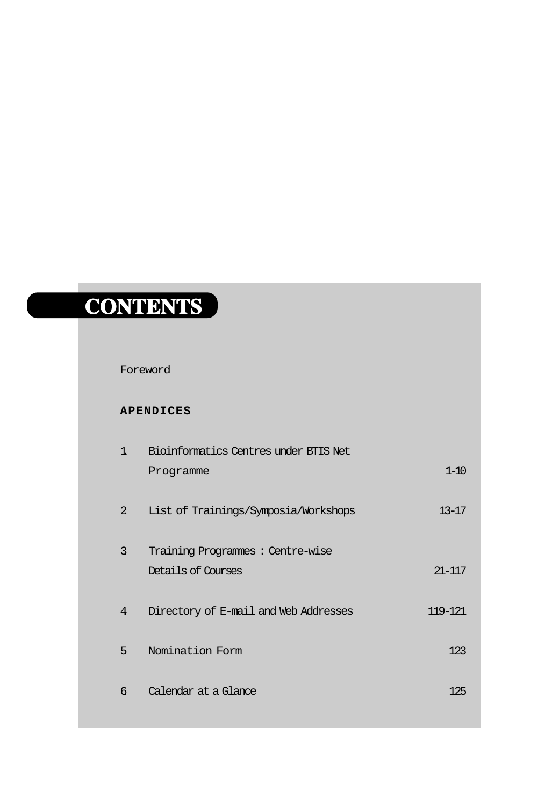# **CONTENTS CONTENTS**

#### Foreword

#### **APENDICES**

| 1.             | Bioinformatics Centres under BTIS Net |            |
|----------------|---------------------------------------|------------|
|                | Programme                             | $1 - 10$   |
| $\overline{2}$ | List of Trainings/Symposia/Workshops  | $13 - 17$  |
| 3              | Training Programmes: Centre-wise      |            |
|                | Details of Courses                    | $21 - 117$ |
| 4              | Directory of E-mail and Web Addresses | 119-121    |
| 5              | Nomination Form                       | 123        |
| 6              | Calendar at a Glance                  | 125        |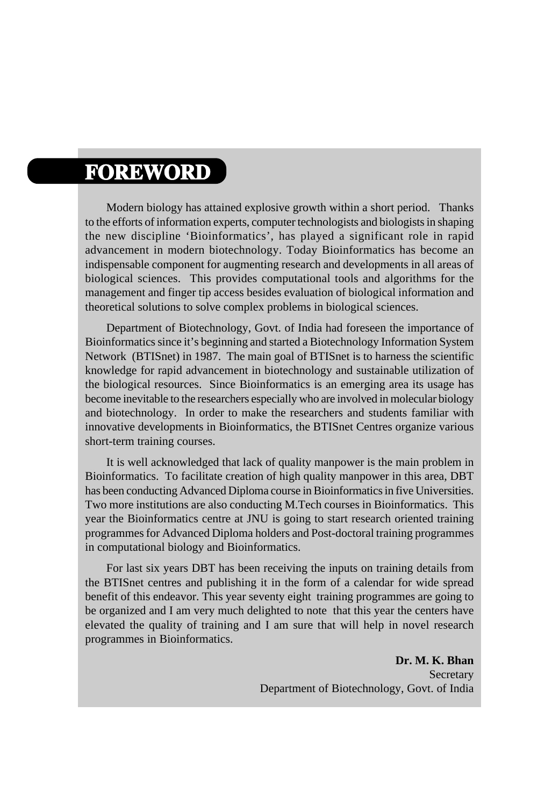# **FOREWORD**

Modern biology has attained explosive growth within a short period. Thanks to the efforts of information experts, computer technologists and biologists in shaping the new discipline 'Bioinformatics', has played a significant role in rapid advancement in modern biotechnology. Today Bioinformatics has become an indispensable component for augmenting research and developments in all areas of biological sciences. This provides computational tools and algorithms for the management and finger tip access besides evaluation of biological information and theoretical solutions to solve complex problems in biological sciences.

Department of Biotechnology, Govt. of India had foreseen the importance of Bioinformatics since it's beginning and started a Biotechnology Information System Network (BTISnet) in 1987. The main goal of BTISnet is to harness the scientific knowledge for rapid advancement in biotechnology and sustainable utilization of the biological resources. Since Bioinformatics is an emerging area its usage has become inevitable to the researchers especially who are involved in molecular biology and biotechnology. In order to make the researchers and students familiar with innovative developments in Bioinformatics, the BTISnet Centres organize various short-term training courses.

It is well acknowledged that lack of quality manpower is the main problem in Bioinformatics. To facilitate creation of high quality manpower in this area, DBT has been conducting Advanced Diploma course in Bioinformatics in five Universities. Two more institutions are also conducting M.Tech courses in Bioinformatics. This year the Bioinformatics centre at JNU is going to start research oriented training programmes for Advanced Diploma holders and Post-doctoral training programmes in computational biology and Bioinformatics.

For last six years DBT has been receiving the inputs on training details from the BTISnet centres and publishing it in the form of a calendar for wide spread benefit of this endeavor. This year seventy eight training programmes are going to be organized and I am very much delighted to note that this year the centers have elevated the quality of training and I am sure that will help in novel research programmes in Bioinformatics.

> **Dr. M. K. Bhan** Secretary Department of Biotechnology, Govt. of India